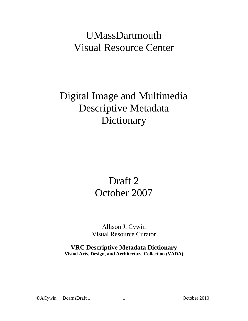# <span id="page-0-0"></span>UMassDartmouth Visual Resource Center

# Digital Image and Multimedia Descriptive Metadata Dictionary

# Draft 2 October 2007

Allison J. Cywin Visual Resource Curator

<span id="page-0-1"></span>**VRC Descriptive Metadata Dictionary Visual Arts, Design, and Architecture Collection (VADA)**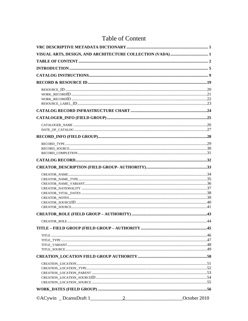# **Table of Content**

<span id="page-1-0"></span>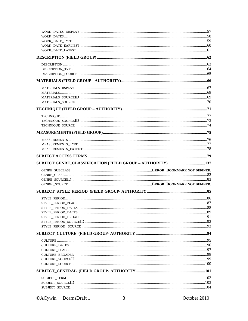| 3 | October 2010 |
|---|--------------|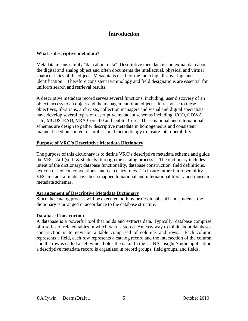## <span id="page-4-0"></span>I**ntroduction**

#### **What is descriptive metadata?**

Metadata means simply "data about data". Descriptive metadata is contextual data about the digital and analog object and often documents the intellectual, physical and virtual characteristics of the object. Metadata is used for the indexing, discovering, and identification. Therefore consistent terminology and field designations are essential for uniform search and retrieval results.

A descriptive metadata record serves several functions, including, user discovery of an object, access to an object and the management of an object. In response to these objectives, librarians, archivists, collection managers and visual and digital specialists have develop several types of descriptive metadata schemas including, CCO, CDWA Lite, MODS, EAD, VRA Core 4.0 and Dublin Core. These national and international schemas are design to gather descriptive metadata in homogeneous and consistent manner based on content or professional methodology to insure interoperability.

#### **Purpose of VRC's Descriptive Metadata Dictionary**

The purpose of this dictionary is to define VRC's descriptive metadata schema and guide the VRC staff (staff & students) through the catalog process. The dictionary includes: intent of the dictionary; database functionality, database construction, field definitions, lexicon or lexicon conventions, and data entry rules. To insure future interoperability VRC metadata fields have been mapped to national and international library and museum metadata schemas.

#### **Arrangement of Descriptive Metadata Dictionary**

Since the catalog process will be executed both by professional staff and students, the dictionary is arranged in accordance to the database structure.

#### **Database Construction**

A database is a powerful tool that holds and extracts data. Typically, database comprise of a series of related tables in which data is stored. An easy way to think about databases construction is to envision a table comprised of columns and rows. Each column represents a field, each row represents a catalog record and the intersection of the column and the row is called a cell which holds the data. In the LUNA Insight Studio application a descriptive metadata record is organized in record groups, field groups, and fields.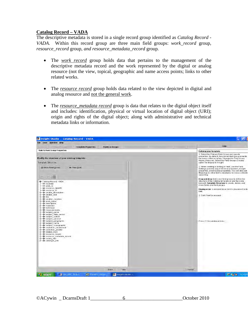#### **Catalog Record – VADA**

The descriptive metadata is stored in a single record group identified as *Catalog Record - VADA*. Within this record group are three main field groups: *work\_record* group, *resource\_record* group, *and resource\_metadata\_record* group*.* 

- The *work record* group holds data that pertains to the management of the descriptive metadata record and the work represented by the digital or analog resource (not the view, topical, geographic and name access points; links to other related works.
- The *resource record* group holds data related to the view depicted in digital and analog resource and not the general work.
- The *resource metadata record* group is data that relates to the digital object itself and includes: identification, physical or virtual location of digital object (URI); origin and rights of the digital object; along with administrative and technical metadata links or information.

| <b>Unsight Studio :: Catalog Record - VADA</b>                                                                                                                                                                                           |                            | 同                                                                                                                                                                                                                                                     |
|------------------------------------------------------------------------------------------------------------------------------------------------------------------------------------------------------------------------------------------|----------------------------|-------------------------------------------------------------------------------------------------------------------------------------------------------------------------------------------------------------------------------------------------------|
| File Task Window Help                                                                                                                                                                                                                    |                            |                                                                                                                                                                                                                                                       |
| <b>Template Properties</b><br><b>Fields &amp; Groups</b>                                                                                                                                                                                 |                            | Help                                                                                                                                                                                                                                                  |
| <b>Field &amp; Field Group Properties</b>                                                                                                                                                                                                |                            | Defining your template                                                                                                                                                                                                                                |
| Modify the structure of your catalog template.<br>Template Structure                                                                                                                                                                     |                            | 1. Select the Primary Field Group and specify<br>properties. By default, the primary field group inherits.<br>the name of the template. Change the Field Group<br>Name, if desired. Select the Field Groups Display<br>option for display in Insight. |
| New Field Group<br>te New Field                                                                                                                                                                                                          |                            | 2. When creating or editing a Field, use the Field<br>Settings panel to adjust General properties, Insight<br>properties, and Inscribe properties. You can also set<br>Mappings to other field's standards for cross-collectio<br>searching.          |
| Catalog Record - VADA<br>recordID<br>e work_ID                                                                                                                                                                                           |                            | Drag and drop fields and field groups to define the<br>structure of the Catalog template or use the icons<br>beneath Template Structure to create, delete, and<br>move fields and field groups.                                                       |
| m resource labellD<br>■ resource_ID<br>creator_description                                                                                                                                                                               |                            | Display order is dictated by an item's placement in the<br>tree.                                                                                                                                                                                      |
| creator_role<br>the title<br>+ creation_location<br>work_dates<br>description<br>materials<br>technique<br>measurements.<br>d- <del>D</del> subject_genre<br>subject_style_period<br>subject_culture                                     |                            | 3. Olick 'Next' to proceed                                                                                                                                                                                                                            |
| subject_general<br>subject_geographic<br>Subject_name<br>subject_iconographic<br>custodian_locationset<br>custodian_workID<br>related_work<br>Presource_record<br>d- ⇔ resource_metadata_record<br>d- ⇔ record_info<br>e- cataloger_info |                            | Press F1 for additional help.                                                                                                                                                                                                                         |
| Back                                                                                                                                                                                                                                     | Next<br>Gancel             |                                                                                                                                                                                                                                                       |
| Theorbe - Visual                                                                                                                                                                                                                         | <b>La Insight Studio :</b> | <b>12165</b><br>3104 PM                                                                                                                                                                                                                               |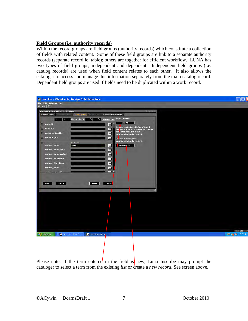#### **Field Groups (i.e. authority records)**

Within the record groups are field groups (authority records) which constitute a collection of fields with related content. Some of these field groups are link to a separate authority records (separate record ie. table); others are together for efficient workflow. LUNA has two types of field groups; independent and dependent. Independent field groups (i.e. catalog records) are used when field content relates to each other. It also allows the cataloger to access and manage this information separately from the main catalog record. Dependent field groups are used if fields need to be duplicated within a work record.

|                                         | X Inscribe - Visual Arts, Design & Architecture |                                                                           |          | IOD             |
|-----------------------------------------|-------------------------------------------------|---------------------------------------------------------------------------|----------|-----------------|
| File Edit Window Help<br>n <sub>1</sub> |                                                 |                                                                           |          |                 |
|                                         |                                                 |                                                                           |          |                 |
| Data Editor - Catalog Record - VADA     |                                                 |                                                                           | $7 - 71$ |                 |
| Search View <b>Search View</b>          | <b>Editor view</b> Throchic (                   | <b>Record Preferences</b>                                                 |          |                 |
| I <<br>K                                | Record 1 of 1<br>>1                             | <b>Speed Search:</b><br>$\triangleright$ New Record<br>List All           |          |                 |
| recordiD:                               |                                                 | E<br>No rata beginning with 'aaaa' found.                                 |          |                 |
| $\Box$ work_ID:                         |                                                 | 丰<br>The value entered in the creator_name<br>field does not exist in the |          |                 |
| resource_labellD:                       |                                                 | $\blacksquare$<br>creator_description record.                             |          |                 |
| resource_ID:                            |                                                 | $\blacksquare$<br>Please create a new<br>creator_description record.      |          |                 |
| 亘<br>creator_name:                      | $\alpha = \alpha$<br>aaaa                       | F<br>New Record                                                           |          |                 |
| creator_name_type:                      |                                                 |                                                                           |          |                 |
|                                         |                                                 | 肩                                                                         |          |                 |
| creator_name_variant:                   |                                                 | $\Box$                                                                    |          |                 |
| creator_nationality:                    |                                                 | $\blacksquare$                                                            |          |                 |
| creator_vital_dates:                    |                                                 | fi                                                                        |          |                 |
| creator notes:                          |                                                 | E                                                                         |          |                 |
| erester enurealD-                       |                                                 | $=1$                                                                      |          |                 |
|                                         |                                                 |                                                                           |          |                 |
|                                         |                                                 |                                                                           |          |                 |
| <b>New</b><br><b>Delete</b>             | Save                                            | Cancel                                                                    |          |                 |
|                                         |                                                 |                                                                           |          |                 |
|                                         |                                                 |                                                                           |          |                 |
|                                         |                                                 |                                                                           |          |                 |
|                                         |                                                 |                                                                           |          |                 |
|                                         |                                                 |                                                                           |          |                 |
|                                         |                                                 |                                                                           |          |                 |
|                                         |                                                 |                                                                           |          |                 |
|                                         |                                                 |                                                                           |          |                 |
|                                         |                                                 |                                                                           |          |                 |
|                                         |                                                 |                                                                           |          |                 |
|                                         |                                                 |                                                                           |          | Tool Bar        |
| <b><i>istant</i></b>                    | mindm_dict_final.d<br><b>X</b> Inscribe Visual  |                                                                           |          | ■ 36 36 2.51 Pf |
|                                         |                                                 |                                                                           |          |                 |
|                                         |                                                 |                                                                           |          |                 |
|                                         |                                                 |                                                                           |          |                 |
|                                         |                                                 |                                                                           |          |                 |
|                                         |                                                 |                                                                           |          |                 |
|                                         |                                                 |                                                                           |          |                 |

Please note: If the term entered in the field is new, Luna Inscribe may prompt the cataloger to select a term from the existing *list* or create a *new record*. See screen above.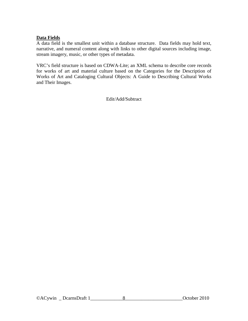#### **Data Fields**

A data field is the smallest unit within a database structure. Data fields may hold text, narrative, and numeral content along with links to other digital sources including image, stream imagery, music, or other types of metadata.

VRC's field structure is based on CDWA-Lite; an XML schema to describe core records for works of art and material culture based on the Categories for the Description of Works of Art and Cataloging Cultural Objects: A Guide to Describing Cultural Works and Their Images.

#### Edit/Add/Subtract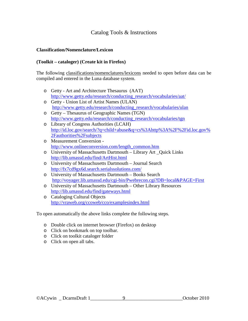### <span id="page-8-0"></span>Catalog Tools & Instructions

#### **Classification/Nomenclature/Lexicon**

#### **(Toolkit – cataloger) (Create kit in Firefox)**

The following classifications/nomenclatures/lexicons needed to open before data can be compiled and entered in the Luna database system.

- o Getty Art and Architecture Thesaurus (AAT) [http://www.getty.edu/research/conducting\\_research/vocabularies/aat/](http://www.getty.edu/research/conducting_research/vocabularies/aat/)
- o Getty Union List of Artist Names (ULAN) [http://www.getty.edu/research/conducting\\_research/vocabularies/ulan](http://www.getty.edu/research/conducting_research/vocabularies/ulan)
- o Getty Thesaurus of Geographic Names (TGN) [http://www.getty.edu/research/conducting\\_research/vocabularies/tgn](http://www.getty.edu/research/conducting_research/vocabularies/tgn)
- o Library of Congress Authorities (LCAH) [http://id.loc.gov/search/?q=child+abuse&q=cs%3Ahttp%3A%2F%2Fid.loc.gov%](http://id.loc.gov/search/?q=child+abuse&q=cs%3Ahttp%3A%2F%2Fid.loc.gov%2Fauthorities%2Fsubjects) [2Fauthorities%2Fsubjects](http://id.loc.gov/search/?q=child+abuse&q=cs%3Ahttp%3A%2F%2Fid.loc.gov%2Fauthorities%2Fsubjects)
- o Measurement Conversion [http://www.onlineconversion.com/length\\_common.htm](http://www.onlineconversion.com/length_common.htm)
- o University of Massachusetts Dartmouth Library Art \_Quick Links <http://lib.umassd.edu/find/ArtHist.html>
- o University of Massachusetts Dartmouth Journal Search <http://fx7cd9gx6d.search.serialssolutions.com/>
- o University of Massachusetts Dartmouth Books Search <http://voyager.lib.umassd.edu/cgi-bin/Pwebrecon.cgi?DB=local&PAGE=First>
- o University of Massachusetts Dartmouth Other Library Resources <http://lib.umassd.edu/find/gateways.html>
- o Cataloging Cultural Objects <http://vraweb.org/ccoweb/cco/examplesindex.html>

To open automatically the above links complete the following steps.

- o Double click on internet browser (Firefox) on desktop
- o Click on bookmark on top toolbar.
- o Click on toolkit cataloger folder
- o Click on open all tabs.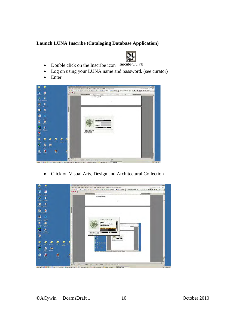#### **Launch LUNA Inscribe (Cataloging Database Application)**



- Double click on the Inscribe icon Inscribe 5.5.lnk
- Log on using your LUNA name and password. (see curator)
- Enter



• Click on Visual Arts, Design and Architectural Collection

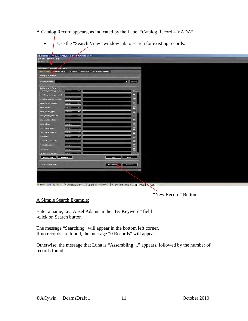A Catalog Record appears, as indicated by the Label "Catalog Record – VADA"

• Use the "Search View" window tab to search for existing records.

| File Edit Wind w Help<br>$\epsilon$ in 17                              |                              |  |  |  |  |
|------------------------------------------------------------------------|------------------------------|--|--|--|--|
|                                                                        |                              |  |  |  |  |
| Data Editor - Catalog Record - VADA                                    | $5 - 1$                      |  |  |  |  |
| Search View / Selection View Editor View Table View Record Preferences |                              |  |  |  |  |
| Simple Search                                                          |                              |  |  |  |  |
| By Keyword:                                                            | $\blacktriangleright$ Search |  |  |  |  |
| <b>Advanced Search</b>                                                 |                              |  |  |  |  |
| creation location parent:<br>contains:<br>z                            | 医腔                           |  |  |  |  |
| creation_lecation_seurcelD;<br>pontains<br>o                           | $\Box$                       |  |  |  |  |
| creation focation source:<br>o<br>contains<br>WATE_Bates_display:      | $\Box$<br>$\Box$             |  |  |  |  |
| o<br>contains<br>work, dates:<br>sontains                              | 同                            |  |  |  |  |
| ø<br>wink_dates_type:<br>п<br>contains                                 | 圓                            |  |  |  |  |
| WORK_dates_earliest;<br>s<br>contains                                  | 同                            |  |  |  |  |
| work itates latest:<br>contains<br>o                                   | $\Box$                       |  |  |  |  |
| description:<br>contains:<br>o                                         | E                            |  |  |  |  |
| description (vie)<br>contains<br>e                                     | 同                            |  |  |  |  |
| desa qilion source.<br>contains<br>о                                   | 回                            |  |  |  |  |
| alstratom<br>contains<br>o                                             | $\Box$                       |  |  |  |  |
| materials sourcelD:<br>contains<br>e                                   | $\blacksquare$               |  |  |  |  |
| materials_source:<br>portains<br>s                                     | 曰                            |  |  |  |  |
| (echnique:<br>ø<br>contains                                            | 曰                            |  |  |  |  |
| technique_sourcetD-<br>contains:<br>æ1                                 | <b>Literatu</b>              |  |  |  |  |
| Save search<br>Load search                                             | Clear<br><b>Search</b>       |  |  |  |  |
| <b>2336 Records Found</b>                                              | New record   Show all        |  |  |  |  |
|                                                                        |                              |  |  |  |  |
|                                                                        |                              |  |  |  |  |
|                                                                        |                              |  |  |  |  |

"New Record" Button

A Simple Search Example:

Enter a name, i.e., Ansel Adams in the "By Keyword" field -click on Search button

The message "Searching" will appear in the bottom left corner. If no records are found, the message "0 Records" will appear.

Otherwise, the message that Luna is "Assembling ..." appears, followed by the number of records found.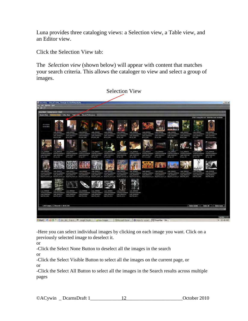Luna provides three cataloging views: a Selection view, a Table view, and an Editor view.

Click the Selection View tab:

The *Selection view* (shown below) will appear with content that matches your search criteria. This allows the cataloger to view and select a group of images.



25 Start | 阿日国 \* | 图dm\_dict\_final.d., | Bi Insight Studio ... | Dinow Images | | 图Microsoft Excel ... | O Inbox for acyvil... | 图Inscribe - Vis...

-Here you can select individual images by clicking on each image you want. Click on a previously selected image to deselect it.

or

-Click the Select None Button to deselect all the images in the search or

-Click the Select Visible Button to select all the images on the current page, or or

-Click the Select All Button to select all the images in the Search results across multiple pages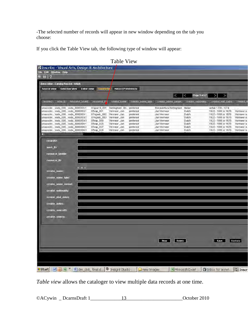-The selected number of records will appear in new window depending on the tab you choose:

If you click the Table View tab, the following type of window will appear:

| <b>GG</b>          |                                                                                                                                                                                                                                                          |                       |                                                                               |                                                                                               |                                                                                                                              |                                                                            |                                                                                                                            |                                                    |                                                                                                                                                            |                                                                                  |
|--------------------|----------------------------------------------------------------------------------------------------------------------------------------------------------------------------------------------------------------------------------------------------------|-----------------------|-------------------------------------------------------------------------------|-----------------------------------------------------------------------------------------------|------------------------------------------------------------------------------------------------------------------------------|----------------------------------------------------------------------------|----------------------------------------------------------------------------------------------------------------------------|----------------------------------------------------|------------------------------------------------------------------------------------------------------------------------------------------------------------|----------------------------------------------------------------------------------|
|                    | Data Editor - Catalog Record - VADA                                                                                                                                                                                                                      |                       |                                                                               |                                                                                               |                                                                                                                              |                                                                            |                                                                                                                            |                                                    |                                                                                                                                                            |                                                                                  |
| <b>Search View</b> |                                                                                                                                                                                                                                                          | <b>Selection View</b> | <b>Editor View</b>                                                            | Table view                                                                                    | <b>Record Preferences</b>                                                                                                    |                                                                            |                                                                                                                            |                                                    |                                                                                                                                                            |                                                                                  |
|                    |                                                                                                                                                                                                                                                          |                       |                                                                               |                                                                                               |                                                                                                                              |                                                                            | $\overline{\mathbf{x}}$                                                                                                    | Page 1 of 47<br>ĸ                                  | $>$ $>$ $\ge$                                                                                                                                              |                                                                                  |
|                    | recordID work ID                                                                                                                                                                                                                                         |                       | resource labellD                                                              | resource ID                                                                                   | creator name                                                                                                                 | creator name type                                                          | creator_name_variant                                                                                                       | creator nationality                                | creator Vital dates                                                                                                                                        | creator i                                                                        |
|                    | umassdvr vada_000 vada_0000001r1<br>umassdvr vada_000 vada_0000002r1<br>umassdvr vada_000 vada_0000003r1<br>umassdvr vada_000 vada_0000003r2<br>umassdvr vada_000 vada_0000003r3<br>umassdvr vada_000 vada_0000004r1<br>umassdvr vada_000 vada_0000004r2 |                       |                                                                               | 03gaa19_001<br>05vap_001<br>07ngadc_002<br>07ngadc_003<br>05vap_088<br>05vap_020<br>05vap_027 | Berlinghieri, Bo., preferred<br>Vermeer, Jan<br>Vermeer, Jan<br>Vermeer, Jan<br>Vermeer, Jan<br>Vermeer, Jan<br>Vermeer, Jan | preferred<br>preferred<br>preferred<br>preferred<br>preferred<br>preferred | Bonaventura Berlinghieri Italian<br>Jan Vermeer<br>Jan Vermeer<br>Jan Vermeer<br>Jan Vermeer<br>Jan Vermeer<br>Jan Vermeer | Dutch<br>Dutch<br>Dutch<br>Dutch<br>Dutch<br>Dutch | active 1228 - 1274<br>1622 - 1669 or 1670<br>1622 - 1669 or 1670<br>1622-1669 or 1670<br>1622 - 1669 or 1670<br>1622 - 1669 or 1670<br>1622 - 1669 or 1670 | Vermeer is<br>Vermeer is<br>Vermeer is<br>Vermeer is<br>Vermeer is<br>Vermeer is |
|                    | umassdvr vada_000 vada_0000004r3                                                                                                                                                                                                                         |                       |                                                                               | 05vap_028                                                                                     | Vermeer, Jan                                                                                                                 | preferred                                                                  | Jan Vermeer                                                                                                                | Dutch                                              | 1622-1669 or 1670                                                                                                                                          | Vermeer is                                                                       |
| work_ID:           | resource_labeliD:<br>resource ID:                                                                                                                                                                                                                        |                       | $\begin{array}{cccccccccc} \bullet & \bullet & \bullet & \bullet \end{array}$ |                                                                                               |                                                                                                                              |                                                                            |                                                                                                                            |                                                    |                                                                                                                                                            |                                                                                  |
|                    | creator_name:<br>creator_name_type:<br>creator_name_variant:<br>creator_nationality;<br>creator_vital_dates:<br>creator_notes;<br>creator sourcelD:<br>creator_source:                                                                                   |                       |                                                                               |                                                                                               |                                                                                                                              |                                                                            |                                                                                                                            |                                                    |                                                                                                                                                            |                                                                                  |

Table View

*Table view* allows the cataloger to view multiple data records at one time.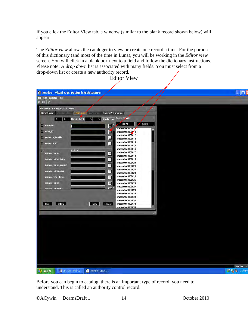If you click the Editor View tab, a window (similar to the blank record shown below) will appear:

The E*ditor view* allows the cataloger to view or create one record a time. For the purpose of this dictionary (and most of the time in Luna), you will be working in the *Editor view*  screen. You will click in a blank box next to a field and follow the dictionary instructions. Please note: A *drop down* list is associated with many fields. You must select from a drop-down list or create a new authority record.

Editor View

| File Edit Window Help<br>$n$ $2$    |                                 |                                                |          |
|-------------------------------------|---------------------------------|------------------------------------------------|----------|
| Data Editor - Catalog Record - VADA |                                 |                                                |          |
| Search View <b>Search View</b>      | <b>Entron view</b><br>Telms Vie | <b>Record Preferences</b>                      |          |
| к<br>K                              | Record 1 of 1<br>≻l             | <b>Speed Sezich:</b><br><b>New Record</b>      |          |
| recordiD:                           |                                 | List All<br>Select<br>E<br>umassuvrcuuuumy     |          |
| work_ID:                            |                                 | EI<br>umassdvrc00000/11                        |          |
| resource_labellD;                   |                                 | umassdwrc0000012<br>▤<br>umassdwrc0000013      |          |
| $\Box$ resource $\Box$ D:           |                                 | umassdwrc0000014<br>E                          |          |
|                                     |                                 | umassdwrc0000015<br>umassdwrc0000016           |          |
| creator_name:                       | $0 = 0$                         | umassdwrc0000017<br>$\blacksquare$             |          |
| creator_name_type:                  |                                 | umassdwrc0000018<br>Ē<br>umassdwrc0000019      |          |
| creator_name_variant:               |                                 | umassdwrc0000020<br>$\blacksquare$             |          |
|                                     |                                 | umassdwrc0000021<br>umassdwrc0000022           |          |
| creator_nationality:                |                                 | Ē<br>umassdwrc0000023                          |          |
| creator_vital_dates:                |                                 | ▤<br>umassdwrc0000024<br>umassdwrc0000025      |          |
| creator_notes:                      |                                 | ≣<br>umassdwrc0000026                          |          |
| creator entrealD-                   |                                 | umassdwrc0000027<br>直<br>o<br>umassdwrc0000028 |          |
|                                     |                                 | umassdwrc0000029                               |          |
|                                     |                                 | umassdwrc0000030<br>umassdwrc0000031           |          |
| <b>Delete</b><br><b>New</b>         | Save                            | Cancel<br>umassdwrc0000032                     |          |
|                                     |                                 | umaeerkre0000033                               |          |
|                                     |                                 |                                                |          |
|                                     |                                 |                                                |          |
|                                     |                                 |                                                |          |
|                                     |                                 |                                                |          |
|                                     |                                 |                                                |          |
|                                     |                                 |                                                |          |
|                                     |                                 |                                                |          |
|                                     |                                 |                                                |          |
|                                     |                                 |                                                |          |
|                                     |                                 |                                                |          |
|                                     |                                 |                                                |          |
|                                     |                                 |                                                |          |
|                                     |                                 |                                                | Tool Bar |

Before you can begin to catalog, there is an important type of record, you need to understand. This is called an authority control record.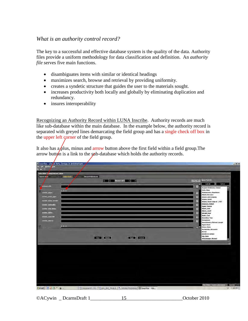#### *What is an authority control record?*

The key to a successful and effective database system is the quality of the data. Authority files provide a uniform methodology for data classification and definition. An *authority file* serves five main functions.

- disambiguates items with similar or identical headings
- maximizes search, browse and retrieval by providing uniformity.
- creates a syndetic structure that guides the user to the materials sought.
- increases productivity both locally and globally by eliminating duplication and redundancy.
- insures interoperability

Recognizing an Authority Record within LUNA Inscribe. Authority records are much like sub-database within the main database. In the example below, the authority record is separated with greyed lines demarcating the field group and has a single check off box in the upper left corner of the field group.

It also has  $a/b$  lus, minus and arrow button above the first field within a field group. The arrow button is a link to the sub-database which holds the authority records.

| <b>Hitor Verse</b><br><b>Record Preferences</b><br>Search Wyke<br>$ K  =  C $ Record for $t =  S  =  S $<br><b>Designate ID:</b><br>creator name:<br>стоите папе зумс<br>creator name variant:<br>creator_nationality.<br>creator with dates:<br>creator, notes:<br><b>CECADE SQUEECER</b><br>creator_source:<br>$p \geq 0$<br>Detete<br><b>Save</b><br><b>New</b><br>Cancel | Spred Search:<br>New Recard<br>Select<br><b>List All</b><br>画<br>Aagaard Andersen, Gunnar<br>Aalto, Alvar<br>Abakanowicz, Magdalena<br>$\Box$<br>Abbott, Berenice<br>Π<br><b>Adams and Company</b><br>Adams, Anset<br>回<br>Adams, Ansel dupe of 1187<br>Adamson, Robert<br>Ξ<br>Agam, Yaacov<br>Albers, Anni<br>画<br>Albers, Josef<br>Ξ<br>Albright, Ivan<br>Andre, Carl<br>Ξ<br>Annenkov, Yury<br>Anonymous<br>画<br>Anuszkiewicz, Richard Joseph<br>Appet, Karel<br>Arbus, Diane<br>o<br>Archipenko, Alexander<br>Arman |
|------------------------------------------------------------------------------------------------------------------------------------------------------------------------------------------------------------------------------------------------------------------------------------------------------------------------------------------------------------------------------|--------------------------------------------------------------------------------------------------------------------------------------------------------------------------------------------------------------------------------------------------------------------------------------------------------------------------------------------------------------------------------------------------------------------------------------------------------------------------------------------------------------------------|
|                                                                                                                                                                                                                                                                                                                                                                              | Arnolfo di Cambio<br>Arp. Hans<br>Artschwager, Richard                                                                                                                                                                                                                                                                                                                                                                                                                                                                   |
|                                                                                                                                                                                                                                                                                                                                                                              |                                                                                                                                                                                                                                                                                                                                                                                                                                                                                                                          |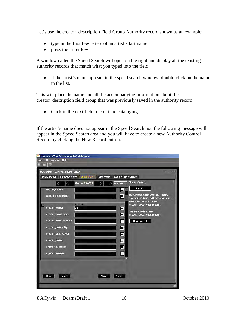Let's use the creator\_description Field Group Authority record shown as an example:

- type in the first few letters of an artist's last name
- press the Enter key.

A window called the Speed Search will open on the right and display all the existing authority records that match what you typed into the field.

• If the artist's name appears in the speed search window, double-click on the name in the list.

This will place the name and all the accompanying information about the creator\_description field group that was previously saved in the authority record.

• Click in the next field to continue cataloging.

If the artist's name does not appear in the Speed Search list, the following message will appear in the Speed Search area and you will have to create a new Authority Control Record by clicking the New Record button.

| Data Editor - Catalog Record - VADA         |                                  |                           |                                                                                                              |
|---------------------------------------------|----------------------------------|---------------------------|--------------------------------------------------------------------------------------------------------------|
| <b>Search View</b><br><b>Selection View</b> | Editor View<br><b>Table View</b> | <b>Record Preferences</b> |                                                                                                              |
| $\prec$<br>K                                | <b>Record 21 of 21</b>           | New Rec                   | <b>Speed Search:</b>                                                                                         |
| record_source:                              |                                  | EI                        | <b>List All</b>                                                                                              |
| record_completion:                          |                                  | 冒                         | No data beginning with 'adz' found.<br>The value entered in the creator name.<br>field does not exist in the |
| $\blacksquare$<br>creator name:             | 変 空 変<br>adz                     | EI                        | creator_description record.<br>Please create a new                                                           |
| creator_name_type:                          |                                  | EI                        | creator_description record.                                                                                  |
| creator_name_variant:                       |                                  | ei                        | <b>New Record</b>                                                                                            |
| creator_nationality:                        |                                  | ≣                         |                                                                                                              |
| creator vital dates:                        |                                  | EI                        |                                                                                                              |
| creator_notes:                              |                                  | EI                        |                                                                                                              |
| creator_sourceID:                           |                                  | EI                        |                                                                                                              |
| creator_source:                             |                                  | EI                        |                                                                                                              |
|                                             |                                  |                           |                                                                                                              |
|                                             |                                  |                           |                                                                                                              |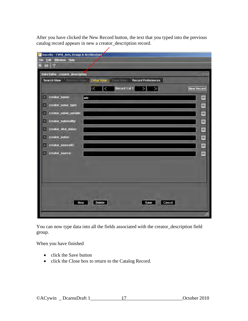After you have clicked the New Record button, the text that you typed into the previous catalog record appears in new a creator\_description record.

| Inscribe - CVPA_Arts, Design & Architecture<br>File Edit Window Help<br>$\mathbf{u}$   $\mathbf{v}$ |                                                               |                   |
|-----------------------------------------------------------------------------------------------------|---------------------------------------------------------------|-------------------|
| Data Editor - creator_description<br>Schmonthew<br><b>Search View</b>                               | <b>Editor View</b><br>Table View<br><b>Record Preferences</b> | е                 |
|                                                                                                     | Ķ.<br>Record 1 of 1<br>$\ll$<br>$\geq$<br>≻∣                  | <b>New Record</b> |
| creator_name:<br>画                                                                                  | adz                                                           | E                 |
| creator_name_type:<br>m                                                                             |                                                               | M                 |
| creator_name_variant:<br>画                                                                          |                                                               | $\blacksquare$    |
| creator_nationality:<br>服                                                                           |                                                               | $\blacksquare$    |
| creator_vital_dates:<br>画                                                                           |                                                               | $\blacksquare$    |
| creator_notes:<br>田                                                                                 |                                                               | $\blacksquare$    |
| creator_sourceID:<br>画                                                                              |                                                               | E                 |
| creator_source:<br>田                                                                                |                                                               | E                 |
|                                                                                                     |                                                               |                   |
| <b>New</b>                                                                                          | Cancel<br><b>Delete</b><br>Save                               |                   |

You can now type data into all the fields associated with the creator\_description field group.

When you have finished

- click the Save button
- click the Close box to return to the Catalog Record.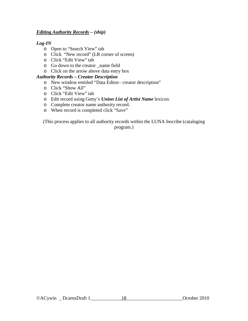#### *Editing Authority Records – (ship)*

#### *Log-IN*

- o Open to "Search View" tab
- o Click "New record" (LR corner of screen)
- o Click "Edit View" tab
- o Go down to the creator \_name field
- o Click on the arrow above data entry box

#### *Authority Records – Creator Description*

- o New window entitled "Data Editor– creator description"
- o Click "Show All"
- o Click "Edit View" tab
- o Edit record using Getty's *Union List of Artist Name* lexicon.
- o Complete creator name authority record.
- o When record is completed click "Save"

(This process applies to all authority records within the LUNA Inscribe (cataloging program.)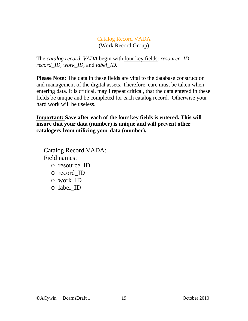# <span id="page-18-0"></span>Catalog Record VADA (Work Record Group)

The *catalog record\_VADA* begin with four key fields: *resource\_ID, record\_ID, work\_ID,* and *label\_ID*.

**Please Note:** The data in these fields are vital to the database construction and management of the digital assets. Therefore, care must be taken when entering data. It is critical, may I repeat critical, that the data entered in these fields be unique and be completed for each catalog record. Otherwise your hard work will be useless.

**Important: Save after each of the four key fields is entered. This will insure that your data (number) is unique and will prevent other catalogers from utilizing your data (number).** 

Catalog Record VADA: Field names: o resource\_ID o record\_ID o work\_ID o label\_ID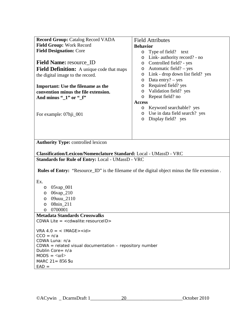<span id="page-19-0"></span>

| <b>Record Group: Catalog Record VADA</b><br>Field Group: Work Record<br><b>Field Designation: Core</b><br>Field Name: resource_ID<br><b>Field Definition:</b> A unique code that maps<br>the digital image to the record.<br>Important: Use the filename as the<br>convention minus the file extension.<br>And minus "1" or "f"<br>For example: 07hji_001 | <b>Field Attributes</b><br><b>Behavior</b><br>Type of field? text<br>$\circ$<br>Link-authority record? - no<br>$\circ$<br>o Controlled field? - yes<br>o Automatic field? – yes<br>Link - drop down list field? yes<br>$\circ$<br>Data entry? $-$ yes<br>$\circ$<br>Required field? yes<br>$\circ$<br>o Validation field? yes<br>o Repeat field? no<br><b>Access</b><br>Keyword searchable? yes<br>O<br>o Use in data field search? yes |
|-----------------------------------------------------------------------------------------------------------------------------------------------------------------------------------------------------------------------------------------------------------------------------------------------------------------------------------------------------------|-----------------------------------------------------------------------------------------------------------------------------------------------------------------------------------------------------------------------------------------------------------------------------------------------------------------------------------------------------------------------------------------------------------------------------------------|
| <b>Authority Type: controlled lexicon</b>                                                                                                                                                                                                                                                                                                                 | Display field? yes<br>$\circ$                                                                                                                                                                                                                                                                                                                                                                                                           |
| Classification/Lexicon/Nomenclature Standard: Local - UMassD - VRC                                                                                                                                                                                                                                                                                        |                                                                                                                                                                                                                                                                                                                                                                                                                                         |
| <b>Standards for Rule of Entry: Local - UMassD - VRC</b>                                                                                                                                                                                                                                                                                                  |                                                                                                                                                                                                                                                                                                                                                                                                                                         |
| <b>Rules of Entry:</b> "Resource_ID" is the filename of the digital object minus the file extension.                                                                                                                                                                                                                                                      |                                                                                                                                                                                                                                                                                                                                                                                                                                         |
| Ex.<br>05vap_001<br>$\circ$<br>06vap_210<br>O<br>09uuu 2110<br>O<br>08nin_211<br>$\circ$<br>0700001<br>O                                                                                                                                                                                                                                                  |                                                                                                                                                                                                                                                                                                                                                                                                                                         |
| <b>Metadata Standards Crosswalks</b>                                                                                                                                                                                                                                                                                                                      |                                                                                                                                                                                                                                                                                                                                                                                                                                         |
| CDWA Lite = $<$ cdwalite: resourceID >                                                                                                                                                                                                                                                                                                                    |                                                                                                                                                                                                                                                                                                                                                                                                                                         |
| VRA $4.0 =$ < IMAGE > < id ><br>$CCO = n/a$                                                                                                                                                                                                                                                                                                               |                                                                                                                                                                                                                                                                                                                                                                                                                                         |
| CDWA Luna: n/a<br>$CDWA = related visual documentation - repository number$<br>Dublin Core= n/a                                                                                                                                                                                                                                                           |                                                                                                                                                                                                                                                                                                                                                                                                                                         |
| $MODS = \langle url \rangle$<br>MARC $21 = 856$ \$u<br>$EAD =$                                                                                                                                                                                                                                                                                            |                                                                                                                                                                                                                                                                                                                                                                                                                                         |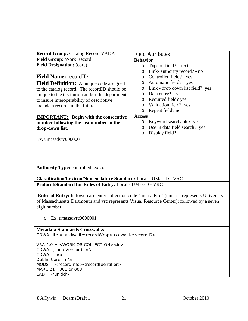<span id="page-20-0"></span>

| <b>Record Group: Catalog Record VADA</b>                                                                                                                                                                    | <b>Field Attributes</b>                |  |
|-------------------------------------------------------------------------------------------------------------------------------------------------------------------------------------------------------------|----------------------------------------|--|
| Field Group: Work Record                                                                                                                                                                                    | <b>Behavior</b>                        |  |
| <b>Field Designation:</b> (core)                                                                                                                                                                            | Type of field?<br>text<br>$\circ$      |  |
|                                                                                                                                                                                                             | Link-authority record? - no<br>$\circ$ |  |
| <b>Field Name: recordID</b>                                                                                                                                                                                 | Controlled field? - yes<br>$\circ$     |  |
| <b>Field Definition:</b> A unique code assigned                                                                                                                                                             | Automatic field? $-$ yes<br>$\circ$    |  |
| to the catalog record. The recordID should be                                                                                                                                                               | Link - drop down list field? yes<br>O  |  |
| unique to the institution and/or the department                                                                                                                                                             | Data entry? $-$ yes<br>$\circ$         |  |
| to insure interoperability of descriptive                                                                                                                                                                   | Required field? yes<br>$\circ$         |  |
| metadata records in the future.                                                                                                                                                                             | Validation field? yes<br>$\circ$       |  |
|                                                                                                                                                                                                             | Repeat field? no<br>O                  |  |
|                                                                                                                                                                                                             | <b>Access</b>                          |  |
| <b>IMPORTANT:</b> Begin with the consecutive                                                                                                                                                                | Keyword searchable? yes<br>$\circ$     |  |
| number following the last number in the                                                                                                                                                                     | Use in data field search? yes          |  |
| drop-down list.                                                                                                                                                                                             | O<br>Display field?<br>$\circ$         |  |
|                                                                                                                                                                                                             |                                        |  |
| Ex. umassdvrc0000001                                                                                                                                                                                        |                                        |  |
|                                                                                                                                                                                                             |                                        |  |
|                                                                                                                                                                                                             |                                        |  |
|                                                                                                                                                                                                             |                                        |  |
|                                                                                                                                                                                                             |                                        |  |
| <b>Authority Type: controlled lexicon</b>                                                                                                                                                                   |                                        |  |
|                                                                                                                                                                                                             |                                        |  |
| <b>Classification/Lexicon/Nomenclature Standard: Local - UMassD - VRC</b>                                                                                                                                   |                                        |  |
| Protocol/Standard for Rules of Entry: Local - UMassD - VRC                                                                                                                                                  |                                        |  |
| Rules of Entry: In lowercase enter collection code "umassdvrc" (umassd represents University<br>of Massachusetts Dartmouth and vrc represents Visual Resource Center); followed by a seven<br>digit number. |                                        |  |
| Ex. umassdvrc0000001<br>$\circ$                                                                                                                                                                             |                                        |  |
| <b>Metadata Standards Crosswalks</b><br>CDWA Lite = < cdwalite: recordWrap> < cdwalite: recordID>                                                                                                           |                                        |  |
| VRA $4.0 =$ <work collection="" or=""><id><br/><math>CDWA</math> (Luna Version) <math>n/a</math></id></work>                                                                                                |                                        |  |

CDWA: (Luna Version): n/a CDWA = n/a Dublin Core= n/a MODS = <recordInfo><recordIdentifier> MARC 21= 001 or 003  $EAD = \langle$ unitid $\rangle$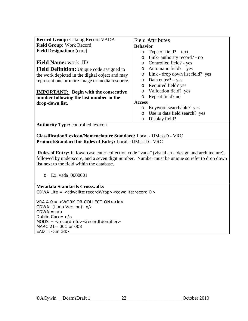<span id="page-21-0"></span>

| <b>Record Group: Catalog Record VADA</b>                                                                                                                                                                                                                                                                                                                                                     | <b>Field Attributes</b>                     |  |  |
|----------------------------------------------------------------------------------------------------------------------------------------------------------------------------------------------------------------------------------------------------------------------------------------------------------------------------------------------------------------------------------------------|---------------------------------------------|--|--|
| Field Group: Work Record                                                                                                                                                                                                                                                                                                                                                                     | <b>Behavior</b>                             |  |  |
| <b>Field Designation: (core)</b>                                                                                                                                                                                                                                                                                                                                                             | Type of field? text<br>$\circ$              |  |  |
|                                                                                                                                                                                                                                                                                                                                                                                              | Link-authority record? - no<br>$\circ$      |  |  |
| Field Name: work_ID                                                                                                                                                                                                                                                                                                                                                                          | Controlled field? - yes<br>$\circ$          |  |  |
| Field Definition: Unique code assigned to                                                                                                                                                                                                                                                                                                                                                    | Automatic field? – yes<br>$\circ$           |  |  |
| the work depicted in the digital object and may                                                                                                                                                                                                                                                                                                                                              | Link - drop down list field? yes<br>$\circ$ |  |  |
| represent one or more image or media resource.                                                                                                                                                                                                                                                                                                                                               | Data entry? $-$ yes<br>$\circ$              |  |  |
|                                                                                                                                                                                                                                                                                                                                                                                              | Required field? yes<br>$\circ$              |  |  |
| <b>IMPORTANT:</b> Begin with the consecutive                                                                                                                                                                                                                                                                                                                                                 | Validation field? yes<br>$\circ$            |  |  |
| number following the last number in the                                                                                                                                                                                                                                                                                                                                                      | Repeat field? no<br>$\circ$                 |  |  |
| drop-down list.                                                                                                                                                                                                                                                                                                                                                                              | <b>Access</b>                               |  |  |
|                                                                                                                                                                                                                                                                                                                                                                                              | Keyword searchable? yes<br>$\circ$          |  |  |
|                                                                                                                                                                                                                                                                                                                                                                                              | Use in data field search? yes<br>$\circ$    |  |  |
|                                                                                                                                                                                                                                                                                                                                                                                              | Display field?<br>$\circ$                   |  |  |
| <b>Classification/Lexicon/Nomenclature Standard: Local - UMassD - VRC</b><br>Protocol/Standard for Rules of Entry: Local - UMassD - VRC<br>Rules of Entry: In lowercase enter collection code "vada" (visual arts, design and architecture),<br>followed by underscore, and a seven digit number. Number must be unique so refer to drop down<br>list next to the field within the database. |                                             |  |  |
| Ex. vada_0000001<br>$\circ$                                                                                                                                                                                                                                                                                                                                                                  |                                             |  |  |
| <b>Metadata Standards Crosswalks</b><br>CDWA Lite = < cdwalite: recordWrap> < cdwalite: recordID><br>VRA $4.0 =$ <work collection="" or=""><id></id></work>                                                                                                                                                                                                                                  |                                             |  |  |
| CDWA: (Luna Version): n/a                                                                                                                                                                                                                                                                                                                                                                    |                                             |  |  |
| $CDWA = n/a$<br>Dublin Core= n/a                                                                                                                                                                                                                                                                                                                                                             |                                             |  |  |
| $MODS = <$ recordInfo> <recordidentifier></recordidentifier>                                                                                                                                                                                                                                                                                                                                 |                                             |  |  |
| MARC 21= 001 or 003                                                                                                                                                                                                                                                                                                                                                                          |                                             |  |  |
| $EAD = \langle$ unitid>                                                                                                                                                                                                                                                                                                                                                                      |                                             |  |  |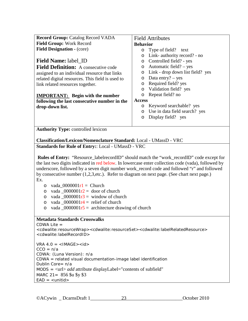<span id="page-22-0"></span>

| <b>Record Group: Catalog Record VADA</b>                                                                                                                                                                                                                                                                                                                                                            | <b>Field Attributes</b>            |  |  |
|-----------------------------------------------------------------------------------------------------------------------------------------------------------------------------------------------------------------------------------------------------------------------------------------------------------------------------------------------------------------------------------------------------|------------------------------------|--|--|
| Field Group: Work Record                                                                                                                                                                                                                                                                                                                                                                            | <b>Behavior</b>                    |  |  |
| <b>Field Designation - (core)</b>                                                                                                                                                                                                                                                                                                                                                                   | Type of field? text<br>$\circ$     |  |  |
|                                                                                                                                                                                                                                                                                                                                                                                                     | Link-authority record? - no<br>O   |  |  |
| <b>Field Name:</b> label_ID                                                                                                                                                                                                                                                                                                                                                                         | o Controlled field? - yes          |  |  |
| <b>Field Definition:</b> A consecutive code                                                                                                                                                                                                                                                                                                                                                         | o Automatic field? – yes           |  |  |
| assigned to an individual resource that links                                                                                                                                                                                                                                                                                                                                                       | o Link - drop down list field? yes |  |  |
| related digital resources. This field is used to                                                                                                                                                                                                                                                                                                                                                    | Data entry? $-$ yes<br>$\circ$     |  |  |
| link related resources together.                                                                                                                                                                                                                                                                                                                                                                    | o Required field? yes              |  |  |
|                                                                                                                                                                                                                                                                                                                                                                                                     | Validation field? yes<br>$\circ$   |  |  |
| <b>IMPORTANT:</b> Begin with the number                                                                                                                                                                                                                                                                                                                                                             | Repeat field? no<br>$\circ$        |  |  |
| following the last consecutive number in the                                                                                                                                                                                                                                                                                                                                                        | <b>Access</b>                      |  |  |
| drop-down list.                                                                                                                                                                                                                                                                                                                                                                                     | Keyword searchable? yes<br>$\circ$ |  |  |
|                                                                                                                                                                                                                                                                                                                                                                                                     | o Use in data field search? yes    |  |  |
|                                                                                                                                                                                                                                                                                                                                                                                                     | Display field? yes<br>O            |  |  |
|                                                                                                                                                                                                                                                                                                                                                                                                     |                                    |  |  |
|                                                                                                                                                                                                                                                                                                                                                                                                     |                                    |  |  |
| <b>Authority Type: controlled lexicon</b>                                                                                                                                                                                                                                                                                                                                                           |                                    |  |  |
| <b>Classification/Lexicon/Nomenclature Standard: Local - UMassD - VRC</b>                                                                                                                                                                                                                                                                                                                           |                                    |  |  |
| <b>Standards for Rule of Entry:: Local - UMassD - VRC</b>                                                                                                                                                                                                                                                                                                                                           |                                    |  |  |
|                                                                                                                                                                                                                                                                                                                                                                                                     |                                    |  |  |
| Rules of Entry: "Resource_labelrecordID" should match the "work_recordID" code except for<br>the last two digits indicated in red below. In lowercase enter collection code (vada), followed by<br>underscore, followed by a seven digit number work_record code and followed "r" and followed<br>by consecutive number (1,2,3, etc.). Refer to diagram on next page. (See chart next page.)<br>Ex. |                                    |  |  |
| vada_0000001 $r1 =$ Church<br>$\circ$                                                                                                                                                                                                                                                                                                                                                               |                                    |  |  |
| vada _0000001 $r2$ = door of church<br>$\circ$                                                                                                                                                                                                                                                                                                                                                      |                                    |  |  |
| vada _0000001 $r3$ = window of church<br>O                                                                                                                                                                                                                                                                                                                                                          |                                    |  |  |
| vada _0000001 $r4$ = relief of church<br>$\circ$                                                                                                                                                                                                                                                                                                                                                    |                                    |  |  |
| vada _0000001 $r5$ = architecture drawing of church<br>$\circ$                                                                                                                                                                                                                                                                                                                                      |                                    |  |  |
|                                                                                                                                                                                                                                                                                                                                                                                                     |                                    |  |  |
| <b>Metadata Standards Crosswalks</b><br>$CDWA$ Lite $=$<br><cdwalite:resourcewrap><cdwalite:resourceset><cdwalite:labelrelatedresource><br/><cdwalite:labelrecordid></cdwalite:labelrecordid></cdwalite:labelrelatedresource></cdwalite:resourceset></cdwalite:resourcewrap>                                                                                                                        |                                    |  |  |
|                                                                                                                                                                                                                                                                                                                                                                                                     |                                    |  |  |
| $VRA 4.0 = $<br>$CCO = n/a$                                                                                                                                                                                                                                                                                                                                                                         |                                    |  |  |
| CDWA: (Luna Version): n/a                                                                                                                                                                                                                                                                                                                                                                           |                                    |  |  |
| CDWA = related visual documentation-image label identification                                                                                                                                                                                                                                                                                                                                      |                                    |  |  |
| Dublin Core= n/a                                                                                                                                                                                                                                                                                                                                                                                    |                                    |  |  |
| $MODS = \langle url \rangle$ <i>add</i> attribute displayLabel="contents of subfield"                                                                                                                                                                                                                                                                                                               |                                    |  |  |
| MARC $21 = 856$ \$u \$y \$3                                                                                                                                                                                                                                                                                                                                                                         |                                    |  |  |
| $EAD = \langle$ unitid $\rangle$                                                                                                                                                                                                                                                                                                                                                                    |                                    |  |  |
|                                                                                                                                                                                                                                                                                                                                                                                                     |                                    |  |  |
|                                                                                                                                                                                                                                                                                                                                                                                                     |                                    |  |  |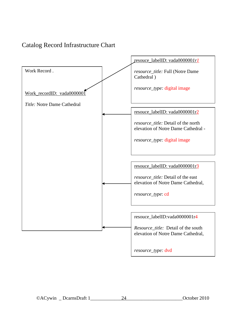# <span id="page-23-0"></span>Catalog Record Infrastructure Chart

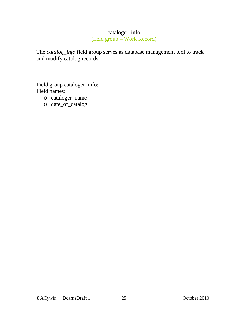## <span id="page-24-0"></span>cataloger\_info (field group – Work Record)

The *catalog\_info* field group serves as database management tool to track and modify catalog records.

Field group cataloger\_info: Field names:

- o cataloger\_name
- o date\_of\_catalog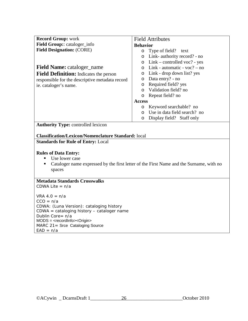<span id="page-25-0"></span>

| <b>Record Group: work</b>                                                            | <b>Field Attributes</b>                                                                 |  |  |
|--------------------------------------------------------------------------------------|-----------------------------------------------------------------------------------------|--|--|
|                                                                                      |                                                                                         |  |  |
| Field Group: cataloger_info                                                          | <b>Behavior</b>                                                                         |  |  |
| <b>Field Designation: (CORE)</b>                                                     | Type of field? text<br>$\circ$                                                          |  |  |
|                                                                                      | o Link-authority record? - no                                                           |  |  |
|                                                                                      | $\circ$ Link – controlled voc? - yes                                                    |  |  |
| <b>Field Name:</b> cataloger_name                                                    | o Link - automatic - $\text{voc?} - \text{no}$                                          |  |  |
| Field Definition: Indicates the person                                               | Link - drop down list? yes<br>$\circ$                                                   |  |  |
| responsible for the descriptive metadata record                                      | o Data entry? - no                                                                      |  |  |
| ie. cataloger's name.                                                                | o Required field? yes                                                                   |  |  |
|                                                                                      | Validation field? no<br>$\circ$                                                         |  |  |
|                                                                                      | o Repeat field? no                                                                      |  |  |
|                                                                                      | <b>Access</b>                                                                           |  |  |
|                                                                                      | Keyword searchable? no<br>$\circ$                                                       |  |  |
|                                                                                      | Use in data field search? no<br>O                                                       |  |  |
|                                                                                      | Display field? Staff only<br>$\circ$                                                    |  |  |
|                                                                                      |                                                                                         |  |  |
| <b>Authority Type: controlled lexicon</b>                                            |                                                                                         |  |  |
|                                                                                      |                                                                                         |  |  |
| <b>Classification/Lexicon/Nomenclature Standard: local</b>                           |                                                                                         |  |  |
| <b>Standards for Rule of Entry: Local</b>                                            |                                                                                         |  |  |
|                                                                                      |                                                                                         |  |  |
| <b>Rules of Data Entry:</b>                                                          |                                                                                         |  |  |
| Use lower case<br>٠                                                                  |                                                                                         |  |  |
| п                                                                                    | Cataloger name expressed by the first letter of the First Name and the Surname, with no |  |  |
| spaces                                                                               |                                                                                         |  |  |
|                                                                                      |                                                                                         |  |  |
| <b>Metadata Standards Crosswalks</b>                                                 |                                                                                         |  |  |
| CDWA Lite = $n/a$                                                                    |                                                                                         |  |  |
|                                                                                      |                                                                                         |  |  |
| $VRA 4.0 = n/a$                                                                      |                                                                                         |  |  |
| $CCO = n/a$                                                                          |                                                                                         |  |  |
| CDWA: (Luna Version): cataloging history                                             |                                                                                         |  |  |
| $CDWA = cataloging history - catalogue name$                                         |                                                                                         |  |  |
| Dublin Core= n/a                                                                     |                                                                                         |  |  |
|                                                                                      |                                                                                         |  |  |
|                                                                                      |                                                                                         |  |  |
| $MODS = <$ recordInfo>< $Oright>$<br>MARC 21 = Srce Cataloging Source<br>$EAD = n/a$ |                                                                                         |  |  |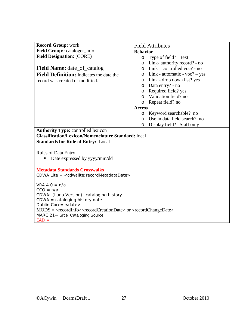<span id="page-26-0"></span>

| <b>Record Group: work</b>                                                                                                                        | <b>Field Attributes</b>                         |  |  |
|--------------------------------------------------------------------------------------------------------------------------------------------------|-------------------------------------------------|--|--|
| Field Group: cataloger_info                                                                                                                      | <b>Behavior</b>                                 |  |  |
| <b>Field Designation: (CORE)</b>                                                                                                                 | o Type of field? text                           |  |  |
|                                                                                                                                                  | o Link-authority record? - no                   |  |  |
| <b>Field Name:</b> date_of_catalog                                                                                                               | $\circ$ Link – controlled voc? - no             |  |  |
| <b>Field Definition:</b> Indicates the date the                                                                                                  | o Link - automatic - $\text{voc?} - \text{yes}$ |  |  |
| record was created or modified.                                                                                                                  | o Link - drop down list? yes                    |  |  |
|                                                                                                                                                  | Data entry? - no<br>$\circ$                     |  |  |
|                                                                                                                                                  | Required field? yes<br>$\circ$                  |  |  |
|                                                                                                                                                  | o Validation field? no                          |  |  |
|                                                                                                                                                  | o Repeat field? no                              |  |  |
|                                                                                                                                                  | <b>Access</b>                                   |  |  |
|                                                                                                                                                  | o Keyword searchable? no                        |  |  |
|                                                                                                                                                  | Use in data field search? no<br>$\Omega$        |  |  |
|                                                                                                                                                  | Display field? Staff only<br>$\circ$            |  |  |
| <b>Authority Type: controlled lexicon</b>                                                                                                        |                                                 |  |  |
| <b>Classification/Lexicon/Nomenclature Standard: local</b>                                                                                       |                                                 |  |  |
| <b>Standards for Rule of Entry:: Local</b>                                                                                                       |                                                 |  |  |
|                                                                                                                                                  |                                                 |  |  |
| <b>Rules of Data Entry</b>                                                                                                                       |                                                 |  |  |
| Date expressed by yyyy/mm/dd                                                                                                                     |                                                 |  |  |
|                                                                                                                                                  |                                                 |  |  |
| <b>Metadata Standards Crosswalks</b>                                                                                                             |                                                 |  |  |
| CDWA Lite = < cdwalite: recordMetadataDate>                                                                                                      |                                                 |  |  |
|                                                                                                                                                  |                                                 |  |  |
| $VRA 4.0 = n/a$                                                                                                                                  |                                                 |  |  |
| $CCO = n/a$                                                                                                                                      |                                                 |  |  |
| CDWA: (Luna Version): cataloging history                                                                                                         |                                                 |  |  |
| $CDWA = cataloging history date$<br>Dublin Core= <date></date>                                                                                   |                                                 |  |  |
|                                                                                                                                                  |                                                 |  |  |
| $MODS = \langle recordInfo \rangle \langle recordCreatingDate \rangle$ or $\langle recordChangeDate \rangle$<br>MARC 21 = Srce Cataloging Source |                                                 |  |  |
| $EAD =$                                                                                                                                          |                                                 |  |  |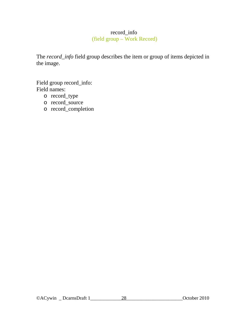## <span id="page-27-0"></span>record\_info (field group – Work Record)

The *record\_info* field group describes the item or group of items depicted in the image.

Field group record\_info: Field names:

- o record\_type
- o record\_source
- o record\_completion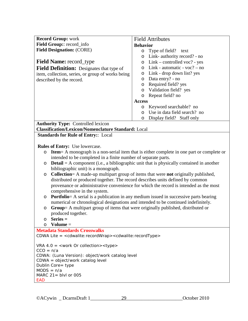<span id="page-28-0"></span>

| <b>Record Group: work</b><br><b>Field Attributes</b><br>Field Group: record_info<br><b>Behavior</b><br><b>Field Designation: (CORE)</b><br>Type of field? text<br>$\circ$<br>Link-authority record? - no<br>$\circ$<br><b>Field Name: record_type</b><br>$Link$ – controlled voc? - yes<br>$\circ$<br>Link - automatic - $\text{voc?} - \text{no}$<br><b>Field Definition:</b> Designates that type of<br>$\circ$<br>Link - drop down list? yes<br>item, collection, series, or group of works being<br>$\circ$<br>Data entry? - no<br>described by the record.<br>O                                                                                                                                                                                                                                                                                                                                                                                                                                                                                                         |  |  |  |
|------------------------------------------------------------------------------------------------------------------------------------------------------------------------------------------------------------------------------------------------------------------------------------------------------------------------------------------------------------------------------------------------------------------------------------------------------------------------------------------------------------------------------------------------------------------------------------------------------------------------------------------------------------------------------------------------------------------------------------------------------------------------------------------------------------------------------------------------------------------------------------------------------------------------------------------------------------------------------------------------------------------------------------------------------------------------------|--|--|--|
|                                                                                                                                                                                                                                                                                                                                                                                                                                                                                                                                                                                                                                                                                                                                                                                                                                                                                                                                                                                                                                                                              |  |  |  |
|                                                                                                                                                                                                                                                                                                                                                                                                                                                                                                                                                                                                                                                                                                                                                                                                                                                                                                                                                                                                                                                                              |  |  |  |
|                                                                                                                                                                                                                                                                                                                                                                                                                                                                                                                                                                                                                                                                                                                                                                                                                                                                                                                                                                                                                                                                              |  |  |  |
|                                                                                                                                                                                                                                                                                                                                                                                                                                                                                                                                                                                                                                                                                                                                                                                                                                                                                                                                                                                                                                                                              |  |  |  |
|                                                                                                                                                                                                                                                                                                                                                                                                                                                                                                                                                                                                                                                                                                                                                                                                                                                                                                                                                                                                                                                                              |  |  |  |
|                                                                                                                                                                                                                                                                                                                                                                                                                                                                                                                                                                                                                                                                                                                                                                                                                                                                                                                                                                                                                                                                              |  |  |  |
|                                                                                                                                                                                                                                                                                                                                                                                                                                                                                                                                                                                                                                                                                                                                                                                                                                                                                                                                                                                                                                                                              |  |  |  |
|                                                                                                                                                                                                                                                                                                                                                                                                                                                                                                                                                                                                                                                                                                                                                                                                                                                                                                                                                                                                                                                                              |  |  |  |
| Required field? yes<br>$\circ$                                                                                                                                                                                                                                                                                                                                                                                                                                                                                                                                                                                                                                                                                                                                                                                                                                                                                                                                                                                                                                               |  |  |  |
| Validation field? yes<br>$\circ$                                                                                                                                                                                                                                                                                                                                                                                                                                                                                                                                                                                                                                                                                                                                                                                                                                                                                                                                                                                                                                             |  |  |  |
| Repeat field? no<br>$\circ$                                                                                                                                                                                                                                                                                                                                                                                                                                                                                                                                                                                                                                                                                                                                                                                                                                                                                                                                                                                                                                                  |  |  |  |
| <b>Access</b>                                                                                                                                                                                                                                                                                                                                                                                                                                                                                                                                                                                                                                                                                                                                                                                                                                                                                                                                                                                                                                                                |  |  |  |
| Keyword searchable? no<br>$\circ$                                                                                                                                                                                                                                                                                                                                                                                                                                                                                                                                                                                                                                                                                                                                                                                                                                                                                                                                                                                                                                            |  |  |  |
| Use in data field search? no<br>$\circ$                                                                                                                                                                                                                                                                                                                                                                                                                                                                                                                                                                                                                                                                                                                                                                                                                                                                                                                                                                                                                                      |  |  |  |
| Display field? Staff only<br>O                                                                                                                                                                                                                                                                                                                                                                                                                                                                                                                                                                                                                                                                                                                                                                                                                                                                                                                                                                                                                                               |  |  |  |
| <b>Authority Type: Controlled lexicon</b>                                                                                                                                                                                                                                                                                                                                                                                                                                                                                                                                                                                                                                                                                                                                                                                                                                                                                                                                                                                                                                    |  |  |  |
| <b>Classification/Lexicon/Nomenclature Standard: Local</b>                                                                                                                                                                                                                                                                                                                                                                                                                                                                                                                                                                                                                                                                                                                                                                                                                                                                                                                                                                                                                   |  |  |  |
| <b>Standards for Rule of Entry:: Local</b>                                                                                                                                                                                                                                                                                                                                                                                                                                                                                                                                                                                                                                                                                                                                                                                                                                                                                                                                                                                                                                   |  |  |  |
| <b>Rules of Entry:</b> Use lowercase.<br><b>Item</b> = A monograph is a non-serial item that is either complete in one part or complete or<br>$\circ$<br>intended to be completed in a finite number of separate parts.<br><b>Detail</b> = A component (i.e., a bibliographic unit that is physically contained in another<br>$\circ$<br>bibliographic unit) is a monograph.<br><b>Collection</b> = A made-up multipart group of items that were <b>not</b> originally published,<br>$\circ$<br>distributed or produced together. The record describes units defined by common<br>provenance or administrative convenience for which the record is intended as the most<br>comprehensive in the system.<br><b>Portfolio</b> = A serial is a publication in any medium issued in successive parts bearing<br>$\circ$<br>numerical or chronological designations and intended to be continued indefinitely.<br><b>Group</b> = A multipart group of items that were originally published, distributed or<br>O<br>produced together.<br>$Series =$<br>$\circ$<br>$Volume =$<br>O |  |  |  |
| <b>Metadata Standards Crosswalks</b>                                                                                                                                                                                                                                                                                                                                                                                                                                                                                                                                                                                                                                                                                                                                                                                                                                                                                                                                                                                                                                         |  |  |  |
| CDWA Lite = <cdwalite:recordwrap><cdwalite:recordtype></cdwalite:recordtype></cdwalite:recordwrap>                                                                                                                                                                                                                                                                                                                                                                                                                                                                                                                                                                                                                                                                                                                                                                                                                                                                                                                                                                           |  |  |  |
|                                                                                                                                                                                                                                                                                                                                                                                                                                                                                                                                                                                                                                                                                                                                                                                                                                                                                                                                                                                                                                                                              |  |  |  |
| VRA $4.0 =$ <work collection="" or=""> <type><br/><math>CCO = n/a</math></type></work>                                                                                                                                                                                                                                                                                                                                                                                                                                                                                                                                                                                                                                                                                                                                                                                                                                                                                                                                                                                       |  |  |  |
| CDWA: (Luna Version): object/work catalog level                                                                                                                                                                                                                                                                                                                                                                                                                                                                                                                                                                                                                                                                                                                                                                                                                                                                                                                                                                                                                              |  |  |  |
| $CDWA = object/work catalog level$                                                                                                                                                                                                                                                                                                                                                                                                                                                                                                                                                                                                                                                                                                                                                                                                                                                                                                                                                                                                                                           |  |  |  |
| Dublin Core= type                                                                                                                                                                                                                                                                                                                                                                                                                                                                                                                                                                                                                                                                                                                                                                                                                                                                                                                                                                                                                                                            |  |  |  |
| $MODS = n/a$                                                                                                                                                                                                                                                                                                                                                                                                                                                                                                                                                                                                                                                                                                                                                                                                                                                                                                                                                                                                                                                                 |  |  |  |
| MARC $21 =$ blvl or 005                                                                                                                                                                                                                                                                                                                                                                                                                                                                                                                                                                                                                                                                                                                                                                                                                                                                                                                                                                                                                                                      |  |  |  |
| <b>EAD</b>                                                                                                                                                                                                                                                                                                                                                                                                                                                                                                                                                                                                                                                                                                                                                                                                                                                                                                                                                                                                                                                                   |  |  |  |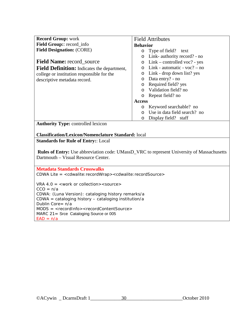<span id="page-29-0"></span>

| <b>Record Group: work</b>                                                                                                                | <b>Field Attributes</b>                   |  |  |
|------------------------------------------------------------------------------------------------------------------------------------------|-------------------------------------------|--|--|
| Field Group: record_info                                                                                                                 | <b>Behavior</b>                           |  |  |
| <b>Field Designation: (CORE)</b>                                                                                                         | Type of field? text                       |  |  |
|                                                                                                                                          | $\circ$<br>Link-authority record? - no    |  |  |
| <b>Field Name: record source</b>                                                                                                         | O<br>$\circ$ Link – controlled voc? - yes |  |  |
|                                                                                                                                          | $\circ$ Link - automatic - voc? – no      |  |  |
| Field Definition: Indicates the department,                                                                                              |                                           |  |  |
| college or institution responsible for the                                                                                               | o Link - drop down list? yes              |  |  |
| descriptive metadata record.                                                                                                             | Data entry? - no<br>$\circ$               |  |  |
|                                                                                                                                          | Required field? yes<br>O                  |  |  |
|                                                                                                                                          | Validation field? no<br>$\circ$           |  |  |
|                                                                                                                                          | Repeat field? no<br>$\circ$               |  |  |
|                                                                                                                                          | <b>Access</b>                             |  |  |
|                                                                                                                                          | Keyword searchable? no<br>O               |  |  |
|                                                                                                                                          | Use in data field search? no<br>O         |  |  |
| Display field? staff<br>$\circ$                                                                                                          |                                           |  |  |
| <b>Authority Type: controlled lexicon</b><br><b>Classification/Lexicon/Nomenclature Standard: local</b>                                  |                                           |  |  |
| <b>Standards for Rule of Entry:: Local</b>                                                                                               |                                           |  |  |
| <b>Rules of Entry:</b> Use abbreviation code: UMassD_VRC to represent University of Massachusetts<br>Dartmouth – Visual Resource Center. |                                           |  |  |
| <b>Metadata Standards Crosswalks</b>                                                                                                     |                                           |  |  |
| CDWA Lite = <cdwalite:recordwrap><cdwalite:recordsource></cdwalite:recordsource></cdwalite:recordwrap>                                   |                                           |  |  |
|                                                                                                                                          |                                           |  |  |
| VRA $4.0 =$ <work collection="" or=""> <source/></work>                                                                                  |                                           |  |  |
| $CCO = n/a$<br>CDWA: (Luna Version): cataloging history remarks/a                                                                        |                                           |  |  |
| $CDWA = cataloging history - cataloging institution/a$                                                                                   |                                           |  |  |
| Dublin Core= n/a                                                                                                                         |                                           |  |  |
| MODS = <recordinfo><recordcontentsource></recordcontentsource></recordinfo>                                                              |                                           |  |  |
| MARC 21= Srce Cataloging Source or 005                                                                                                   |                                           |  |  |
| $EAD = n/a$                                                                                                                              |                                           |  |  |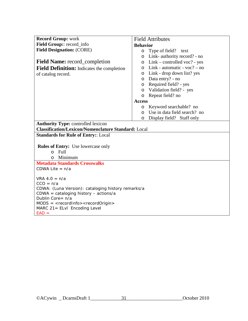<span id="page-30-0"></span>

| <b>Record Group: work</b>                                                                     | <b>Field Attributes</b>                  |  |  |
|-----------------------------------------------------------------------------------------------|------------------------------------------|--|--|
| Field Group: record_info                                                                      | <b>Behavior</b>                          |  |  |
| <b>Field Designation: (CORE)</b>                                                              | Type of field? text<br>$\circ$           |  |  |
|                                                                                               | Link-authority record? - no<br>$\circ$   |  |  |
| <b>Field Name:</b> record_completion                                                          | $\circ$ Link – controlled voc? - yes     |  |  |
| <b>Field Definition:</b> Indicates the completion                                             | $\circ$ Link - automatic - voc? – no     |  |  |
| of catalog record.                                                                            | Link - drop down list? yes<br>$\circ$    |  |  |
|                                                                                               | o Data entry? - no                       |  |  |
|                                                                                               | Required field? - yes<br>$\circ$         |  |  |
|                                                                                               | Validation field? - yes<br>$\circ$       |  |  |
|                                                                                               | Repeat field? no<br>$\circ$              |  |  |
|                                                                                               | <b>Access</b>                            |  |  |
|                                                                                               | o Keyword searchable? no                 |  |  |
|                                                                                               | Use in data field search? no<br>$\Omega$ |  |  |
|                                                                                               | o Display field? Staff only              |  |  |
| <b>Authority Type: controlled lexicon</b>                                                     |                                          |  |  |
| <b>Classification/Lexicon/Nomenclature Standard: Local</b>                                    |                                          |  |  |
| <b>Standards for Rule of Entry:: Local</b>                                                    |                                          |  |  |
|                                                                                               |                                          |  |  |
| <b>Rules of Entry:</b> Use lowercase only                                                     |                                          |  |  |
| Full<br>$\Omega$                                                                              |                                          |  |  |
| Minimum<br>$\Omega$                                                                           |                                          |  |  |
| <b>Metadata Standards Crosswalks</b>                                                          |                                          |  |  |
| CDWA Lite = $n/a$                                                                             |                                          |  |  |
|                                                                                               |                                          |  |  |
| $VRA 4.0 = n/a$                                                                               |                                          |  |  |
| $CCO = n/a$                                                                                   |                                          |  |  |
| CDWA: (Luna Version): cataloging history remarks/a<br>$CDWA = cataloging history - actions/a$ |                                          |  |  |
| Dublin Core= n/a                                                                              |                                          |  |  |
| $MODS = <$ recordInfo> <recordorigin></recordorigin>                                          |                                          |  |  |
| MARC 21= ELvI Encoding Level                                                                  |                                          |  |  |

 $EAD =$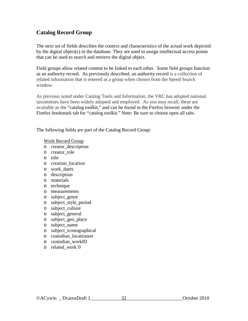# <span id="page-31-0"></span>**Catalog Record Group**

The next set of fields describes the context and characteristics of the actual work depicted by the digital object(s) in the database. They are used to assign intellectual access points that can be used to search and retrieve the digital object.

Field groups allow related content to be linked to each other. Some field groups function as an authority record. As previously described, an authority record is a collection of related information that is entered as a group when chosen from the Speed Search window.

As previous noted under Catalog Tools and Information, the VRC has adopted national taxonomies have been widely adopted and employed. As you may recall, these are available as the "catalog toolkit," and can be found in the Firefox browser under the Firefox bookmark tab for "catalog toolkit." Note: Be sure to choose open all tabs.

The following fields are part of the Catalog Record Group:

#### Work Record Group

- o creator\_description
- o creator\_role
- o title
- o creation\_location
- o work\_dates
- o description
- o materials
- o technique
- o measurements
- o subject\_genre
- o subject\_style\_period
- o subject\_culture
- o subject\_general
- o subject\_geo\_place
- o subject\_name
- o subject\_iconographical
- o custodian\_locationset
- o custodian\_workID
- o related\_work`0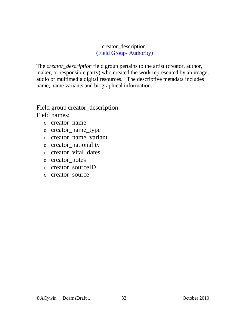### <span id="page-32-0"></span>creator\_description (Field Group- Authority)

The *creator\_description* field group pertains to the artist (creator, author, maker, or responsible party) who created the work represented by an image, audio or multimedia digital resources. The descriptive metadata includes name, name variants and biographical information.

Field group creator\_description: Field names:

- o creator\_name
- o creator\_name\_type
- o creator\_name\_variant
- o creator\_nationality
- o creator\_vital\_dates
- o creator\_notes
- o creator\_sourceID
- o creator\_source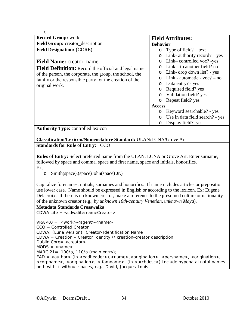<span id="page-33-0"></span>

| $\circ$                                                                                                                                                                                                                                                       |                                                                                                                                                                                                                                                                                                                                                                                                                                                                                                                 |
|---------------------------------------------------------------------------------------------------------------------------------------------------------------------------------------------------------------------------------------------------------------|-----------------------------------------------------------------------------------------------------------------------------------------------------------------------------------------------------------------------------------------------------------------------------------------------------------------------------------------------------------------------------------------------------------------------------------------------------------------------------------------------------------------|
| <b>Record Group: work</b>                                                                                                                                                                                                                                     | <b>Field Attributes:</b>                                                                                                                                                                                                                                                                                                                                                                                                                                                                                        |
| Field Group: creator_description                                                                                                                                                                                                                              | <b>Behavior</b>                                                                                                                                                                                                                                                                                                                                                                                                                                                                                                 |
| <b>Field Designation: (CORE)</b><br>Field Name: creator_name<br>Field Definition: Record the official and legal name<br>of the person, the corporate, the group, the school, the<br>family or the responsible party for the creation of the<br>original work. | Type of field?<br>text<br>$\circ$<br>Link- authority record? $-$ yes<br>$\circ$<br>Link-controlled voc? - yes<br>$\circ$<br>Link $-$ to another field? no<br>Link-drop down list? - yes<br>$\circ$<br>Link - automatic - $\text{voc?} - \text{no}$<br>Data entry? - yes<br>$\circ$<br>Required field? yes<br>$\circ$<br>Validation field? yes<br>$\circ$<br>Repeat field? yes<br>$\circ$<br><b>Access</b><br>Keyword searchable? - yes<br>$\circ$<br>Use in data field search? - yes<br>O<br>Display field? yes |
| <b>Authority Type: controlled lexicon</b>                                                                                                                                                                                                                     | $\circ$                                                                                                                                                                                                                                                                                                                                                                                                                                                                                                         |

**Classification/Lexicon/Nomenclature Standard:** ULAN/LCNA/Grove Art **Standards for Rule of Entry:**: CCO

**Rules of Entry:** Select preferred name from the ULAN, LCNA or Grove Art. Enter surname, followed by space and comma, space and first name, space and initials, honorifics. Ex.

o Smith(space),(space)John(space) Jr.)

Capitalize forenames, initials, surnames and honorifics. If name includes articles or preposition use lower case. Name should be expressed in English or according to the lexicon. Ex: Eugene Delacroix. If there is no known creator, make a reference to the presumed culture or nationality of the unknown creator (e.g., *by unknown 16th-century Venetian, unknown Maya*).

#### **Metadata Standards Crosswalks**

CDWA Lite = <cdwalite:nameCreator>

VRA  $4.0 =$  <work><agent><name> CCO = Controlled Creator CDWA: (Luna Version): Creator-Identification Name CDWA = Creation – Creator Identity // creation-creator description Dublin Core= <creator>  $MODS =$ MARC 21= 100/a, 110/a (main entry);  $EAD = \langle$  author  $\rangle$  (in  $\langle$  eadheader  $\rangle$ ),  $\langle$  name  $\rangle$ ,  $\langle$  origination  $\rangle$ ,  $\rangle$ ,  $\langle$  origination  $\rangle$ , <corpname>, <origination>, < famname>, (in <archdesc>) Include hypenatal natal names both with + without spaces, c.g., David, Jacques-Louis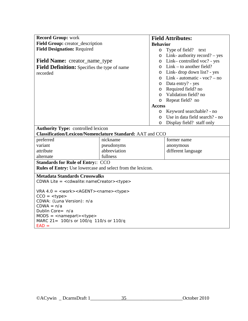<span id="page-34-0"></span>

| <b>Record Group: work</b>                                         |              |                 | <b>Field Attributes:</b>                     |
|-------------------------------------------------------------------|--------------|-----------------|----------------------------------------------|
| Field Group: creator_description                                  |              | <b>Behavior</b> |                                              |
| <b>Field Designation: Required</b>                                |              | $\circ$         | Type of field?<br>text                       |
|                                                                   |              | $\circ$         | Link- authority record? $-$ yes              |
| <b>Field Name:</b> creator_name_type                              |              | $\circ$         | Link-controlled voc? - yes                   |
| <b>Field Definition:</b> Specifies the type of name               |              | $\circ$         | Link – to another field?                     |
| recorded                                                          |              | $\circ$         | Link- drop down list? - yes                  |
|                                                                   |              | $\circ$         | Link - automatic - $\text{voc?} - \text{no}$ |
|                                                                   |              | $\circ$         | Data entry? - yes                            |
|                                                                   |              | $\circ$         | Required field? no                           |
|                                                                   |              | $\circ$         | Validation field? no                         |
|                                                                   |              | $\circ$         | Repeat field? no                             |
|                                                                   |              | <b>Access</b>   |                                              |
|                                                                   |              | $\circ$         | Keyword searchable? - no                     |
|                                                                   |              | O               | Use in data field search? - no               |
|                                                                   |              | $\circ$         | Display field? staff only                    |
| <b>Authority Type: controlled lexicon</b>                         |              |                 |                                              |
| <b>Classification/Lexicon/Nomenclature Standard: AAT and CCO</b>  |              |                 |                                              |
| preferred                                                         | nickname     |                 | former name                                  |
| variant                                                           | pseudonyms   |                 | anonymous                                    |
| attribute                                                         | abbreviation |                 | different language                           |
| alternate                                                         | fullness     |                 |                                              |
| <b>Standards for Rule of Entry:: CCO</b>                          |              |                 |                                              |
| <b>Rules of Entry:</b> Use lowercase and select from the lexicon. |              |                 |                                              |
| <b>Metadata Standards Crosswalks</b>                              |              |                 |                                              |
| CDWA Lite = < cdwalite: nameCreator> < type>                      |              |                 |                                              |
|                                                                   |              |                 |                                              |
| VRA $4.0 = <$ work> <agent><name><type></type></name></agent>     |              |                 |                                              |
| $CCO = $                                                          |              |                 |                                              |
| CDWA: (Luna Version): n/a<br>$CDWA = n/a$                         |              |                 |                                              |
| Dublin Core= n/a                                                  |              |                 |                                              |
| $MODS = \langle namepart \rangle \langle type \rangle$            |              |                 |                                              |
| MARC 21= 100/s or 100/q 110/s or 110/q                            |              |                 |                                              |
| $EAD =$                                                           |              |                 |                                              |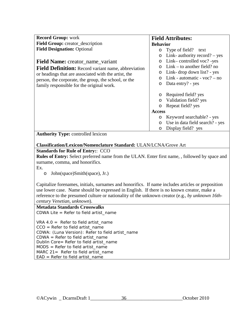<span id="page-35-0"></span>

| <b>Record Group: work</b>                                                                         | <b>Field Attributes:</b>                   |  |  |
|---------------------------------------------------------------------------------------------------|--------------------------------------------|--|--|
| Field Group: creator_description                                                                  | <b>Behavior</b>                            |  |  |
| <b>Field Designation: Optional</b>                                                                | Type of field? text<br>$\circ$             |  |  |
|                                                                                                   | Link- authority record? $-$ yes<br>$\circ$ |  |  |
| <b>Field Name:</b> creator_name_variant                                                           | o Link-controlled voc? -yes                |  |  |
| <b>Field Definition:</b> Record variant name, abbreviation                                        | Link – to another field? no<br>$\circ$     |  |  |
| or headings that are associated with the artist, the                                              | o Link- drop down list? - yes              |  |  |
| person, the corporate, the group, the school, or the                                              | $\circ$ Link - automatic - voc? – no       |  |  |
| family responsible for the original work.                                                         | Data entry? - yes<br>$\circ$               |  |  |
|                                                                                                   |                                            |  |  |
|                                                                                                   | Required field? yes<br>O                   |  |  |
|                                                                                                   | Validation field? yes<br>$\circ$           |  |  |
|                                                                                                   | Repeat field? yes<br>$\circ$               |  |  |
|                                                                                                   | <b>Access</b>                              |  |  |
|                                                                                                   | o Keyword searchable? - yes                |  |  |
|                                                                                                   | Use in data field search? - yes<br>$\circ$ |  |  |
|                                                                                                   | Display field? yes<br>$\circ$              |  |  |
| <b>Authority Type: controlled lexicon</b>                                                         |                                            |  |  |
|                                                                                                   |                                            |  |  |
| <b>Classification/Lexicon/Nomenclature Standard: ULAN/LCNA/Grove Art</b>                          |                                            |  |  |
| <b>Standards for Rule of Entry:: CCO</b>                                                          |                                            |  |  |
| Rules of Entry: Select preferred name from the ULAN. Enter first name, , followed by space and    |                                            |  |  |
| surname, comma, and honorifics.                                                                   |                                            |  |  |
| Ex.                                                                                               |                                            |  |  |
| John(space)Smith(space), Jr.)<br>O                                                                |                                            |  |  |
|                                                                                                   |                                            |  |  |
| Capitalize forenames, initials, surnames and honorifics. If name includes articles or preposition |                                            |  |  |
| use lower case. Name should be expressed in English. If there is no known creator, make a         |                                            |  |  |
| reference to the presumed culture or nationality of the unknown creator (e.g., by unknown 16th-   |                                            |  |  |
| century Venetian, unknown).                                                                       |                                            |  |  |
| <b>Metadata Standards Crosswalks</b>                                                              |                                            |  |  |
| CDWA Lite = Refer to field artist_name                                                            |                                            |  |  |
|                                                                                                   |                                            |  |  |
| VRA $4.0$ = Refer to field artist_name<br>$CCO =$ Refer to field artist_name                      |                                            |  |  |
| CDWA: (Luna Version): Refer to field artist_name                                                  |                                            |  |  |
| $CDWA = Refer to field artist_name$                                                               |                                            |  |  |
| Dublin Core= Refer to field artist_name                                                           |                                            |  |  |
| $MODS = Refer to field artist_name$                                                               |                                            |  |  |
| MARC $21 =$ Refer to field artist name                                                            |                                            |  |  |
| $EAD = Refer to field artist_name$                                                                |                                            |  |  |
|                                                                                                   |                                            |  |  |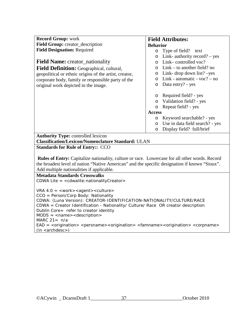| <b>Record Group: work</b>                                                                                                                                                  |                                     | <b>Field Attributes:</b>             |
|----------------------------------------------------------------------------------------------------------------------------------------------------------------------------|-------------------------------------|--------------------------------------|
| Field Group: creator_description                                                                                                                                           | <b>Behavior</b>                     |                                      |
| Field Designation: Required                                                                                                                                                | Type of field?<br>text<br>$\circ$   |                                      |
|                                                                                                                                                                            | $\circ$                             | Link- authority record? $-$ yes      |
| <b>Field Name:</b> creator_nationality                                                                                                                                     | $\circ$                             | Link-controlled voc?                 |
| Field Definition: Geographical, cultural,                                                                                                                                  | $\circ$ Link – to another field? no |                                      |
|                                                                                                                                                                            |                                     | $\circ$ Link-drop down list? -yes    |
| geopolitical or ethnic origins of the artist, creator,                                                                                                                     |                                     | $\circ$ Link - automatic - voc? – no |
| corporate body, family or responsible party of the                                                                                                                         | O                                   | Data entry? - yes                    |
| original work depicted in the image.                                                                                                                                       |                                     |                                      |
|                                                                                                                                                                            | $\circ$                             | Required field? - yes                |
|                                                                                                                                                                            | O                                   | Validation field? - yes              |
|                                                                                                                                                                            | $\circ$                             | Repeat field? - yes                  |
|                                                                                                                                                                            | <b>Access</b>                       |                                      |
|                                                                                                                                                                            | $\circ$                             | Keyword searchable? - yes            |
|                                                                                                                                                                            | O                                   | Use in data field search? - yes      |
|                                                                                                                                                                            | $\circ$                             | Display field? full/brief            |
| <b>Authority Type: controlled lexicon</b>                                                                                                                                  |                                     |                                      |
| <b>Classification/Lexicon/Nomenclature Standard: ULAN</b>                                                                                                                  |                                     |                                      |
| <b>Standards for Rule of Entry:: CCO</b>                                                                                                                                   |                                     |                                      |
|                                                                                                                                                                            |                                     |                                      |
|                                                                                                                                                                            |                                     |                                      |
|                                                                                                                                                                            |                                     |                                      |
| <b>Rules of Entry:</b> Capitalize nationality, culture or race. Lowercase for all other words. Record                                                                      |                                     |                                      |
| the broadest level of nation "Native American" and the specific designation if known "Sioux".                                                                              |                                     |                                      |
| Add multiple nationalities if applicable.                                                                                                                                  |                                     |                                      |
| <b>Metadata Standards Crosswalks</b>                                                                                                                                       |                                     |                                      |
| CDWA Lite = < cdwalite: nationality Creator>                                                                                                                               |                                     |                                      |
| VRA $4.0 = <$ work> < agent > < culture >                                                                                                                                  |                                     |                                      |
| CCO = Person/Corp Body: Nationality                                                                                                                                        |                                     |                                      |
| CDWA: (Luna Version): CREATOR-IDENTIFICATION-NATIONALITY/CULTURE/RACE                                                                                                      |                                     |                                      |
| CDWA = Creator Identification - Nationality/ Culture/ Race OR creator description                                                                                          |                                     |                                      |
| Dublin Core= refer to creator identity                                                                                                                                     |                                     |                                      |
| $MODS = \langle name \rangle \langle description \rangle$                                                                                                                  |                                     |                                      |
| MARC $21 = n/a$<br>EAD = <origination> <persname><origination> <famname><origination> <corpname></corpname></origination></famname></origination></persname></origination> |                                     |                                      |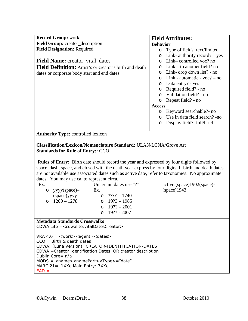| <b>Record Group: work</b><br>Field Group: creator_description<br><b>Field Designation: Required</b><br>Field Name: creator_vital_dates<br><b>Field Definition:</b> Artist's or creator's birth and death<br>dates or corporate body start and end dates.                                                                                                                                                                                                                                                                                                        | <b>Field Attributes:</b><br><b>Behavior</b><br>Type of field? text/limited<br>$\circ$<br>Link- authority record? $-$ yes<br>$\circ$<br>o Link-controlled voc? no<br>$\circ$ Link – to another field? no<br>Link-drop down list? - no<br>$\circ$                                                                           |
|-----------------------------------------------------------------------------------------------------------------------------------------------------------------------------------------------------------------------------------------------------------------------------------------------------------------------------------------------------------------------------------------------------------------------------------------------------------------------------------------------------------------------------------------------------------------|---------------------------------------------------------------------------------------------------------------------------------------------------------------------------------------------------------------------------------------------------------------------------------------------------------------------------|
|                                                                                                                                                                                                                                                                                                                                                                                                                                                                                                                                                                 | Link - automatic - $\text{voc?} - \text{no}$<br>$\circ$<br>Data entry? - yes<br>$\circ$<br>Required field? - no<br>$\circ$<br>Validation field? - no<br>$\circ$<br>o Repeat field? - no<br><b>Access</b><br>Keyword searchable?- no<br>$\circ$<br>o Use in data field search? -no<br>Display field? full/brief<br>$\circ$ |
| <b>Authority Type: controlled lexicon</b>                                                                                                                                                                                                                                                                                                                                                                                                                                                                                                                       |                                                                                                                                                                                                                                                                                                                           |
| <b>Classification/Lexicon/Nomenclature Standard: ULAN/LCNA/Grove Art</b><br><b>Standards for Rule of Entry:: CCO</b>                                                                                                                                                                                                                                                                                                                                                                                                                                            |                                                                                                                                                                                                                                                                                                                           |
| <b>Rules of Entry:</b> Birth date should record the year and expressed by four digits followed by<br>space, dash, space, and closed with the death year express by four digits. If birth and death dates<br>are not available use associated dates such as active date, refer to taxonomies. No approximate<br>dates. You may use ca. to represent circa.<br>Ex.<br>Uncertain dates use "?"<br>Ex.<br>yyyy(space)-<br>$\circ$<br>$0$ ???? - 1740<br>(space) yyyy<br>$1200 - 1278$<br>o $19?3 - 1985$<br>O<br>$197? - 2001$<br>$\circ$<br>19?? - 2007<br>$\circ$ | active:(space)1902(space)-<br>$(space)$ 1943                                                                                                                                                                                                                                                                              |
| <b>Metadata Standards Crosswalks</b><br>CDWA Lite = < cdwalite: vitalDatesCreator>                                                                                                                                                                                                                                                                                                                                                                                                                                                                              |                                                                                                                                                                                                                                                                                                                           |
| VRA $4.0 =$ <work> <agent> <dates><br/><math>CCO = Birth &amp; death dates</math><br/>CDWA: (Luna Version): CREATOR-IDENTIFICATION-DATES<br/>CDWA = Creator Identification Dates OR creator description<br/>Dublin Core= n/a<br/><math>MODS = \langle name \rangle \langle namePart \rangle \langle Type \rangle = "date"</math><br/>MARC <math>21 = 1</math>XXe Main Entry; 7XXe<br/><math>EAD =</math></dates></agent></work>                                                                                                                                 |                                                                                                                                                                                                                                                                                                                           |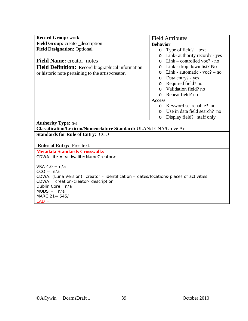| <b>Record Group: work</b>                                                                              | <b>Field Attributes</b>                                 |  |  |
|--------------------------------------------------------------------------------------------------------|---------------------------------------------------------|--|--|
| Field Group: creator_description                                                                       | <b>Behavior</b>                                         |  |  |
| <b>Field Designation: Optional</b>                                                                     | Type of field? text<br>$\circ$                          |  |  |
|                                                                                                        | Link- authority record? - yes<br>$\circ$                |  |  |
| <b>Field Name:</b> creator notes                                                                       | $Link$ – controlled voc? - no<br>$\Omega$               |  |  |
| Field Definition: Record biographical information                                                      | Link - drop down list? No<br>$\circ$                    |  |  |
| or historic note pertaining to the artist/creator.                                                     | Link - automatic - $\text{voc?} - \text{no}$<br>$\circ$ |  |  |
|                                                                                                        | Data entry? - yes<br>$\circ$                            |  |  |
|                                                                                                        | Required field? no<br>$\circ$                           |  |  |
|                                                                                                        | Validation field? no<br>$\circ$                         |  |  |
|                                                                                                        | Repeat field? no<br>$\circ$                             |  |  |
|                                                                                                        | <b>Access</b>                                           |  |  |
|                                                                                                        | Keyword searchable? no<br>$\circ$                       |  |  |
|                                                                                                        | Use in data field search? no<br>$\Omega$                |  |  |
|                                                                                                        | Display field? staff only<br>$\circ$                    |  |  |
|                                                                                                        |                                                         |  |  |
| <b>Authority Type: n/a</b><br><b>Classification/Lexicon/Nomenclature Standard: ULAN/LCNA/Grove Art</b> |                                                         |  |  |
|                                                                                                        |                                                         |  |  |
| <b>Standards for Rule of Entry:: CCO</b>                                                               |                                                         |  |  |
|                                                                                                        |                                                         |  |  |
| <b>Rules of Entry:</b> Free text.                                                                      |                                                         |  |  |
| <b>Metadata Standards Crosswalks</b>                                                                   |                                                         |  |  |
| CDWA Lite = < cdwalite: NameCreator>                                                                   |                                                         |  |  |
| $VRA 4.0 = n/a$                                                                                        |                                                         |  |  |
| $CCO = n/a$                                                                                            |                                                         |  |  |
| CDWA: (Luna Version): creator – identification – dates/locations-places of activities                  |                                                         |  |  |
| $CDWA = creation-creator - description$                                                                |                                                         |  |  |
| Dublin Core= n/a                                                                                       |                                                         |  |  |
| $MODS = n/a$                                                                                           |                                                         |  |  |
| MARC $21 = 545/$                                                                                       |                                                         |  |  |
| $EAD =$                                                                                                |                                                         |  |  |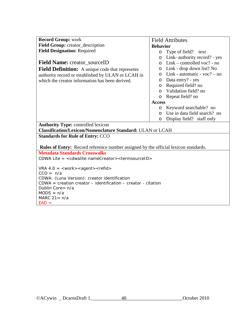| <b>Record Group: work</b>                                                                  | <b>Field Attributes</b>                  |  |  |
|--------------------------------------------------------------------------------------------|------------------------------------------|--|--|
| Field Group: creator_description                                                           | <b>Behavior</b>                          |  |  |
| <b>Field Designation: Required</b>                                                         | Type of field? text<br>$\circ$           |  |  |
|                                                                                            | o Link-authority record? - yes           |  |  |
| <b>Field Name:</b> creator_sourceID                                                        | $\circ$ Link – controlled voc? - no      |  |  |
| Field Definition: A unique code that represents                                            | $\circ$ Link - drop down list? No        |  |  |
| authority record or established by ULAN or LCAH in                                         | $\circ$ Link - automatic - voc? – no     |  |  |
| which the creator information has been derived.                                            | o Data entry? - yes                      |  |  |
|                                                                                            | Required field? no<br>$\circ$            |  |  |
|                                                                                            | Validation field? no<br>$\circ$          |  |  |
|                                                                                            | o Repeat field? no                       |  |  |
|                                                                                            | <b>Access</b>                            |  |  |
|                                                                                            | Keyword searchable? no<br>$\circ$        |  |  |
|                                                                                            | Use in data field search? no<br>$\Omega$ |  |  |
|                                                                                            | Display field? staff only<br>$\circ$     |  |  |
| <b>Authority Type: controlled lexicon</b>                                                  |                                          |  |  |
| <b>Classification/Lexicon/Nomenclature Standard: ULAN or LCAH</b>                          |                                          |  |  |
| <b>Standards for Rule of Entry: CCO</b>                                                    |                                          |  |  |
|                                                                                            |                                          |  |  |
| <b>Rules of Entry:</b> Record reference number assigned by the official lexicon standards. |                                          |  |  |
| <b>Metadata Standards Crosswalks</b>                                                       |                                          |  |  |
| CDWA Lite = <cdwalite: namecreator=""><termsourceid></termsourceid></cdwalite:>            |                                          |  |  |
|                                                                                            |                                          |  |  |
| VRA $4.0 =$ <work> <agent> <refid></refid></agent></work>                                  |                                          |  |  |
| $CCO = n/a$                                                                                |                                          |  |  |
| CDWA: (Luna Version): creator identification                                               |                                          |  |  |
| $CDWA = creation creator - identification - creator - citation$<br>Dublin Core= n/a        |                                          |  |  |
| $MODS = n/a$                                                                               |                                          |  |  |
| MARC $21 = n/a$                                                                            |                                          |  |  |
| $EAD =$                                                                                    |                                          |  |  |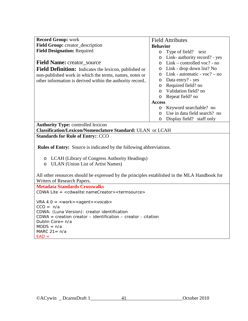| <b>Record Group: work</b>                                                                     | <b>Field Attributes</b>                                 |  |  |
|-----------------------------------------------------------------------------------------------|---------------------------------------------------------|--|--|
| Field Group: creator_description                                                              | <b>Behavior</b>                                         |  |  |
| <b>Field Designation: Required</b>                                                            | Type of field? text<br>$\circ$                          |  |  |
|                                                                                               | Link-authority record? - yes<br>$\circ$                 |  |  |
| <b>Field Name: creator_source</b>                                                             | $Link$ – controlled voc? - no<br>$\circ$                |  |  |
| Field Definition: Indicates the lexicon, published or                                         | Link - drop down list? No<br>$\circ$                    |  |  |
| non-published work in which the terms, names, notes or                                        | Link - automatic - $\text{voc?} - \text{no}$<br>$\circ$ |  |  |
| other information is derived within the authority record                                      | Data entry? - yes<br>$\circ$                            |  |  |
|                                                                                               | Required field? no<br>$\circ$                           |  |  |
|                                                                                               | Validation field? no<br>$\circ$                         |  |  |
|                                                                                               | Repeat field? no<br>$\circ$                             |  |  |
|                                                                                               | <b>Access</b>                                           |  |  |
|                                                                                               | o Keyword searchable? no                                |  |  |
|                                                                                               | Use in data field search? no<br>$\circ$                 |  |  |
|                                                                                               | Display field? staff only<br>$\circ$                    |  |  |
| <b>Authority Type: controlled lexicon</b>                                                     |                                                         |  |  |
| Classification/Lexicon/Nomenclature Standard: ULAN or LCAH                                    |                                                         |  |  |
| <b>Standards for Rule of Entry:: CCO</b>                                                      |                                                         |  |  |
|                                                                                               |                                                         |  |  |
| <b>Rules of Entry:</b> Source is indicated by the following abbreviations.                    |                                                         |  |  |
|                                                                                               |                                                         |  |  |
| <b>LCAH</b> (Library of Congress Authority Headings)<br>O                                     |                                                         |  |  |
| <b>ULAN</b> (Union List of Artist Names)<br>$\circ$                                           |                                                         |  |  |
|                                                                                               |                                                         |  |  |
| All other resources should be expressed by the principles established in the MLA Handbook for |                                                         |  |  |
| Writers of Research Papers.                                                                   |                                                         |  |  |
| <b>Metadata Standards Crosswalks</b>                                                          |                                                         |  |  |
| CDWA Lite = < cdwalite: nameCreator> < termsource>                                            |                                                         |  |  |
|                                                                                               |                                                         |  |  |
| VRA $4.0 =$ <work> <agent> <vocab><br/><math>CCO = n/a</math></vocab></agent></work>          |                                                         |  |  |
| CDWA: (Luna Version): creator identification                                                  |                                                         |  |  |
| $CDWA = creation creator - identification - creator - citation$                               |                                                         |  |  |
| Dublin Core= n/a                                                                              |                                                         |  |  |
| $MODS = n/a$                                                                                  |                                                         |  |  |
| MARC $21 = n/a$                                                                               |                                                         |  |  |
| $EAD =$                                                                                       |                                                         |  |  |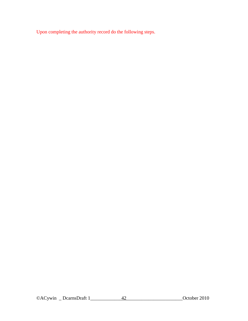Upon completing the authority record do the following steps.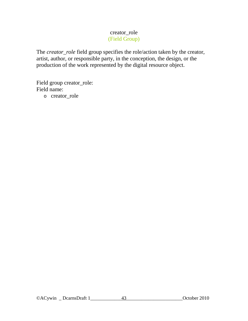## creator\_role (Field Group)

The *creator\_role* field group specifies the role/action taken by the creator, artist, author, or responsible party, in the conception, the design, or the production of the work represented by the digital resource object.

Field group creator\_role: Field name:

o creator\_role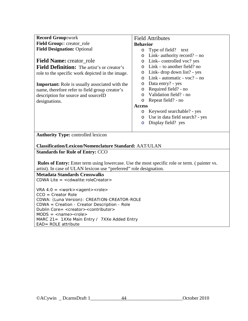| <b>Record Group:</b> work                                                                           | <b>Field Attributes</b>                                                 |  |  |  |
|-----------------------------------------------------------------------------------------------------|-------------------------------------------------------------------------|--|--|--|
| Field Group: creator_role                                                                           | <b>Behavior</b>                                                         |  |  |  |
| <b>Field Designation: Optional</b>                                                                  |                                                                         |  |  |  |
|                                                                                                     | Type of field? text<br>$\circ$                                          |  |  |  |
| <b>Field Name:</b> creator role                                                                     | Link- authority record? $-$ no<br>$\circ$<br>o Link-controlled voc? yes |  |  |  |
|                                                                                                     | Link – to another field? no<br>$\circ$                                  |  |  |  |
| <b>Field Definition:</b> The artist's or creator's                                                  |                                                                         |  |  |  |
| role to the specific work depicted in the image.                                                    | Link- drop down list? - yes<br>$\circ$                                  |  |  |  |
|                                                                                                     | Link - automatic - $\text{voc?} - \text{no}$<br>$\circ$                 |  |  |  |
| <b>Important:</b> Role is usually associated with the                                               | Data entry? - yes<br>$\circ$                                            |  |  |  |
| name, therefore refer to field group creator's                                                      | Required field? - no<br>$\circ$                                         |  |  |  |
| description for source and sourceID                                                                 | Validation field? - no<br>$\circ$                                       |  |  |  |
| designations.                                                                                       | Repeat field? - no<br>$\circ$                                           |  |  |  |
|                                                                                                     | <b>Access</b>                                                           |  |  |  |
|                                                                                                     | Keyword searchable? - yes<br>$\circ$                                    |  |  |  |
|                                                                                                     | Use in data field search? - yes<br>$\circ$                              |  |  |  |
|                                                                                                     | Display field? yes<br>$\circ$                                           |  |  |  |
|                                                                                                     |                                                                         |  |  |  |
| <b>Authority Type: controlled lexicon</b>                                                           |                                                                         |  |  |  |
|                                                                                                     |                                                                         |  |  |  |
| <b>Classification/Lexicon/Nomenclature Standard: AAT/ULAN</b>                                       |                                                                         |  |  |  |
| <b>Standards for Rule of Entry: CCO</b>                                                             |                                                                         |  |  |  |
|                                                                                                     |                                                                         |  |  |  |
| <b>Rules of Entry:</b> Enter term using lowercase. Use the most specific role or term. (painter vs. |                                                                         |  |  |  |
| artist). In case of ULAN lexicon use "preferred" role designation.                                  |                                                                         |  |  |  |
| <b>Metadata Standards Crosswalks</b>                                                                |                                                                         |  |  |  |
| CDWA Lite = < cdwalite: roleCreator>                                                                |                                                                         |  |  |  |
|                                                                                                     |                                                                         |  |  |  |
| VRA $4.0 =$ <work> <agent> <role></role></agent></work>                                             |                                                                         |  |  |  |
| $CCO = Creator Role$                                                                                |                                                                         |  |  |  |
| CDWA: (Luna Version): CREATION-CREATOR-ROLE                                                         |                                                                         |  |  |  |
| CDWA = Creation - Creator Description - Role                                                        |                                                                         |  |  |  |
| Dublin Core= <creator><contributor></contributor></creator>                                         |                                                                         |  |  |  |
| $MODS = \langle name \rangle \langle role \rangle$                                                  |                                                                         |  |  |  |
| MARC 21= 1XXe Main Entry / 7XXe Added Entry                                                         |                                                                         |  |  |  |
| EAD= ROLE attribute                                                                                 |                                                                         |  |  |  |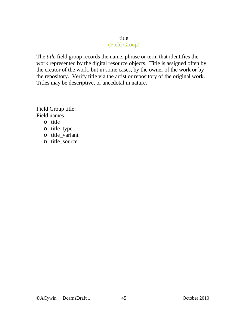### title

# (Field Group)

The *title* field group records the name, phrase or term that identifies the work represented by the digital resource objects. Title is assigned often by the creator of the work, but in some cases, by the owner of the work or by the repository. Verify title via the artist or repository of the original work. Titles may be descriptive, or anecdotal in nature.

Field Group title: Field names:

- o title
- o title\_type
- o title\_variant
- o title\_source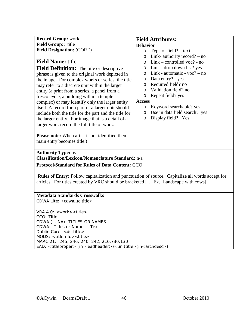**Record Group:** work **Field Group:**: title **Field Designation:** (CORE)

### **Field Name:** title

**Field Definition:** The title or descriptive phrase is given to the original work depicted in the image. For complex works or series, the title may refer to a discrete unit within the larger entity (a print from a series, a panel from a fresco cycle, a building within a temple complex) or may identify only the larger entity itself. A record for a part of a larger unit should include both the title for the part and the title for the larger entity. For image that is a detail of a larger work record the full title of work.

**Please note:** When artist is not identified then main entry becomes title.)

### **Field Attributes:**

#### **Behavior**

- o Type of field? text
- o Link- authority record? no
- o Link controlled voc? no
- o Link drop down list? yes
- o Link automatic voc? no
- o Data entry? yes
- o Required field? no
- o Validation field? no
- o Repeat field? yes

#### **Access**

- o Keyword searchable? yes
- o Use in data field search? yes
- o Display field? Yes

#### **Authority Type:** n/a

**Classification/Lexicon/Nomenclature Standard:** n/a

#### **Protocol/Standard for Rules of Data Content:** CCO

**Rules of Entry:** Follow capitalization and punctuation of source. Capitalize all words accept for articles. For titles created by VRC should be bracketed []. Ex. [Landscape with cows].

# **Metadata Standards Crosswalks**

CDWA Lite: <cdwalite:title>

VRA 4.0: <work><title> CCO: Title CDWA (LUNA): TITLES OR NAMES CDWA: Titles or Names - Text Dublin Core: <dc:title> MODS: <titleInfo><title> MARC 21: 245, 246, 240, 242, 210,730,130 EAD: <titleproper> (in <eadheader>)<unittitle>(in<archdesc>)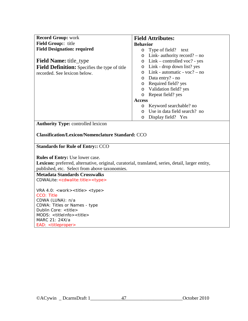| <b>Record Group: work</b>                                                                         | <b>Field Attributes:</b>                 |  |  |
|---------------------------------------------------------------------------------------------------|------------------------------------------|--|--|
| Field Group: title                                                                                | <b>Behavior</b>                          |  |  |
| <b>Field Designation: required</b>                                                                | Type of field? text<br>$\circ$           |  |  |
|                                                                                                   | Link-authority record? $-$ no<br>$\circ$ |  |  |
| <b>Field Name:</b> title_type                                                                     | $\circ$ Link – controlled voc? - yes     |  |  |
| Field Definition: Specifies the type of title                                                     | o Link - drop down list? yes             |  |  |
| recorded. See lexicon below.                                                                      | $\circ$ Link - automatic - voc? – no     |  |  |
|                                                                                                   | Data entry? - no<br>$\circ$              |  |  |
|                                                                                                   | Required field? yes<br>$\circ$           |  |  |
|                                                                                                   | o Validation field? yes                  |  |  |
|                                                                                                   | Repeat field? yes<br>$\circ$             |  |  |
|                                                                                                   | <b>Access</b>                            |  |  |
|                                                                                                   | Keyword searchable? no<br>$\circ$        |  |  |
|                                                                                                   | Use in data field search? no<br>O        |  |  |
|                                                                                                   | Display field? Yes<br>$\circ$            |  |  |
| <b>Authority Type: controlled lexicon</b>                                                         |                                          |  |  |
| <b>Classification/Lexicon/Nomenclature Standard: CCO</b>                                          |                                          |  |  |
| <b>Standards for Rule of Entry:: CCO</b>                                                          |                                          |  |  |
| <b>Rules of Entry: Use lower case.</b>                                                            |                                          |  |  |
| Lexicon: preferred, alternative, original, curatorial, translated, series, detail, larger entity, |                                          |  |  |
| published, etc. Select from above taxonomies.                                                     |                                          |  |  |
| <b>Metadata Standards Crosswalks</b>                                                              |                                          |  |  |
| CDWALite: < cdwalite: title> < type>                                                              |                                          |  |  |
|                                                                                                   |                                          |  |  |
| VRA 4.0: <work><title> <type></type></title></work>                                               |                                          |  |  |
| CCO: Title                                                                                        |                                          |  |  |
| CDWA (LUNA): n/a                                                                                  |                                          |  |  |
| CDWA: Titles or Names - type<br>Dublin Core: <title></title>                                      |                                          |  |  |
| MODS: <titleinfo><title></title></titleinfo>                                                      |                                          |  |  |
| MARC 21: 24X/a                                                                                    |                                          |  |  |
| EAD: <titleproper></titleproper>                                                                  |                                          |  |  |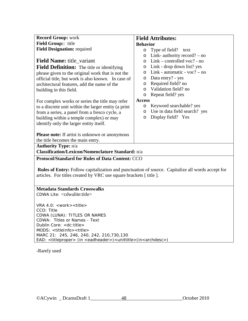| <b>Record Group: work</b>                                                                                     | <b>Field Attributes:</b>                                |  |  |
|---------------------------------------------------------------------------------------------------------------|---------------------------------------------------------|--|--|
| Field Group: title                                                                                            | <b>Behavior</b>                                         |  |  |
| <b>Field Designation: required</b>                                                                            | Type of field?<br>text<br>$\circ$                       |  |  |
|                                                                                                               | $\circ$ Link- authority record? – no                    |  |  |
| Field Name: title variant                                                                                     | $\circ$ Link – controlled voc? - no                     |  |  |
| <b>Field Definition:</b> The title or identifying                                                             | Link - drop down list? yes<br>$\circ$                   |  |  |
| phrase given to the original work that is not the                                                             | Link - automatic - $\text{voc?} - \text{no}$<br>$\circ$ |  |  |
| official title, but work is also known. In case of                                                            | Data entry? - yes<br>$\circ$                            |  |  |
| architectural features, add the name of the                                                                   | Required field? no<br>$\circ$                           |  |  |
| building in this field.                                                                                       | Validation field? no<br>$\circ$                         |  |  |
|                                                                                                               | Repeat field? yes<br>$\circ$                            |  |  |
| For complex works or series the title may refer                                                               | <b>Access</b>                                           |  |  |
| to a discrete unit within the larger entity (a print                                                          | Keyword searchable? yes<br>$\circ$                      |  |  |
|                                                                                                               | Use in data field search? yes<br>$\circ$                |  |  |
| from a series, a panel from a fresco cycle, a                                                                 | Display field? Yes<br>$\circ$                           |  |  |
| building within a temple complex) or may                                                                      |                                                         |  |  |
| identify only the larger entity itself.                                                                       |                                                         |  |  |
|                                                                                                               |                                                         |  |  |
| <b>Please note:</b> If artist is unknown or anonymous                                                         |                                                         |  |  |
| the title becomes the main entry.                                                                             |                                                         |  |  |
| <b>Authority Type: n/a</b>                                                                                    |                                                         |  |  |
| Classification/Lexicon/Nomenclature Standard: n/a                                                             |                                                         |  |  |
| <b>Protocol/Standard for Rules of Data Content: CCO</b>                                                       |                                                         |  |  |
|                                                                                                               |                                                         |  |  |
| Rules of Entry: Follow capitalization and punctuation of source. Capitalize all words accept for              |                                                         |  |  |
| articles. For titles created by VRC use square brackets [title].                                              |                                                         |  |  |
|                                                                                                               |                                                         |  |  |
|                                                                                                               |                                                         |  |  |
| <b>Metadata Standards Crosswalks</b>                                                                          |                                                         |  |  |
| CDWA Lite: <cdwalite:title></cdwalite:title>                                                                  |                                                         |  |  |
|                                                                                                               |                                                         |  |  |
| VRA 4.0: <work><title></title></work>                                                                         |                                                         |  |  |
| CCO: Title                                                                                                    |                                                         |  |  |
| CDWA (LUNA): TITLES OR NAMES                                                                                  |                                                         |  |  |
| CDWA: Titles or Names - Text                                                                                  |                                                         |  |  |
| Dublin Core: < dc: title>                                                                                     |                                                         |  |  |
| MODS: <titleinfo><title></title></titleinfo>                                                                  |                                                         |  |  |
| MARC 21: 245, 246, 240, 242, 210, 730, 130                                                                    |                                                         |  |  |
| EAD: <titleproper> (in <eadheader>)<unittitle>(in<archdesc>)</archdesc></unittitle></eadheader></titleproper> |                                                         |  |  |

-Rarely used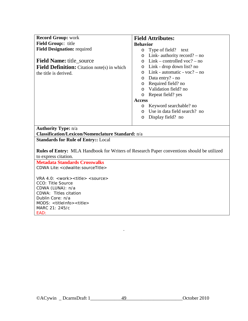| <b>Record Group: work</b>                                                                 |                                                   |  |  |
|-------------------------------------------------------------------------------------------|---------------------------------------------------|--|--|
| Field Group:: title                                                                       | <b>Field Attributes:</b>                          |  |  |
|                                                                                           | <b>Behavior</b>                                   |  |  |
| <b>Field Designation: required</b>                                                        | Type of field? text<br>$\circ$                    |  |  |
|                                                                                           | Link- authority record? $-$ no<br>O               |  |  |
| <b>Field Name:</b> title_source                                                           | $\circ$ Link – controlled voc? – no               |  |  |
| <b>Field Definition:</b> Citation note(s) in which                                        | o Link - drop down list? no                       |  |  |
| the title is derived.                                                                     | Link - automatic - $\text{voc?} - \text{no}$<br>O |  |  |
|                                                                                           | Data entry? - no<br>O                             |  |  |
|                                                                                           | Required field? no<br>O                           |  |  |
|                                                                                           | Validation field? no<br>$\circ$                   |  |  |
|                                                                                           | Repeat field? yes                                 |  |  |
|                                                                                           | $\circ$                                           |  |  |
|                                                                                           | <b>Access</b>                                     |  |  |
|                                                                                           | o Keyword searchable? no                          |  |  |
|                                                                                           | Use in data field search? no<br>$\Omega$          |  |  |
|                                                                                           | Display field? no<br>O                            |  |  |
|                                                                                           |                                                   |  |  |
| <b>Authority Type:</b> n/a                                                                |                                                   |  |  |
| <b>Classification/Lexicon/Nomenclature Standard:</b> n/a                                  |                                                   |  |  |
| <b>Standards for Rule of Entry:: Local</b>                                                |                                                   |  |  |
|                                                                                           |                                                   |  |  |
| Rules of Entry: MLA Handbook for Writers of Research Paper conventions should be utilized |                                                   |  |  |
| to express citation.                                                                      |                                                   |  |  |
| <b>Metadata Standards Crosswalks</b>                                                      |                                                   |  |  |
|                                                                                           |                                                   |  |  |
| CDWA Lite: < cdwalite: sourceTitle>                                                       |                                                   |  |  |
|                                                                                           |                                                   |  |  |
| VRA 4.0: <work><title> <source/></title></work>                                           |                                                   |  |  |
| CCO: Title Source                                                                         |                                                   |  |  |
| CDWA (LUNA): n/a<br>CDWA: Titles citation                                                 |                                                   |  |  |
| Dublin Core: n/a                                                                          |                                                   |  |  |
| MODS: <titleinfo><title></title></titleinfo>                                              |                                                   |  |  |
| MARC 21: 245/c                                                                            |                                                   |  |  |
| EAD:                                                                                      |                                                   |  |  |
|                                                                                           |                                                   |  |  |

.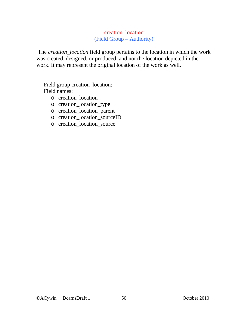# creation\_location (Field Group – Authority)

The *creation\_location* field group pertains to the location in which the work was created, designed, or produced, and not the location depicted in the work. It may represent the original location of the work as well.

Field group creation\_location: Field names:

- o creation\_location
- o creation\_location\_type
- o creation\_location\_parent
- o creation\_location\_sourceID
- o creation\_location\_source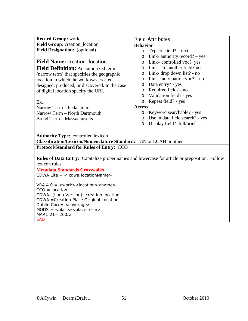| <b>Record Group: work</b>                                                                            | <b>Field Attributes</b>                    |  |  |
|------------------------------------------------------------------------------------------------------|--------------------------------------------|--|--|
| Field Group: creation_location                                                                       | <b>Behavior</b>                            |  |  |
| <b>Field Designation:</b> (optional)                                                                 | o Type of field? text                      |  |  |
|                                                                                                      | Link- authority record? $-$ yes<br>$\circ$ |  |  |
| <b>Field Name:</b> creation location                                                                 | o Link-controlled voc? yes                 |  |  |
| <b>Field Definition:</b> An authorized term                                                          | $\circ$ Link – to another field? no        |  |  |
| (narrow term) that specifies the geographic                                                          | $\circ$ Link-drop down list? - no          |  |  |
| location in which the work was created,                                                              | $\circ$ Link - automatic - voc? – no       |  |  |
| designed, produced, or discovered. In the case                                                       | Data entry? - yes<br>$\circ$               |  |  |
| of digital location specify the URI.                                                                 | Required field? - no<br>O                  |  |  |
|                                                                                                      | Validation field? - yes<br>$\circ$         |  |  |
| Ex.                                                                                                  | o Repeat field? - yes                      |  |  |
| Narrow Term - Padanaram                                                                              | <b>Access</b>                              |  |  |
| Narrow Term - North Dartmouth                                                                        | Keyword searchable? - yes<br>$\circ$       |  |  |
| <b>Broad Term - Massachusetts</b>                                                                    | o Use in data field search? - yes          |  |  |
|                                                                                                      | Display field? full/brief<br>$\circ$       |  |  |
|                                                                                                      |                                            |  |  |
| <b>Authority Type: controlled lexicon</b>                                                            |                                            |  |  |
| Classification/Lexicon/Nomenclature Standard: TGN or LCAH or other                                   |                                            |  |  |
| Protocol/Standard for Rules of Entry: CCO                                                            |                                            |  |  |
|                                                                                                      |                                            |  |  |
| <b>Rules of Data Entry:</b> Capitalize proper names and lowercase for article or preposition. Follow |                                            |  |  |
| lexicon rules.                                                                                       |                                            |  |  |
| <b>Metadata Standards Crosswalks</b>                                                                 |                                            |  |  |
| CDWA Lite $=$ < cdwa: locationName>                                                                  |                                            |  |  |
| VRA $4.0 =$ <work> <location> &lt; name &gt;</location></work>                                       |                                            |  |  |
| $CCO = location$                                                                                     |                                            |  |  |
| CDWA: (Luna Version): creation location                                                              |                                            |  |  |
| CDWA = Creation Place Original Location                                                              |                                            |  |  |
| Dublin Core= < coverage>                                                                             |                                            |  |  |
|                                                                                                      |                                            |  |  |
|                                                                                                      |                                            |  |  |
| $MODS = place > place term >$<br>MARC $21 = 260/a$<br>$EAD =$                                        |                                            |  |  |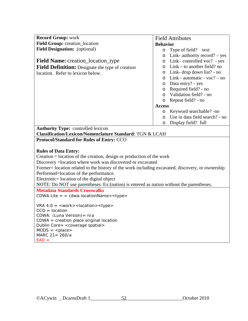| $\circ$ Link- authority record? – yes                                                            |  |  |  |
|--------------------------------------------------------------------------------------------------|--|--|--|
|                                                                                                  |  |  |  |
|                                                                                                  |  |  |  |
|                                                                                                  |  |  |  |
| Link - automatic - $\text{voc?} - \text{no}$                                                     |  |  |  |
|                                                                                                  |  |  |  |
|                                                                                                  |  |  |  |
|                                                                                                  |  |  |  |
|                                                                                                  |  |  |  |
|                                                                                                  |  |  |  |
|                                                                                                  |  |  |  |
| Use in data field search? - no                                                                   |  |  |  |
|                                                                                                  |  |  |  |
|                                                                                                  |  |  |  |
|                                                                                                  |  |  |  |
|                                                                                                  |  |  |  |
|                                                                                                  |  |  |  |
|                                                                                                  |  |  |  |
|                                                                                                  |  |  |  |
|                                                                                                  |  |  |  |
| Former= location related to the history of the work including excavated, discovery, or ownership |  |  |  |
| Performed=location of the performance.<br>Electronic= location of the digital object             |  |  |  |
|                                                                                                  |  |  |  |
|                                                                                                  |  |  |  |
|                                                                                                  |  |  |  |
|                                                                                                  |  |  |  |
|                                                                                                  |  |  |  |
|                                                                                                  |  |  |  |
|                                                                                                  |  |  |  |
|                                                                                                  |  |  |  |
|                                                                                                  |  |  |  |
|                                                                                                  |  |  |  |
|                                                                                                  |  |  |  |
| o Link-controlled voc? - yes                                                                     |  |  |  |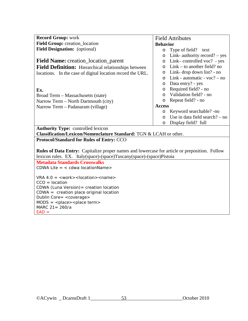| <b>Record Group: work</b>                                                                            |                               | <b>Field Attributes</b>                      |  |
|------------------------------------------------------------------------------------------------------|-------------------------------|----------------------------------------------|--|
| Field Group: creation_location                                                                       | <b>Behavior</b>               |                                              |  |
| <b>Field Designation:</b> (optional)                                                                 |                               |                                              |  |
|                                                                                                      | $\circ$                       | Type of field?<br>text                       |  |
|                                                                                                      | $\circ$                       | Link- authority record? $-$ yes              |  |
| <b>Field Name:</b> creation_location_parent                                                          | $\circ$                       | Link-controlled voc? - yes                   |  |
| Field Definition: Hierarchical relationships between                                                 | $\circ$                       | $Link - to another field?$ no                |  |
| locations. In the case of digital location record the URL.                                           | $\circ$                       | Link- drop down list? - no                   |  |
|                                                                                                      | O                             | Link - automatic - $\text{voc?} - \text{no}$ |  |
|                                                                                                      | $\circ$                       | Data entry? - yes                            |  |
| Ex.                                                                                                  | O                             | Required field? - no                         |  |
| Broad Term - Massachusetts (state)                                                                   | $\circ$                       | Validation field? - no                       |  |
| Narrow Term - North Dartmouth (city)                                                                 | Repeat field? - no<br>$\circ$ |                                              |  |
| Narrow Term - Padanaram (village)                                                                    | <b>Access</b>                 |                                              |  |
|                                                                                                      | O                             | Keyword searchable? - no                     |  |
|                                                                                                      | $\circ$                       | Use in data field search? $-$ no             |  |
|                                                                                                      | $\circ$                       | Display field? full                          |  |
| <b>Authority Type: controlled lexicon</b>                                                            |                               |                                              |  |
| Classification/Lexicon/Nomenclature Standard: TGN & LCAH or other.                                   |                               |                                              |  |
| Protocol/Standard for Rules of Entry: CCO                                                            |                               |                                              |  |
|                                                                                                      |                               |                                              |  |
| <b>Rules of Data Entry:</b> Capitalize proper names and lowercase for article or preposition. Follow |                               |                                              |  |
| lexicon rules. EX. Italy(space)-(space)Tuscany(space)-(space)Pistoia                                 |                               |                                              |  |
| <b>Metadata Standards Crosswalks</b>                                                                 |                               |                                              |  |
| CDWA Lite = $\lt$ cdwa: locationName>                                                                |                               |                                              |  |
|                                                                                                      |                               |                                              |  |
| VRA $4.0 =$ <work> &lt; location &gt; &lt; name &gt;</work>                                          |                               |                                              |  |
| $CCO = location$                                                                                     |                               |                                              |  |
| CDWA (Luna Version) = creation location                                                              |                               |                                              |  |
| $CDWA = creation place original location$                                                            |                               |                                              |  |
| Dublin Core= < coverage>                                                                             |                               |                                              |  |
| $MODS = place > place term >$                                                                        |                               |                                              |  |
| MARC $21 = 260/a$                                                                                    |                               |                                              |  |
| $EAD =$                                                                                              |                               |                                              |  |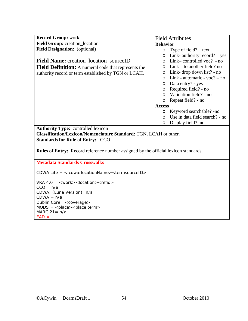| <b>Record Group: work</b>                                                                  | <b>Field Attributes</b>                   |      |
|--------------------------------------------------------------------------------------------|-------------------------------------------|------|
| Field Group: creation_location                                                             | <b>Behavior</b>                           |      |
| <b>Field Designation:</b> (optional)                                                       | Type of field?<br>$\circ$                 | text |
|                                                                                            | $\circ$ Link- authority record? – yes     |      |
| Field Name: creation_location_sourceID                                                     | o Link-controlled voc? - no               |      |
| Field Definition: A numeral code that represents the                                       | $\circ$ Link – to another field? no       |      |
| authority record or term established by TGN or LCAH.                                       | $\circ$ Link-drop down list? - no         |      |
|                                                                                            | $\circ$ Link - automatic - voc? – no      |      |
|                                                                                            | Data entry? - yes<br>$\circ$              |      |
|                                                                                            | Required field? - no<br>$\circ$           |      |
|                                                                                            | Validation field? - no<br>$\circ$         |      |
|                                                                                            | o Repeat field? - no                      |      |
|                                                                                            | <b>Access</b>                             |      |
|                                                                                            | Keyword searchable? - no<br>$\circ$       |      |
|                                                                                            | Use in data field search? - no<br>$\circ$ |      |
|                                                                                            | Display field? no<br>$\circ$              |      |
| <b>Authority Type: controlled lexicon</b>                                                  |                                           |      |
| Classification/Lexicon/Nomenclature Standard: TGN, LCAH or other.                          |                                           |      |
| <b>Standards for Rule of Entry:: CCO</b>                                                   |                                           |      |
| <b>Rules of Entry:</b> Record reference number assigned by the official lexicon standards. |                                           |      |
|                                                                                            |                                           |      |
| <b>Metadata Standards Crosswalks</b>                                                       |                                           |      |
|                                                                                            |                                           |      |
| CDWA Lite = < cdwa: locationName> <termsourceid></termsourceid>                            |                                           |      |
| VRA $4.0 =$ <work> &lt; location &gt; &lt; refid &gt;</work>                               |                                           |      |
| $CCO = n/a$                                                                                |                                           |      |
| CDWA: (Luna Version): n/a                                                                  |                                           |      |
| $CDWA = n/a$                                                                               |                                           |      |
| Dublin Core= < coverage>                                                                   |                                           |      |
| $MODS = MARC 21 = n/a$                                                                     |                                           |      |
| $EAD =$                                                                                    |                                           |      |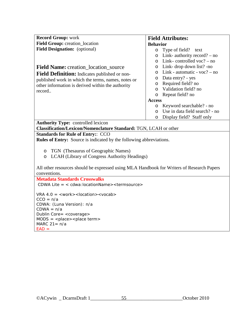| <b>Record Group: work</b>                                                                 | <b>Field Attributes:</b>                                |  |
|-------------------------------------------------------------------------------------------|---------------------------------------------------------|--|
| Field Group: creation_location                                                            | <b>Behavior</b>                                         |  |
| <b>Field Designation:</b> (optional)                                                      | Type of field?<br>text<br>$\circ$                       |  |
|                                                                                           | $\circ$ Link- authority record? – no                    |  |
|                                                                                           | $\circ$ Link–controlled voc? – no                       |  |
| <b>Field Name:</b> creation location source                                               | Link-drop down list? -no<br>$\circ$                     |  |
|                                                                                           | Link - automatic - $\text{voc?} - \text{no}$<br>$\circ$ |  |
| Field Definition: Indicates published or non-                                             | Data entry? - yes<br>$\circ$                            |  |
| published work in which the terms, names, notes or                                        | Required field? no<br>$\circ$                           |  |
| other information is derived within the authority                                         | Validation field? no<br>$\circ$                         |  |
| record                                                                                    | Repeat field? no<br>$\circ$                             |  |
|                                                                                           | <b>Access</b>                                           |  |
|                                                                                           | Keyword searchable? - no<br>$\circ$                     |  |
|                                                                                           | Use in data field search? - no<br>$\circ$               |  |
|                                                                                           | Display field? Staff only<br>O                          |  |
| <b>Authority Type: controlled lexicon</b>                                                 |                                                         |  |
| Classification/Lexicon/Nomenclature Standard: TGN, LCAH or other                          |                                                         |  |
| <b>Standards for Rule of Entry:: CCO</b>                                                  |                                                         |  |
| <b>Rules of Entry:</b> Source is indicated by the following abbreviations.                |                                                         |  |
|                                                                                           |                                                         |  |
| TGN (Thesaurus of Geographic Names)<br>$\circ$                                            |                                                         |  |
| <b>LCAH</b> (Library of Congress Authority Headings)<br>$\circ$                           |                                                         |  |
|                                                                                           |                                                         |  |
| All other resources should be expressed using MLA Handbook for Writers of Research Papers |                                                         |  |
| conventions.                                                                              |                                                         |  |
| <b>Metadata Standards Crosswalks</b>                                                      |                                                         |  |
| CDWA Lite = < cdwa: locationName> <termsource></termsource>                               |                                                         |  |
|                                                                                           |                                                         |  |
| VRA $4.0 =$ <work> &lt; location &gt; &lt; vocab &gt;</work>                              |                                                         |  |
| $CCO = n/a$                                                                               |                                                         |  |
| CDWA: (Luna Version): n/a                                                                 |                                                         |  |
| $CDWA = n/a$<br>Dublin Core= < coverage>                                                  |                                                         |  |
| $MODS = $                                                                                 |                                                         |  |
| MARC $21 = n/a$                                                                           |                                                         |  |
| $EAD =$                                                                                   |                                                         |  |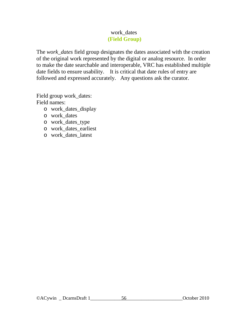# work\_dates **(Field Group)**

The *work\_dates* field group designates the dates associated with the creation of the original work represented by the digital or analog resource. In order to make the date searchable and interoperable, VRC has established multiple date fields to ensure usability. It is critical that date rules of entry are followed and expressed accurately. Any questions ask the curator.

Field group work\_dates: Field names:

- o work\_dates\_display
- o work\_dates
- o work\_dates\_type
- o work\_dates\_earliest
- o work\_dates\_latest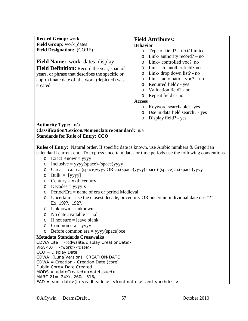| <b>Record Group: work</b>                                                                                                                                                                      |                                            |  |
|------------------------------------------------------------------------------------------------------------------------------------------------------------------------------------------------|--------------------------------------------|--|
|                                                                                                                                                                                                | <b>Field Attributes:</b>                   |  |
| Field Group: work_dates                                                                                                                                                                        | <b>Behavior</b>                            |  |
| <b>Field Designation: (CORE)</b>                                                                                                                                                               | Type of field? text/limited<br>$\circ$     |  |
|                                                                                                                                                                                                | $\circ$ Link- authority record? – no       |  |
| <b>Field Name:</b> work_dates_display                                                                                                                                                          | o Link-controlled voc? no                  |  |
| Field Definition: Record the year, span of                                                                                                                                                     | Link – to another field? no<br>$\circ$     |  |
| years, or phrase that describes the specific or                                                                                                                                                | Link-drop down list? - no<br>$\circ$       |  |
| approximate date of the work (depicted) was                                                                                                                                                    | $\circ$ Link - automatic - voc? – no       |  |
| created.                                                                                                                                                                                       | Required field? - yes<br>$\circ$           |  |
|                                                                                                                                                                                                | o Validation field? - no                   |  |
|                                                                                                                                                                                                | o Repeat field? - no                       |  |
|                                                                                                                                                                                                | <b>Access</b>                              |  |
|                                                                                                                                                                                                | Keyword searchable? -yes<br>$\circ$        |  |
|                                                                                                                                                                                                | Use in data field search? - yes<br>$\circ$ |  |
|                                                                                                                                                                                                | Display field? - yes<br>$\circ$            |  |
|                                                                                                                                                                                                |                                            |  |
| <b>Authority Type:</b> n/a<br><b>Classification/Lexicon/Nomenclature Standard:</b> n/a                                                                                                         |                                            |  |
|                                                                                                                                                                                                |                                            |  |
| <b>Standards for Rule of Entry: CCO</b>                                                                                                                                                        |                                            |  |
| Rules of Entry: Natural order. If specific date is known, use Arabic numbers & Gregorian<br>calendar if current era. To express uncertain dates or time periods use the following conventions. |                                            |  |
| Exact Known= yyyy<br>$\circ$                                                                                                                                                                   |                                            |  |
| $Inclusive = yyyy(space) - (space) yyyy$<br>$\circ$                                                                                                                                            |                                            |  |
| Circa = ca.=ca.(space)yyyy OR ca.(space)yyyy(space)-(space)ca.(space)yyyy<br>$\circ$                                                                                                           |                                            |  |
| $Bulk = [yyyy]$<br>$\circ$                                                                                                                                                                     |                                            |  |
| Century = $x x$ th century<br>$\circ$                                                                                                                                                          |                                            |  |
| $Decades = yyyy's$<br>$\circ$                                                                                                                                                                  |                                            |  |
| $Period/Ex = name of era or period Medical$<br>$\circ$                                                                                                                                         |                                            |  |
| Uncertain= use the closest decade, or century OR uncertain individual date use "?"<br>O                                                                                                        |                                            |  |
| Ex. 19??, 192?,                                                                                                                                                                                |                                            |  |
| $Unknown = unknown$<br>O                                                                                                                                                                       |                                            |  |
| No date available $= n.d$<br>$\circ$                                                                                                                                                           |                                            |  |
| If not sure $=$ leave blank<br>$\circ$                                                                                                                                                         |                                            |  |
| Common $era = yyyy$<br>O                                                                                                                                                                       |                                            |  |
| Before common $era = yyyy(space)$<br>O                                                                                                                                                         |                                            |  |
| <b>Metadata Standards Crosswalks</b>                                                                                                                                                           |                                            |  |
| CDWA Lite = <cdwalite: creationdate="" display=""></cdwalite:>                                                                                                                                 |                                            |  |
| VRA $4.0 = <$ work > < date >                                                                                                                                                                  |                                            |  |
| $CCO = Display Date$                                                                                                                                                                           |                                            |  |
| CDWA: (Luna Version): CREATION-DATE                                                                                                                                                            |                                            |  |
| CDWA = Creation - Creation Date (core)                                                                                                                                                         |                                            |  |
| Dublin Core= Date.Created                                                                                                                                                                      |                                            |  |
| $MODS = <$ dateCreated> <dateissued></dateissued>                                                                                                                                              |                                            |  |
| MARC 21= 24X/, 260c, 518/<br>$EAD =$ <unitdate>(in <eadheader>, <frontmatter>, and <archdesc></archdesc></frontmatter></eadheader></unitdate>                                                  |                                            |  |
|                                                                                                                                                                                                |                                            |  |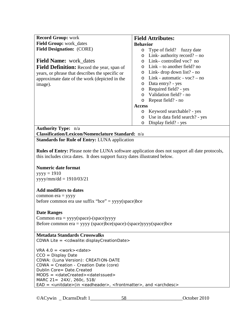| <b>Record Group: work</b>                                                                                        | <b>Field Attributes:</b>                       |  |
|------------------------------------------------------------------------------------------------------------------|------------------------------------------------|--|
| Field Group: work_dates                                                                                          | <b>Behavior</b>                                |  |
| <b>Field Designation: (CORE)</b>                                                                                 | Type of field? fuzzy date<br>$\circ$           |  |
|                                                                                                                  | $\circ$ Link- authority record? – no           |  |
| <b>Field Name:</b> work dates                                                                                    | o Link-controlled voc? no                      |  |
| <b>Field Definition:</b> Record the year, span of                                                                | $\circ$ Link – to another field? no            |  |
| years, or phrase that describes the specific or                                                                  | $\circ$ Link-drop down list? - no              |  |
| approximate date of the work (depicted in the                                                                    | o Link - automatic - $\text{voc?} - \text{no}$ |  |
| image).                                                                                                          | o Data entry? - yes                            |  |
|                                                                                                                  | Required field? - yes<br>$\circ$               |  |
|                                                                                                                  | Validation field? - no<br>$\circ$              |  |
|                                                                                                                  | o Repeat field? - no                           |  |
|                                                                                                                  | <b>Access</b>                                  |  |
|                                                                                                                  | o Keyword searchable? - yes                    |  |
|                                                                                                                  | Use in data field search? - yes<br>$\circ$     |  |
|                                                                                                                  | Display field? - yes<br>$\circ$                |  |
| <b>Authority Type:</b> n/a                                                                                       |                                                |  |
| <b>Classification/Lexicon/Nomenclature Standard:</b> n/a                                                         |                                                |  |
| <b>Standards for Rule of Entry: LUNA application</b>                                                             |                                                |  |
|                                                                                                                  |                                                |  |
| <b>Rules of Entry:</b> Please note the LUNA software application does not support all date protocols,            |                                                |  |
| this includes circa dates. It does support fuzzy dates illustrated below.                                        |                                                |  |
| <b>Numeric date format</b><br>$yyyy = 1910$<br>yyyy/mm/dd = $1910/03/21$                                         |                                                |  |
| <b>Add modifiers to dates</b><br>common $era = yyyy$<br>before common era use suffix "bce" = $yyyy(space)$ bce   |                                                |  |
| <b>Date Ranges</b>                                                                                               |                                                |  |
| Common era = $yyyy(space)$ -(space) $yyyy$                                                                       |                                                |  |
| Before common $era = yyyy$ (space)bce(space)-(space)yyyy(space)bce                                               |                                                |  |
|                                                                                                                  |                                                |  |
| <b>Metadata Standards Crosswalks</b>                                                                             |                                                |  |
| CDWA Lite = < cdwalite: displayCreationDate>                                                                     |                                                |  |
|                                                                                                                  |                                                |  |
| VRA $4.0 =$ <work><date></date></work>                                                                           |                                                |  |
| $CCO = Display Date$                                                                                             |                                                |  |
| CDWA: (Luna Version): CREATION-DATE                                                                              |                                                |  |
| CDWA = Creation - Creation Date (core)                                                                           |                                                |  |
| Dublin Core= Date.Created                                                                                        |                                                |  |
| $MODS = <$ dateCreated> <dateissued><br/>MARC <math>21 = 24X/</math>, 260c, 518/</dateissued>                    |                                                |  |
| $EAD =$ <unitdate>(in <eadheader>, <frontmatter>, and <archdesc></archdesc></frontmatter></eadheader></unitdate> |                                                |  |
|                                                                                                                  |                                                |  |

©ACywin \_ DcarnsDraft 1\_\_\_\_\_\_\_\_\_\_\_\_\_\_\_\_\_\_\_\_\_\_\_\_\_\_\_\_\_\_\_\_\_\_\_\_\_\_October 2010 58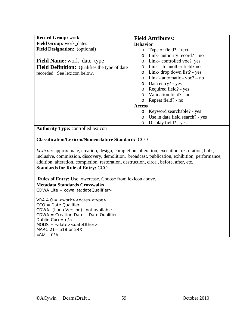| <b>Record Group: work</b>                                                                      |                                                         |
|------------------------------------------------------------------------------------------------|---------------------------------------------------------|
|                                                                                                | <b>Field Attributes:</b>                                |
| Field Group: work_dates                                                                        | <b>Behavior</b>                                         |
| <b>Field Designation:</b> (optional)                                                           | Type of field? text<br>$\circ$                          |
|                                                                                                | Link-authority record? – no<br>$\circ$                  |
| <b>Field Name:</b> work_date_type                                                              | Link-controlled voc? yes<br>$\circ$                     |
| <b>Field Definition:</b> Qualifies the type of date                                            | $Link - to another field?$ no<br>$\circ$                |
| recorded. See lexicon below.                                                                   | Link- drop down list? - yes<br>$\circ$                  |
|                                                                                                | Link - automatic - $\text{voc?} - \text{no}$<br>$\circ$ |
|                                                                                                | Data entry? - yes<br>$\circ$                            |
|                                                                                                | Required field? - yes<br>$\circ$                        |
|                                                                                                | Validation field? - no<br>$\circ$                       |
|                                                                                                | Repeat field? - no<br>$\circ$                           |
|                                                                                                | <b>Access</b>                                           |
|                                                                                                | Keyword searchable? - yes<br>$\circ$                    |
|                                                                                                | Use in data field search? - yes<br>$\circ$              |
|                                                                                                | Display field? - yes<br>$\circ$                         |
| <b>Authority Type: controlled lexicon</b>                                                      |                                                         |
|                                                                                                |                                                         |
| <b>Classification/Lexicon/Nomenclature Standard: CCO</b>                                       |                                                         |
|                                                                                                |                                                         |
| Lexicon: approximate, creation, design, completion, alteration, execution, restoration, bulk,  |                                                         |
| inclusive, commission, discovery, demolition, broadcast, publication, exhibition, performance, |                                                         |
| addition, alteration, completion, restoration, destruction, circa., before, after, etc.        |                                                         |
| $\mathcal{C}$ tondonde for Dule of Entru $CCD$                                                 |                                                         |

**Standards for Rule of Entry:** CCO

**Rules of Entry:** Use lowercase. Choose from lexicon above.

**Metadata Standards Crosswalks** CDWA Lite = cdwalite:dateQualifier>

VRA 4.0 = <work><date><type> CCO = Date Qualifier CDWA: (Luna Version): not available CDWA = Creation Date – Date Qualifier Dublin Core= n/a MODS = <date><dateOther> MARC 21= 518 or 24X  $EAD = n/a$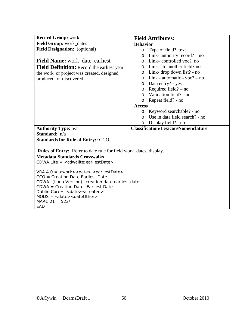| <b>Record Group: work</b>                                                                                                                                                                                        | <b>Field Attributes:</b>                   |
|------------------------------------------------------------------------------------------------------------------------------------------------------------------------------------------------------------------|--------------------------------------------|
| Field Group: work_dates                                                                                                                                                                                          | <b>Behavior</b>                            |
| <b>Field Designation:</b> (optional)                                                                                                                                                                             | o Type of field? text                      |
|                                                                                                                                                                                                                  | $\circ$ Link- authority record? – no       |
| Field Name: work_date_earliest                                                                                                                                                                                   | o Link-controlled voc? no                  |
| <b>Field Definition:</b> Record the earliest year                                                                                                                                                                | Link – to another field? no<br>$\circ$     |
| the work or project was created, designed,                                                                                                                                                                       | $\circ$ Link-drop down list? - no          |
| produced, or discovered.                                                                                                                                                                                         | $\circ$ Link - automatic - voc? – no       |
|                                                                                                                                                                                                                  | o Data entry? - yes                        |
|                                                                                                                                                                                                                  | $\circ$ Required field? – no               |
|                                                                                                                                                                                                                  | o Validation field? - no                   |
|                                                                                                                                                                                                                  | o Repeat field? - no                       |
|                                                                                                                                                                                                                  | <b>Access</b>                              |
|                                                                                                                                                                                                                  | o Keyword searchable? - no                 |
|                                                                                                                                                                                                                  | Use in data field search? - no<br>$\Omega$ |
|                                                                                                                                                                                                                  | Display field? - no<br>$\circ$             |
| <b>Authority Type:</b> n/a                                                                                                                                                                                       | <b>Classification/Lexicon/Nomenclature</b> |
| Standard: n/a                                                                                                                                                                                                    |                                            |
| <b>Standards for Rule of Entry:: CCO</b>                                                                                                                                                                         |                                            |
|                                                                                                                                                                                                                  |                                            |
| Rules of Entry: Refer to date rule for field work_dates_display.                                                                                                                                                 |                                            |
| <b>Metadata Standards Crosswalks</b>                                                                                                                                                                             |                                            |
| CDWA Lite = $\langle$ cdwalite: earliestDate>                                                                                                                                                                    |                                            |
|                                                                                                                                                                                                                  |                                            |
| VRA $4.0 =$ <work> <date> <earliestdate></earliestdate></date></work>                                                                                                                                            |                                            |
| CCO = Creation Date Earliest Date                                                                                                                                                                                |                                            |
| CDWA: (Luna Version): creation date earliest date                                                                                                                                                                |                                            |
|                                                                                                                                                                                                                  |                                            |
|                                                                                                                                                                                                                  |                                            |
|                                                                                                                                                                                                                  |                                            |
|                                                                                                                                                                                                                  |                                            |
| CDWA = Creation Date: Earliest Date<br>Dublin Core= <date><created><br/><math>MODS = &lt;\text{date}&gt; &lt;\text{dateOther}&gt;</math><br/>MARC <math>21 = 523/</math><br/><math>EAD =</math></created></date> |                                            |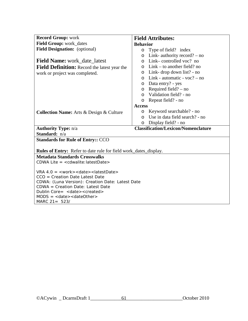| <b>Record Group: work</b>                                         | <b>Field Attributes:</b>                   |
|-------------------------------------------------------------------|--------------------------------------------|
| Field Group: work_dates                                           | <b>Behavior</b>                            |
| <b>Field Designation:</b> (optional)                              |                                            |
|                                                                   | Type of field? index<br>$\circ$            |
|                                                                   | $\circ$ Link- authority record? – no       |
| Field Name: work_date_latest                                      | o Link-controlled voc? no                  |
| <b>Field Definition:</b> Record the latest year the               | $\circ$ Link – to another field? no        |
| work or project was completed.                                    | $\circ$ Link-drop down list? - no          |
|                                                                   | $\circ$ Link - automatic - voc? – no       |
|                                                                   | o Data entry? - yes                        |
|                                                                   | Required field? $-$ no<br>$\circ$          |
|                                                                   | o Validation field? - no                   |
|                                                                   | o Repeat field? - no                       |
|                                                                   | <b>Access</b>                              |
|                                                                   | Keyword searchable? - no<br>$\circ$        |
| <b>Collection Name:</b> Arts & Design & Culture                   | o Use in data field search? - no           |
|                                                                   | $\circ$ Display field? - no                |
|                                                                   | <b>Classification/Lexicon/Nomenclature</b> |
| <b>Authority Type: n/a</b>                                        |                                            |
| <b>Standard:</b> n/a                                              |                                            |
| <b>Standards for Rule of Entry:: CCO</b>                          |                                            |
|                                                                   |                                            |
| Rules of Entry: Refer to date rule for field work_dates_display.  |                                            |
| <b>Metadata Standards Crosswalks</b>                              |                                            |
| CDWA Lite = < cdwalite: latestDate>                               |                                            |
|                                                                   |                                            |
| VRA $4.0 =$ <work> <date> <latestdate></latestdate></date></work> |                                            |
| CCO = Creation Date Latest Date                                   |                                            |
| CDWA: (Luna Version): Creation Date: Latest Date                  |                                            |
| CDWA = Creation Date: Latest Date                                 |                                            |
| Dublin Core= <date><created></created></date>                     |                                            |
| $MODS = <\text{date}><\text{dateOther}>$<br>MARC $21 = 523/$      |                                            |
|                                                                   |                                            |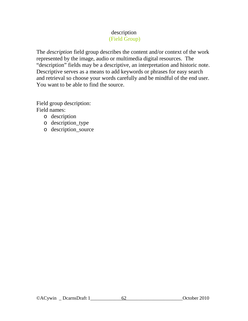# description (Field Group)

The *description* field group describes the content and/or context of the work represented by the image, audio or multimedia digital resources. The "description" fields may be a descriptive, an interpretation and historic note. Descriptive serves as a means to add keywords or phrases for easy search and retrieval so choose your words carefully and be mindful of the end user. You want to be able to find the source.

Field group description: Field names:

- o description
- o description\_type
- o description\_source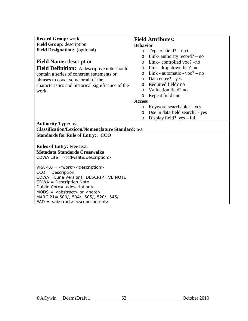| <b>Record Group: work</b>                                                              | <b>Field Attributes:</b>                                                |
|----------------------------------------------------------------------------------------|-------------------------------------------------------------------------|
| <b>Field Group:</b> description                                                        | <b>Behavior</b>                                                         |
| <b>Field Designation:</b> (optional)                                                   | Type of field? text<br>$\circ$                                          |
|                                                                                        | Link- authority record? $-$ no<br>$\circ$                               |
| <b>Field Name:</b> description                                                         | Link-controlled voc? $-no$<br>$\Omega$                                  |
| Field Definition: A descriptive note should                                            | Link-drop down list? -no<br>O                                           |
| contain a series of coherent statements or                                             | Link - automatic - $\text{voc?} - \text{no}$<br>$\Omega$                |
|                                                                                        | Data entry? - yes<br>O                                                  |
| phrases to cover some or all of the                                                    | Required field? no<br>$\circ$                                           |
| characteristics and historical significance of the                                     | Validation field? no<br>$\circ$                                         |
| work.                                                                                  | Repeat field? no<br>O                                                   |
|                                                                                        | <b>Access</b>                                                           |
|                                                                                        |                                                                         |
|                                                                                        | Keyword searchable? - yes<br>$\circ$<br>Use in data field search? - yes |
|                                                                                        | $\circ$                                                                 |
|                                                                                        | Display field? $yes - full$<br>$\circ$                                  |
| <b>Authority Type:</b> n/a<br><b>Classification/Lexicon/Nomenclature Standard:</b> n/a |                                                                         |
|                                                                                        |                                                                         |
| <b>Standards for Rule of Entry:: CCO</b>                                               |                                                                         |
|                                                                                        |                                                                         |
| <b>Rules of Entry: Free text.</b>                                                      |                                                                         |
| <b>Metadata Standards Crosswalks</b>                                                   |                                                                         |
| CDWA Lite = < cdwalite: description>                                                   |                                                                         |
| VRA $4.0 = <$ work > < description >                                                   |                                                                         |
| $CCO =$ Description                                                                    |                                                                         |
| CDWA: (Luna Version): DESCRIPTIVE NOTE                                                 |                                                                         |
| $CDWA = Description Note$                                                              |                                                                         |
| Dublin Core= <description></description>                                               |                                                                         |
| $MODS = ab$ stract > or $not$                                                          |                                                                         |
| MARC 21= 500/, 504/, 505/, 520/, 545/                                                  |                                                                         |
| $EAD = ab$ scopecontent >                                                              |                                                                         |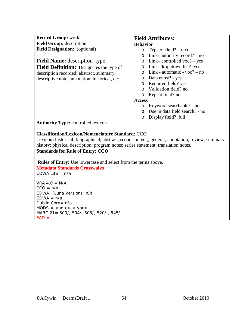| <b>Record Group: work</b>                                                                          | <b>Field Attributes:</b>                                |
|----------------------------------------------------------------------------------------------------|---------------------------------------------------------|
| <b>Field Group: description</b>                                                                    | <b>Behavior</b>                                         |
| Field Designation: (optional)                                                                      | Type of field? text<br>$\circ$                          |
|                                                                                                    | Link- authority record? $-$ no<br>$\circ$               |
| Field Name: description_type                                                                       | o Link-controlled voc? - yes                            |
| <b>Field Definition:</b> Designates the type of                                                    | Link- drop down list? -yes<br>$\circ$                   |
| description recorded: abstract, summary,                                                           | Link - automatic - $\text{voc?} - \text{no}$<br>$\circ$ |
| descriptive note, annotation, historical, etc.                                                     | Data entry? - yes<br>$\circ$                            |
|                                                                                                    | Required field? yes<br>O                                |
|                                                                                                    | Validation field? no<br>$\circ$                         |
|                                                                                                    | Repeat field? no<br>$\circ$                             |
|                                                                                                    | <b>Access</b>                                           |
|                                                                                                    | Keyword searchable? - no<br>$\circ$                     |
|                                                                                                    | Use in data field search? - no<br>O                     |
|                                                                                                    | Display field? full<br>O                                |
| <b>Authority Type: controlled lexicon</b>                                                          |                                                         |
|                                                                                                    |                                                         |
| <b>Classification/Lexicon/Nomenclature Standard: CCO</b>                                           |                                                         |
| Lexicon: historical; biographical; abstract, scope content;, general; annotation; review; summary; |                                                         |
| history; physical description; program notes; series statement; translation notes.                 |                                                         |
| <b>Standards for Rule of Entry: CCO</b>                                                            |                                                         |
|                                                                                                    |                                                         |
| <b>Rules of Entry:</b> Use lowercase and select from the terms above.                              |                                                         |
| <b>Metadata Standards Crosswalks</b>                                                               |                                                         |
| CDWA Lite = $n/a$                                                                                  |                                                         |
|                                                                                                    |                                                         |
| VRA $4.0 = N/A$                                                                                    |                                                         |
| $CCO = n/a$                                                                                        |                                                         |
| CDWA: (Luna Version): n/a                                                                          |                                                         |
| $CDWA = n/a$<br>Dublin Core= n/a                                                                   |                                                         |
| $MODS = <$ note> <type></type>                                                                     |                                                         |
| MARC 21= 500/, 504/, 505/, 520/, 545/                                                              |                                                         |
| $EAD =$                                                                                            |                                                         |
|                                                                                                    |                                                         |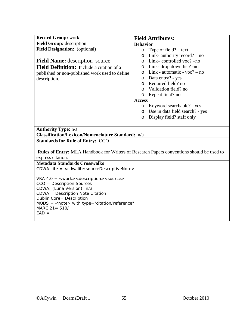| <b>Record Group: work</b>                                                                 | <b>Field Attributes:</b>             |
|-------------------------------------------------------------------------------------------|--------------------------------------|
| Field Group: description                                                                  | <b>Behavior</b>                      |
| <b>Field Designation:</b> (optional)                                                      | Type of field? text<br>$\circ$       |
|                                                                                           | $\circ$ Link- authority record? – no |
| <b>Field Name:</b> description_source                                                     | o Link-controlled voc? - no          |
| <b>Field Definition:</b> Include a citation of a                                          | $\circ$ Link-drop down list? -no     |
| published or non-published work used to define                                            | $\circ$ Link - automatic - voc? – no |
| description.                                                                              | o Data entry? - yes                  |
|                                                                                           | Required field? no<br>$\circ$        |
|                                                                                           | Validation field? no<br>$\circ$      |
|                                                                                           | Repeat field? no<br>$\circ$          |
|                                                                                           | <b>Access</b>                        |
|                                                                                           | o Keyword searchable? - yes          |
|                                                                                           | o Use in data field search? - yes    |
|                                                                                           |                                      |
|                                                                                           | Display field? staff only<br>O       |
|                                                                                           |                                      |
| <b>Authority Type:</b> n/a                                                                |                                      |
| Classification/Lexicon/Nomenclature Standard: n/a                                         |                                      |
| <b>Standards for Rule of Entry:: CCO</b>                                                  |                                      |
|                                                                                           |                                      |
| Rules of Entry: MLA Handbook for Writers of Research Papers conventions should be used to |                                      |
| express citation.                                                                         |                                      |
| <b>Metadata Standards Crosswalks</b>                                                      |                                      |
| CDWA Lite = < cdwalite: sourceDescriptiveNote>                                            |                                      |
|                                                                                           |                                      |
| VRA $4.0 =$ <work><description><source/></description></work>                             |                                      |
| $CCO =$ Description Sources                                                               |                                      |
| CDWA: (Luna Version): n/a                                                                 |                                      |
| CDWA = Description Note Citation                                                          |                                      |
| Dublin Core= Description                                                                  |                                      |
| $MODS = <$ note> with type="citation/reference"                                           |                                      |
| MARC $21 = 510/$                                                                          |                                      |
| $EAD =$                                                                                   |                                      |
|                                                                                           |                                      |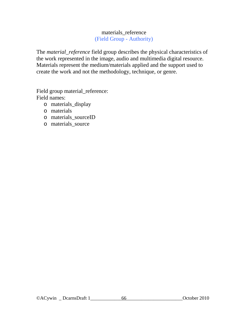# materials reference (Field Group - Authority)

The *material\_reference* field group describes the physical characteristics of the work represented in the image, audio and multimedia digital resource. Materials represent the medium/materials applied and the support used to create the work and not the methodology, technique, or genre.

Field group material\_reference: Field names:

- o materials\_display
- o materials
- o materials\_sourceID
- o materials\_source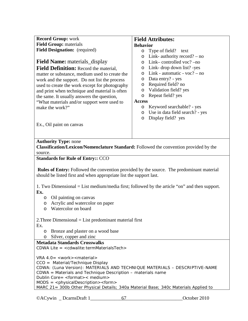**Record Group:** work **Field Group:** materials **Field Designation:** (required)

**Field Name:** materials\_display **Field Definition:** Record the material, matter or substance, medium used to create the work and the support. Do not list the process used to create the work except for photography and print when technique and material is often the same. It usually answers the question, "What materials and/or support were used to make the work?"

### **Field Attributes:**

#### **Behavior**

- o Type of field? text
- o Link- authority record? no
- o Link– controlled voc? –no
- o Link- drop down list? -yes
- o Link automatic voc? no
- o Data entry? yes
- o Required field? no
- o Validation field? yes
- o Repeat field? yes

#### **Access**

- o Keyword searchable? yes
- o Use in data field search? yes
- o Display field? yes

Ex., Oil paint on canvas

### **Authority Type:** none

**Classification/Lexicon/Nomenclature Standard:** Followed the convention provided by the source.

### **Standards for Rule of Entry::** CCO

**Rules of Entry:** Followed the convention provided by the source. The predominant material should be listed first and when appropriate list the support last.

1. Two Dimensional = List medium/media first; followed by the article "on" and then support. **Ex.** 

- o Oil painting on canvas
- o Acrylic and watercolor on paper
- o Watercolor on board

 $2$ . Three Dimensional  $=$  List predominant material first

Ex.

- o Bronze and plaster on a wood base
- o Silver, copper and zinc

#### **Metadata Standards Crosswalks**

CDWA Lite =  $<$ cdwalite:termMaterialsTech>

VRA 4.0= <work><material>

CCO = Material/Technique Display

CDWA: (Luna Version): MATERIALS AND TECHNIQUE MATERIALS – DESCRIPTIVE-NAME

CDWA = Materials and Technique Description – materials name

Dublin Core= <format>< medium>

 $MODS = *physicalDescription* > *form* >$ 

MARC 21= 300b Other Physical Details; 340a Material Base; 340c Materials Applied to

©ACywin \_ DcarnsDraft 1\_\_\_\_\_\_\_\_\_\_\_\_\_\_\_\_\_\_\_\_\_\_\_\_\_\_\_\_\_\_\_\_\_\_\_\_\_\_October 2010 67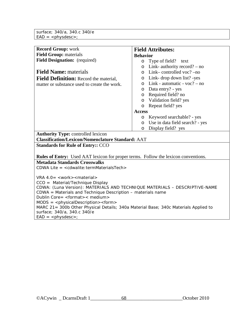| <b>Record Group: work</b>                                                                                                                 | <b>Field Attributes:</b>               |  |
|-------------------------------------------------------------------------------------------------------------------------------------------|----------------------------------------|--|
| <b>Field Group: materials</b>                                                                                                             | <b>Behavior</b>                        |  |
| <b>Field Designation:</b> (required)                                                                                                      | Type of field? text<br>$\circ$         |  |
|                                                                                                                                           | Link-authority record? – no<br>$\circ$ |  |
| <b>Field Name: materials</b>                                                                                                              | $\circ$ Link–controlled voc? –no       |  |
| Field Definition: Record the material,                                                                                                    | o Link-drop down list? - yes           |  |
| matter or substance used to create the work.                                                                                              | $\circ$ Link - automatic - voc? – no   |  |
|                                                                                                                                           | o Data entry? - yes                    |  |
|                                                                                                                                           | Required field? no<br>$\circ$          |  |
|                                                                                                                                           | Validation field? yes<br>$\circ$       |  |
|                                                                                                                                           | Repeat field? yes<br>$\circ$           |  |
|                                                                                                                                           | <b>Access</b>                          |  |
|                                                                                                                                           | o Keyword searchable? - yes            |  |
|                                                                                                                                           | o Use in data field search? - yes      |  |
|                                                                                                                                           | o Display field? yes                   |  |
| <b>Authority Type: controlled lexicon</b>                                                                                                 |                                        |  |
| <b>Classification/Lexicon/Nomenclature Standard: AAT</b>                                                                                  |                                        |  |
| <b>Standards for Rule of Entry:: CCO</b>                                                                                                  |                                        |  |
|                                                                                                                                           |                                        |  |
| <b>Rules of Entry:</b> Used AAT lexicon for proper terms. Follow the lexicon conventions.                                                 |                                        |  |
| <b>Metadata Standards Crosswalks</b>                                                                                                      |                                        |  |
| CDWA Lite = < cdwalite: termMaterialsTech>                                                                                                |                                        |  |
|                                                                                                                                           |                                        |  |
| VRA $4.0 =$ <work> <material></material></work>                                                                                           |                                        |  |
| CCO = Material/Technique Display                                                                                                          |                                        |  |
| CDWA: (Luna Version): MATERIALS AND TECHNIQUE MATERIALS - DESCRIPTIVE-NAME<br>CDWA = Materials and Technique Description - materials name |                                        |  |
| Dublin Core= <format>&lt; medium&gt;</format>                                                                                             |                                        |  |
| $MODS = physicalDescription > form >$                                                                                                     |                                        |  |
| MARC 21 = 300b Other Physical Details; 340a Material Base; 340c Materials Applied to                                                      |                                        |  |
| surface; 340/a, 340.c 340/e                                                                                                               |                                        |  |
| $EAD = $ ;                                                                                                                                |                                        |  |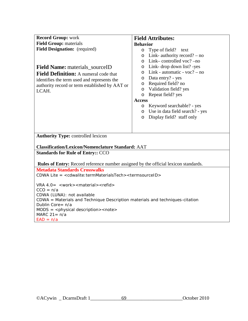| <b>Record Group: work</b>                                                                  | <b>Field Attributes:</b>             |  |
|--------------------------------------------------------------------------------------------|--------------------------------------|--|
| <b>Field Group: materials</b>                                                              |                                      |  |
| <b>Field Designation:</b> (required)                                                       | <b>Behavior</b>                      |  |
|                                                                                            | o Type of field? text                |  |
|                                                                                            | $\circ$ Link- authority record? – no |  |
|                                                                                            | $\circ$ Link-controlled voc? -no     |  |
| <b>Field Name:</b> materials_sourceID                                                      | o Link- drop down list? - yes        |  |
| Field Definition: A numeral code that                                                      | $\circ$ Link - automatic - voc? – no |  |
| identifies the term used and represents the                                                | o Data entry? - yes                  |  |
| authority record or term established by AAT or                                             | Required field? no<br>$\circ$        |  |
| LCAH.                                                                                      | Validation field? yes<br>$\circ$     |  |
|                                                                                            | Repeat field? yes<br>$\circ$         |  |
|                                                                                            | <b>Access</b>                        |  |
|                                                                                            | o Keyword searchable? - yes          |  |
|                                                                                            | o Use in data field search? - yes    |  |
|                                                                                            | Display field? staff only<br>$\circ$ |  |
|                                                                                            |                                      |  |
|                                                                                            |                                      |  |
|                                                                                            |                                      |  |
| <b>Authority Type: controlled lexicon</b>                                                  |                                      |  |
|                                                                                            |                                      |  |
| <b>Classification/Lexicon/Nomenclature Standard: AAT</b>                                   |                                      |  |
| <b>Standards for Rule of Entry:: CCO</b>                                                   |                                      |  |
|                                                                                            |                                      |  |
| <b>Rules of Entry:</b> Record reference number assigned by the official lexicon standards. |                                      |  |
| <b>Metadata Standards Crosswalks</b>                                                       |                                      |  |
| CDWA Lite = < cdwalite: termMaterialsTech> < termsourceID >                                |                                      |  |
|                                                                                            |                                      |  |
| VRA 4.0= <work><material><refid></refid></material></work>                                 |                                      |  |
| $CCO = n/a$                                                                                |                                      |  |
| CDWA (LUNA): not available                                                                 |                                      |  |
| CDWA = Materials and Technique Description materials and techniques-citation               |                                      |  |
| Dublin Core= n/a                                                                           |                                      |  |
| $MODS = physical description < note$                                                       |                                      |  |
| MARC $21 = n/a$                                                                            |                                      |  |
| $EAD = n/a$                                                                                |                                      |  |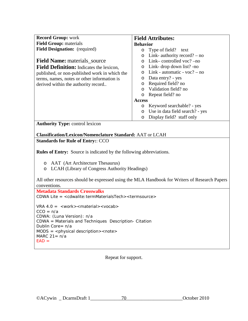| <b>Record Group: work</b>                                                                      | <b>Field Attributes:</b>                                                                      |  |
|------------------------------------------------------------------------------------------------|-----------------------------------------------------------------------------------------------|--|
| <b>Field Group: materials</b>                                                                  | <b>Behavior</b>                                                                               |  |
| <b>Field Designation:</b> (required)                                                           | Type of field?<br>text<br>$\circ$                                                             |  |
|                                                                                                | Link- authority record? $-$ no<br>$\circ$                                                     |  |
| <b>Field Name:</b> materials_source                                                            | Link-controlled voc? -no<br>$\circ$                                                           |  |
| Field Definition: Indicates the lexicon,                                                       | $\circ$ Link-drop down list? -no                                                              |  |
| published, or non-published work in which the                                                  | $\circ$ Link - automatic - voc? – no                                                          |  |
| terms, names, notes or other information is                                                    | o Data entry? - yes                                                                           |  |
| derived within the authority record                                                            | Required field? no<br>$\circ$                                                                 |  |
|                                                                                                | Validation field? no<br>$\circ$                                                               |  |
|                                                                                                | Repeat field? no<br>$\circ$                                                                   |  |
|                                                                                                | <b>Access</b>                                                                                 |  |
|                                                                                                | Keyword searchable? - yes<br>$\circ$                                                          |  |
|                                                                                                | Use in data field search? - yes<br>$\circ$                                                    |  |
|                                                                                                | Display field? staff only<br>O                                                                |  |
| <b>Authority Type: control lexicon</b>                                                         |                                                                                               |  |
|                                                                                                |                                                                                               |  |
| <b>Classification/Lexicon/Nomenclature Standard: AAT or LCAH</b>                               |                                                                                               |  |
| <b>Standards for Rule of Entry:: CCO</b>                                                       |                                                                                               |  |
|                                                                                                |                                                                                               |  |
|                                                                                                |                                                                                               |  |
| <b>Rules of Entry:</b> Source is indicated by the following abbreviations.                     |                                                                                               |  |
|                                                                                                |                                                                                               |  |
| <b>AAT</b> (Art Architecture Thesaurus)<br>$\circ$                                             |                                                                                               |  |
| LCAH (Library of Congress Authority Headings)<br>O                                             |                                                                                               |  |
|                                                                                                |                                                                                               |  |
| conventions.                                                                                   | All other resources should be expressed using the MLA Handbook for Writers of Research Papers |  |
|                                                                                                |                                                                                               |  |
| <b>Metadata Standards Crosswalks</b>                                                           |                                                                                               |  |
| CDWA Lite = <cdwalite:termmaterialstech><termsource></termsource></cdwalite:termmaterialstech> |                                                                                               |  |
| VRA $4.0 =$ <work> <material> <vocab></vocab></material></work>                                |                                                                                               |  |
| $CCO = n/a$                                                                                    |                                                                                               |  |
| CDWA: (Luna Version): n/a                                                                      |                                                                                               |  |
| CDWA = Materials and Techniques Description- Citation                                          |                                                                                               |  |
| Dublin Core= n/a                                                                               |                                                                                               |  |
| $MODS = physical description > note$                                                           |                                                                                               |  |
| MARC $21 = n/a$                                                                                |                                                                                               |  |
| $EAD =$                                                                                        |                                                                                               |  |
|                                                                                                |                                                                                               |  |

Repeat for support.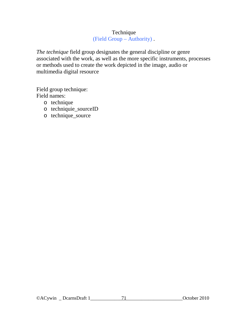# Technique

(Field Group – Authority) .

*The technique* field group designates the general discipline or genre associated with the work, as well as the more specific instruments, processes or methods used to create the work depicted in the image, audio or multimedia digital resource

Field group technique: Field names:

- o technique
- o techniquie\_sourceID
- o technique\_source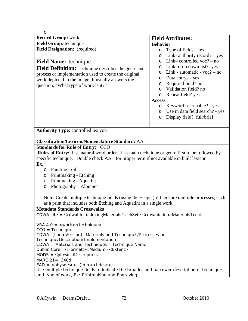| O                                                                                                                               |                                                         |  |
|---------------------------------------------------------------------------------------------------------------------------------|---------------------------------------------------------|--|
| <b>Record Group: work</b>                                                                                                       | <b>Field Attributes:</b>                                |  |
| Field Group: technique                                                                                                          | <b>Behavior</b>                                         |  |
| <b>Field Designation:</b> (required)                                                                                            | Type of field?<br>text<br>$\circ$                       |  |
|                                                                                                                                 | Link- authority record? $-$ yes<br>$\circ$              |  |
| <b>Field Name:</b> technique                                                                                                    | Link–controlled voc? – no<br>$\circ$                    |  |
| Field Definition: Technique describes the genre and                                                                             | Link- drop down list? -yes<br>$\circ$                   |  |
| process or implementation used to create the original                                                                           | Link - automatic - $\text{voc?} - \text{no}$<br>$\circ$ |  |
| work depicted in the image. It usually answers the                                                                              | Data entry? - yes<br>$\circ$                            |  |
| question, "What type of work is it?"                                                                                            | Required field? no<br>O                                 |  |
|                                                                                                                                 | Validation field? no<br>$\circ$                         |  |
|                                                                                                                                 | Repeat field? yes<br>O                                  |  |
|                                                                                                                                 | <b>Access</b>                                           |  |
|                                                                                                                                 | Keyword searchable? - yes<br>$\circ$                    |  |
|                                                                                                                                 | Use in data field search? - yes<br>$\circ$              |  |
|                                                                                                                                 | Display field? full/brief<br>O                          |  |
| <b>Authority Type: controlled lexicon</b>                                                                                       |                                                         |  |
| <b>Classification/Lexicon/Nomenclature Standard: AAT</b>                                                                        |                                                         |  |
| <b>Standards for Rule of Entry:: CCO</b>                                                                                        |                                                         |  |
| <b>Rules of Entry:</b> Use natural word order. List main technique or genre first to be followed by                             |                                                         |  |
| specific technique. Double check AAT for proper term if not available in built lexicon.                                         |                                                         |  |
| Ex.                                                                                                                             |                                                         |  |
| Painting - oil<br>$\circ$                                                                                                       |                                                         |  |
| Printmaking - Etching<br>$\circ$                                                                                                |                                                         |  |
| Printmaking - Aquatint<br>O                                                                                                     |                                                         |  |
| Photography - Albumen<br>O                                                                                                      |                                                         |  |
| Note: Create multiple technique fields (using the $+$ sign) if there are multiple processes, such                               |                                                         |  |
| as a print that includes both Etching and Aquatint in a single work.                                                            |                                                         |  |
| <b>Metadata Standards Crosswalks</b>                                                                                            |                                                         |  |
| CDWA Lite $=$ <cdwalite: indexingmaterials="" techset=""> <cdwalite:termmaterialstech></cdwalite:termmaterialstech></cdwalite:> |                                                         |  |
| VRA $4.0 = <$ work > < technique >                                                                                              |                                                         |  |
| $CCO = Technique$                                                                                                               |                                                         |  |
| CDWA: (Luna Version): Materials and Techniques/Processes or                                                                     |                                                         |  |
| Technique/Description/Implementation                                                                                            |                                                         |  |
| CDWA = Materials and Techniques - Technique Name                                                                                |                                                         |  |
| Dublin Core= <format><medium><extent></extent></medium></format>                                                                |                                                         |  |
| $MODS = physicalDescription$                                                                                                    |                                                         |  |
| MARC $21 = 340d$                                                                                                                |                                                         |  |
| $EAD = $ ; (in $$ )<br>Use multiple technique fields to indicate the broader and narrower description of technique              |                                                         |  |
| and type of work, Ex: Printmaking and Engraving                                                                                 |                                                         |  |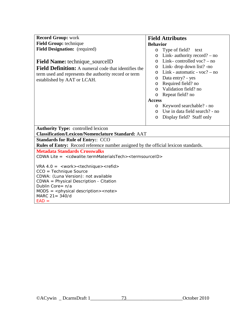| <b>Record Group: work</b>                                                                  | <b>Field Attributes</b>                   |  |
|--------------------------------------------------------------------------------------------|-------------------------------------------|--|
| <b>Field Group: technique</b>                                                              | <b>Behavior</b>                           |  |
| Field Designation: (required)                                                              | Type of field? text<br>$\circ$            |  |
|                                                                                            | Link- authority record? $-$ no<br>$\circ$ |  |
| Field Name: technique_sourceID                                                             | $\circ$ Link–controlled voc? – no         |  |
| <b>Field Definition:</b> A numeral code that identifies the                                | $\circ$ Link-drop down list? -no          |  |
|                                                                                            | $\circ$ Link - automatic - voc? – no      |  |
| term used and represents the authority record or term                                      | Data entry? - yes<br>$\circ$              |  |
| established by AAT or LCAH.                                                                | Required field? no<br>$\circ$             |  |
|                                                                                            | Validation field? no<br>$\circ$           |  |
|                                                                                            | Repeat field? no<br>$\circ$               |  |
|                                                                                            | <b>Access</b>                             |  |
|                                                                                            | Keyword searchable? - no<br>$\circ$       |  |
|                                                                                            | o Use in data field search? - no          |  |
|                                                                                            | Display field? Staff only<br>$\circ$      |  |
|                                                                                            |                                           |  |
| <b>Authority Type: controlled lexicon</b>                                                  |                                           |  |
| <b>Classification/Lexicon/Nomenclature Standard: AAT</b>                                   |                                           |  |
| <b>Standards for Rule of Entry:: CCO</b>                                                   |                                           |  |
| <b>Rules of Entry:</b> Record reference number assigned by the official lexicon standards. |                                           |  |
| <b>Metadata Standards Crosswalks</b>                                                       |                                           |  |
| CDWA Lite = < cdwalite: termMaterialsTech> < termsourceID>                                 |                                           |  |
|                                                                                            |                                           |  |
| VRA $4.0 =$ <work><technique><refid></refid></technique></work>                            |                                           |  |
| $CCO = Technique Source$                                                                   |                                           |  |
| CDWA: (Luna Version): not available                                                        |                                           |  |
| CDWA = Physical Description - Citation                                                     |                                           |  |
| Dublin Core= n/a                                                                           |                                           |  |
| $MODS = physical description < note$<br>MARC $21 = 340/d$                                  |                                           |  |
| $EAD =$                                                                                    |                                           |  |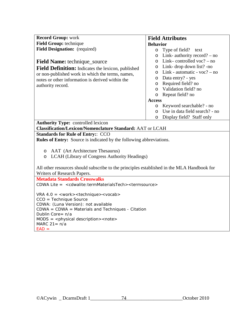| <b>Record Group: work</b>                                                                            |                 | <b>Field Attributes</b>              |  |
|------------------------------------------------------------------------------------------------------|-----------------|--------------------------------------|--|
| Field Group: technique                                                                               | <b>Behavior</b> |                                      |  |
| <b>Field Designation:</b> (required)                                                                 | $\circ$         | Type of field? text                  |  |
|                                                                                                      |                 | $\circ$ Link- authority record? – no |  |
| Field Name: technique_source                                                                         |                 | $\circ$ Link–controlled voc? – no    |  |
| Field Definition: Indicates the lexicon, published                                                   |                 | $\circ$ Link-drop down list? -no     |  |
|                                                                                                      |                 | $\circ$ Link - automatic - voc? – no |  |
| or non-published work in which the terms, names,<br>notes or other information is derived within the |                 | o Data entry? - yes                  |  |
|                                                                                                      |                 | o Required field? no                 |  |
| authority record.                                                                                    |                 | o Validation field? no               |  |
|                                                                                                      |                 | o Repeat field? no                   |  |
|                                                                                                      | <b>Access</b>   |                                      |  |
|                                                                                                      | $\circ$         | Keyword searchable? - no             |  |
|                                                                                                      | $\circ$         | Use in data field search? - no       |  |
|                                                                                                      | $\circ$         | Display field? Staff only            |  |
| <b>Authority Type: controlled lexicon</b>                                                            |                 |                                      |  |
| <b>Classification/Lexicon/Nomenclature Standard: AAT or LCAH</b>                                     |                 |                                      |  |
| <b>Standards for Rule of Entry:: CCO</b>                                                             |                 |                                      |  |
| <b>Rules of Entry:</b> Source is indicated by the following abbreviations.                           |                 |                                      |  |
|                                                                                                      |                 |                                      |  |
| <b>AAT</b> (Art Architecture Thesaurus)<br>$\circ$                                                   |                 |                                      |  |
| LCAH (Library of Congress Authority Headings)<br>$\circ$                                             |                 |                                      |  |
|                                                                                                      |                 |                                      |  |
| All other resources should subscribe to the principles established in the MLA Handbook for           |                 |                                      |  |
| Writers of Research Papers.                                                                          |                 |                                      |  |
| <b>Metadata Standards Crosswalks</b>                                                                 |                 |                                      |  |
| CDWA Lite = < cdwalite: termMaterialsTech> < termsource>                                             |                 |                                      |  |
| VRA $4.0 = <$ work> <technique><vocab></vocab></technique>                                           |                 |                                      |  |
| CCO = Technique Source                                                                               |                 |                                      |  |
| CDWA: (Luna Version): not available                                                                  |                 |                                      |  |
| $CDWA = CDWA = Materials$ and Techniques - Citation                                                  |                 |                                      |  |
| Dublin Core= n/a                                                                                     |                 |                                      |  |
| $MODS = physical description < note$                                                                 |                 |                                      |  |
| MARC $21 = n/a$                                                                                      |                 |                                      |  |
| $EAD =$                                                                                              |                 |                                      |  |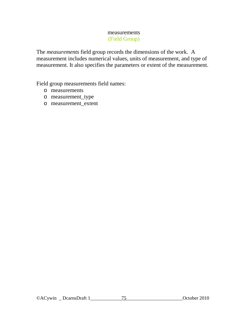#### measurements (Field Group)

The *measurements* field group records the dimensions of the work. A measurement includes numerical values, units of measurement, and type of measurement. It also specifies the parameters or extent of the measurement.

Field group measurements field names:

- o measurements
- o measurement\_type
- o measurement\_extent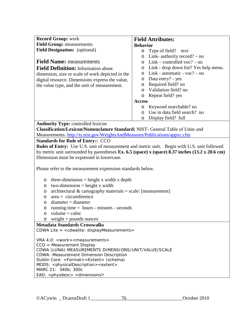| <b>Record Group: work</b>                                                                                      | <b>Field Attributes:</b>                                |  |
|----------------------------------------------------------------------------------------------------------------|---------------------------------------------------------|--|
| <b>Field Group: measurements</b>                                                                               |                                                         |  |
| Field Designation: (optional)                                                                                  | <b>Behavior</b>                                         |  |
|                                                                                                                | Type of field? text<br>$\circ$                          |  |
| <b>Field Name: measurements</b>                                                                                | Link- authority record? $-$ no<br>$\circ$               |  |
|                                                                                                                | o Link – controlled voc? – no                           |  |
| <b>Field Definition:</b> Information about                                                                     | Link - drop down list? Yes help menu.<br>$\circ$        |  |
| dimension, size or scale of work depicted in the                                                               | Link - automatic - $\text{voc?} - \text{no}$<br>$\circ$ |  |
| digital resource. Dimensions express the value,                                                                | Data entry? - yes<br>$\circ$                            |  |
| the value type, and the unit of measurement.                                                                   | Required field? no<br>$\circ$                           |  |
|                                                                                                                | Validation field? no<br>O                               |  |
|                                                                                                                | Repeat field? yes<br>$\circ$                            |  |
|                                                                                                                | <b>Access</b>                                           |  |
|                                                                                                                | Keyword searchable? no<br>$\circ$                       |  |
|                                                                                                                | Use in data field search? no<br>$\circ$                 |  |
|                                                                                                                | Display field? full<br>O                                |  |
| <b>Authority Type: controlled lexicon</b>                                                                      |                                                         |  |
| Classification/Lexicon/Nomenclature Standard: NIST- General Table of Units and                                 |                                                         |  |
| Measurements. http://ts.nist.gov/WeightsAndMeasures/Publications/appxc.cfm                                     |                                                         |  |
| <b>Standards for Rule of Entry:: CCO</b>                                                                       |                                                         |  |
| Rules of Entry: Use U.S. unit of measurement and metric unit. Begin with U.S. unit followed                    |                                                         |  |
| by metric unit surrounded by parentheses Ex. 6.5 (space) x (space) 8.37 inches $(13.2 \times 20.6 \text{ cm})$ |                                                         |  |
| Dimension must be expressed in lowercase.                                                                      |                                                         |  |
|                                                                                                                |                                                         |  |
| Please refer to the measurement expression standards below.                                                    |                                                         |  |
|                                                                                                                |                                                         |  |
| three-dimension $=$ height x width x depth<br>$\circ$                                                          |                                                         |  |
| two-dimension $=$ height x width<br>O                                                                          |                                                         |  |
| architectural $&$ cartography materials = scale: [measurement]<br>O                                            |                                                         |  |
| $area = circumference$<br>O                                                                                    |                                                         |  |
| $diameter = diameter$<br>$\circ$                                                                               |                                                         |  |
| running time $=$ hours - minutes - seconds<br>$\circ$                                                          |                                                         |  |
| volume $=$ cubic<br>$\circ$                                                                                    |                                                         |  |
| weight $=$ pounds ounces<br>O                                                                                  |                                                         |  |
| <b>Metadata Standards Crosswalks</b>                                                                           |                                                         |  |
| CDWA Lite = < cdwalite: displayMeasurements>                                                                   |                                                         |  |
| VRA 4.0: <work><measurements></measurements></work>                                                            |                                                         |  |
| CCO = Measurement Display                                                                                      |                                                         |  |
| CDWA (LUNA): MEASUREMENTS DIMENSIONS/UNIT/VALUE/SCALE                                                          |                                                         |  |
| CDWA: Measurement Dimension Description                                                                        |                                                         |  |
| Dublin Core: <format><extent> (schema)</extent></format>                                                       |                                                         |  |
| MODS: <physicaldescription><extent></extent></physicaldescription>                                             |                                                         |  |
| MARC 21: 340b; 300c                                                                                            |                                                         |  |
| EAD: < physdesc> < dimensions>                                                                                 |                                                         |  |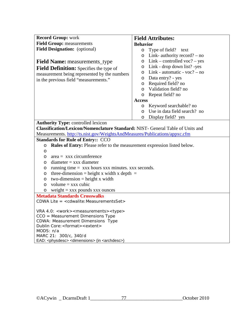| <b>Record Group: work</b>                                                             | <b>Field Attributes:</b>                |  |
|---------------------------------------------------------------------------------------|-----------------------------------------|--|
| <b>Field Group: measurements</b>                                                      | <b>Behavior</b>                         |  |
| <b>Field Designation:</b> (optional)                                                  | Type of field? text<br>$\circ$          |  |
|                                                                                       | $\circ$ Link- authority record? – no    |  |
| <b>Field Name:</b> measurements_type                                                  | o Link – controlled voc? – yes          |  |
| <b>Field Definition:</b> Specifies the type of                                        | o Link - drop down list? -yes           |  |
|                                                                                       | $\circ$ Link - automatic - voc? – no    |  |
| measurement being represented by the numbers<br>in the previous field "measurements." | o Data entry? - yes                     |  |
|                                                                                       | o Required field? no                    |  |
|                                                                                       | o Validation field? no                  |  |
|                                                                                       | o Repeat field? no                      |  |
|                                                                                       | <b>Access</b>                           |  |
|                                                                                       | o Keyword searchable? no                |  |
|                                                                                       | Use in data field search? no<br>$\circ$ |  |
|                                                                                       | Display field? yes<br>$\circ$           |  |
| <b>Authority Type: controlled lexicon</b>                                             |                                         |  |
| Classification/Lexicon/Nomenclature Standard: NIST- General Table of Units and        |                                         |  |
| Measurements. http://ts.nist.gov/WeightsAndMeasures/Publications/appxc.cfm            |                                         |  |
| <b>Standards for Rule of Entry:: CCO</b>                                              |                                         |  |
| Rules of Entry: Please refer to the measurement expression listed below.<br>$\circ$   |                                         |  |
| $\circ$                                                                               |                                         |  |
| $area =$ xxx circumference<br>$\circ$                                                 |                                         |  |
| $diameter = xxx$ diameter<br>$\circ$                                                  |                                         |  |
| running time $=$ xxx hours xxx minutes. xxx seconds.<br>$\circ$                       |                                         |  |
| three-dimension = height x width x depth =<br>O                                       |                                         |  |
| two-dimension $=$ height x width<br>$\circ$                                           |                                         |  |
| volume $=$ xxx cubic<br>$\circ$                                                       |                                         |  |
| weight $=$ xxx pounds xxx ounces<br>$\circ$                                           |                                         |  |
| <b>Metadata Standards Crosswalks</b>                                                  |                                         |  |
| CDWA Lite = < cdwalite: Measurements Set >                                            |                                         |  |
| VRA 4.0: <work><measurements><type></type></measurements></work>                      |                                         |  |
| CCO = Measurement Dimensions Type                                                     |                                         |  |
| CDWA: Measurement Dimensions Type                                                     |                                         |  |
| Dublin Core: <format><extent></extent></format>                                       |                                         |  |
| MODS: n/a                                                                             |                                         |  |
| MARC 21: 300/c, 340/d                                                                 |                                         |  |
| EAD: < physdesc> < dimensions> (in < archdesc>)                                       |                                         |  |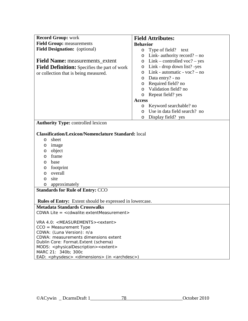| <b>Record Group: work</b>                                                       | <b>Field Attributes:</b>                                |  |  |
|---------------------------------------------------------------------------------|---------------------------------------------------------|--|--|
| <b>Field Group: measurements</b>                                                | <b>Behavior</b>                                         |  |  |
| Field Designation: (optional)                                                   | Type of field? text<br>$\circ$                          |  |  |
|                                                                                 | Link- authority record? $-$ no<br>$\circ$               |  |  |
| <b>Field Name:</b> measurements extent                                          | $\circ$ Link – controlled voc? – yes                    |  |  |
| Field Definition: Specifies the part of work                                    | o Link - drop down list? -yes                           |  |  |
| or collection that is being measured.                                           | Link - automatic - $\text{voc?} - \text{no}$<br>$\circ$ |  |  |
|                                                                                 | Data entry? - no<br>$\circ$                             |  |  |
|                                                                                 | Required field? no<br>$\circ$                           |  |  |
|                                                                                 | Validation field? no<br>$\circ$                         |  |  |
|                                                                                 | Repeat field? yes<br>$\circ$                            |  |  |
|                                                                                 | <b>Access</b>                                           |  |  |
|                                                                                 | Keyword searchable? no<br>$\circ$                       |  |  |
|                                                                                 | Use in data field search? no<br>$\circ$                 |  |  |
|                                                                                 |                                                         |  |  |
|                                                                                 | Display field? yes<br>$\circ$                           |  |  |
| <b>Authority Type: controlled lexicon</b>                                       |                                                         |  |  |
| <b>Classification/Lexicon/Nomenclature Standard: local</b>                      |                                                         |  |  |
| sheet                                                                           |                                                         |  |  |
| $\circ$                                                                         |                                                         |  |  |
| image<br>O                                                                      |                                                         |  |  |
| object<br>O<br>frame                                                            |                                                         |  |  |
| O                                                                               |                                                         |  |  |
| base<br>O                                                                       |                                                         |  |  |
| footprint<br>O                                                                  |                                                         |  |  |
| overall<br>O                                                                    |                                                         |  |  |
| site<br>O                                                                       |                                                         |  |  |
| approximately<br>O                                                              |                                                         |  |  |
| <b>Standards for Rule of Entry: CCO</b>                                         |                                                         |  |  |
|                                                                                 |                                                         |  |  |
| Rules of Entry: Extent should be expressed in lowercase.                        |                                                         |  |  |
| <b>Metadata Standards Crosswalks</b>                                            |                                                         |  |  |
| CDWA Lite = <cdwalite: extentmeasurement=""></cdwalite:>                        |                                                         |  |  |
| VRA 4.0: <measurements><extent></extent></measurements>                         |                                                         |  |  |
| $CCO = Measurement Type$                                                        |                                                         |  |  |
| CDWA: (Luna Version): n/a                                                       |                                                         |  |  |
| CDWA: measurements dimensions extent                                            |                                                         |  |  |
| Dublin Core: Format. Extent (schema)                                            |                                                         |  |  |
| MODS: <physicaldescription><extent></extent></physicaldescription>              |                                                         |  |  |
| MARC 21: 340b; 300c                                                             |                                                         |  |  |
| EAD: <physdesc> <dimensions> (in <archdesc>)</archdesc></dimensions></physdesc> |                                                         |  |  |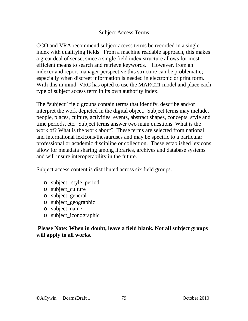### Subject Access Terms

CCO and VRA recommend subject access terms be recorded in a single index with qualifying fields. From a machine readable approach, this makes a great deal of sense, since a single field index structure allows for most efficient means to search and retrieve keywords. However, from an indexer and report manager perspective this structure can be problematic; especially when discreet information is needed in electronic or print form. With this in mind, VRC has opted to use the MARC21 model and place each type of subject access term in its own authority index.

The "subject" field groups contain terms that identify, describe and/or interpret the work depicted in the digital object. Subject terms may include, people, places, culture, activities, events, abstract shapes, concepts, style and time periods, etc. Subject terms answer two main questions. What is the work of? What is the work about? These terms are selected from national and international lexicons/thesauruses and may be specific to a particular professional or academic discipline or collection. These established lexicons allow for metadata sharing among libraries, archives and database systems and will insure interoperability in the future.

Subject access content is distributed across six field groups.

- o subject\_ style\_period
- o subject\_culture
- o subject\_general
- o subject\_geographic
- o subject\_name
- o subject\_iconographic

# **Please Note: When in doubt, leave a field blank. Not all subject groups will apply to all works.**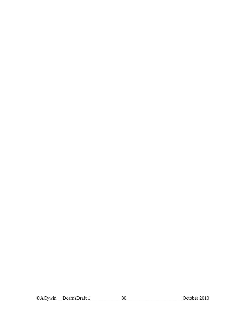©ACywin \_ DcarnsDraft 1\_\_\_\_\_\_\_\_\_\_\_\_\_\_\_\_\_\_\_\_\_\_\_\_\_\_\_\_\_\_\_\_\_\_\_\_\_\_October 2010 80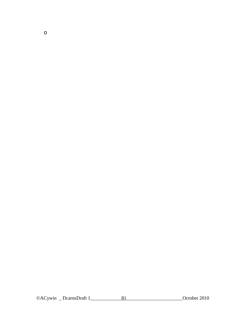o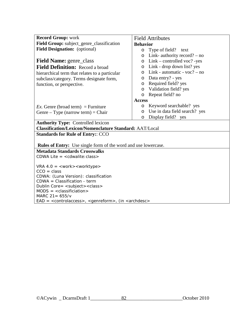| <b>Field Attributes</b>                                               |  |  |
|-----------------------------------------------------------------------|--|--|
| <b>Behavior</b>                                                       |  |  |
| Type of field? text<br>$\circ$                                        |  |  |
| $\circ$ Link- authority record? – no                                  |  |  |
| $\circ$ Link – controlled voc? -yes                                   |  |  |
| o Link - drop down list? yes                                          |  |  |
| $\circ$ Link - automatic - voc? – no                                  |  |  |
| o Data entry? - yes                                                   |  |  |
| o Required field? yes                                                 |  |  |
| o Validation field? yes                                               |  |  |
| Repeat field? no<br>$\circ$                                           |  |  |
| <b>Access</b>                                                         |  |  |
| Keyword searchable? yes<br>$\circ$                                    |  |  |
| Use in data field search? yes<br>$\circ$                              |  |  |
| Display field? yes<br>$\circ$                                         |  |  |
|                                                                       |  |  |
| <b>Classification/Lexicon/Nomenclature Standard: AAT/Local</b>        |  |  |
| <b>Standards for Rule of Entry:: CCO</b>                              |  |  |
|                                                                       |  |  |
| <b>Rules of Entry:</b> Use single form of the word and use lowercase. |  |  |
|                                                                       |  |  |
|                                                                       |  |  |
|                                                                       |  |  |
|                                                                       |  |  |
|                                                                       |  |  |
|                                                                       |  |  |
|                                                                       |  |  |
|                                                                       |  |  |
|                                                                       |  |  |
|                                                                       |  |  |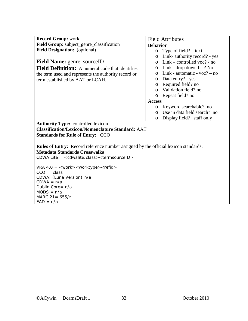| <b>Record Group: work</b>                                                                  | <b>Field Attributes</b>                  |
|--------------------------------------------------------------------------------------------|------------------------------------------|
| Field Group: subject_genre_classification                                                  | <b>Behavior</b>                          |
| <b>Field Designation:</b> (optional)                                                       | Type of field? text<br>$\circ$           |
|                                                                                            | Link- authority record? - yes<br>$\circ$ |
| <b>Field Name:</b> genre_sourceID                                                          | $\circ$ Link – controlled voc? - no      |
| Field Definition: A numeral code that identifies                                           | $\circ$ Link - drop down list? No        |
| the term used and represents the authority record or                                       | $\circ$ Link - automatic - voc? – no     |
| term established by AAT or LCAH.                                                           | Data entry? - yes<br>$\circ$             |
|                                                                                            | Required field? no<br>$\circ$            |
|                                                                                            | Validation field? no<br>$\Omega$         |
|                                                                                            | Repeat field? no<br>$\circ$              |
|                                                                                            | <b>Access</b>                            |
|                                                                                            | Keyword searchable? no<br>$\circ$        |
|                                                                                            | Use in data field search? no<br>O        |
|                                                                                            | Display field? staff only<br>O           |
| <b>Authority Type: controlled lexicon</b>                                                  |                                          |
| <b>Classification/Lexicon/Nomenclature Standard: AAT</b>                                   |                                          |
| <b>Standards for Rule of Entry:: CCO</b>                                                   |                                          |
|                                                                                            |                                          |
| <b>Rules of Entry:</b> Record reference number assigned by the official lexicon standards. |                                          |
| <b>Metadata Standards Crosswalks</b>                                                       |                                          |
| CDWA Lite = <cdwalite: class=""><termsourceid></termsourceid></cdwalite:>                  |                                          |
|                                                                                            |                                          |
| VRA $4.0 =$ <work> <worktype> <refid></refid></worktype></work>                            |                                          |
| $CCO = class$                                                                              |                                          |
| CDWA: (Luna Version): n/a                                                                  |                                          |
| $CDWA = n/a$<br>Dublin Core= n/a                                                           |                                          |
| $MODS = n/a$                                                                               |                                          |
| MARC $21 = 655/z$                                                                          |                                          |
| $EAD = n/a$                                                                                |                                          |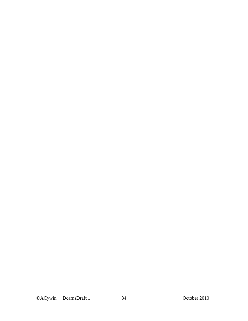©ACywin \_ DcarnsDraft 1\_\_\_\_\_\_\_\_\_\_\_\_\_\_\_\_\_\_\_\_\_\_\_\_\_\_\_\_\_\_\_\_\_\_\_\_\_\_October 2010 84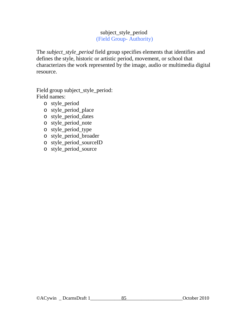### subject\_style\_period (Field Group- Authority)

The *subject\_style\_period* field group specifies elements that identifies and defines the style, historic or artistic period, movement, or school that characterizes the work represented by the image, audio or multimedia digital resource.

Field group subject\_style\_period: Field names:

- o style\_period
- o style\_period\_place
- o style\_period\_dates
- o style\_period\_note
- o style\_period\_type
- o style\_period\_broader
- o style\_period\_sourceID
- o style\_period\_source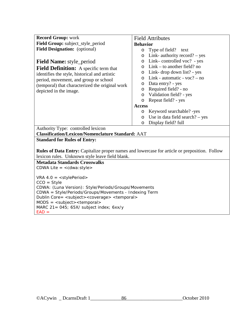| <b>Record Group: work</b>                                                                               | <b>Field Attributes</b>                 |  |
|---------------------------------------------------------------------------------------------------------|-----------------------------------------|--|
| Field Group: subject_style_period                                                                       | <b>Behavior</b>                         |  |
| Field Designation: (optional)                                                                           | Type of field? text<br>O                |  |
|                                                                                                         | Link- authority record? $-$ yes<br>O    |  |
|                                                                                                         | Link-controlled voc? - yes              |  |
| Field Name: style_period                                                                                | $\circ$<br>Link – to another field? no  |  |
| <b>Field Definition:</b> A specific term that                                                           | $\circ$                                 |  |
| identifies the style, historical and artistic                                                           | Link-drop down list? - yes<br>O         |  |
| period, movement, and group or school                                                                   | Link - automatic - voc? - no<br>$\circ$ |  |
| (temporal) that characterized the original work                                                         | Data entry? - yes<br>$\circ$            |  |
| depicted in the image.                                                                                  | Required field? - no<br>O               |  |
|                                                                                                         | Validation field? - yes<br>$\circ$      |  |
|                                                                                                         | Repeat field? - yes<br>$\circ$          |  |
|                                                                                                         | <b>Access</b>                           |  |
|                                                                                                         | Keyword searchable? -yes<br>O           |  |
|                                                                                                         | Use in data field search? $-$ yes<br>O  |  |
|                                                                                                         | Display field? full<br>$\circ$          |  |
| Authority Type: controlled lexicon                                                                      |                                         |  |
| <b>Classification/Lexicon/Nomenclature Standard: AAT</b>                                                |                                         |  |
| <b>Standard for Rules of Entry:</b>                                                                     |                                         |  |
|                                                                                                         |                                         |  |
| Rules of Data Entry: Capitalize proper names and lowercase for article or preposition. Follow           |                                         |  |
| lexicon rules. Unknown style leave field blank.                                                         |                                         |  |
| <b>Metadata Standards Crosswalks</b>                                                                    |                                         |  |
| CDWA Lite = $<$ cdwa: style>                                                                            |                                         |  |
|                                                                                                         |                                         |  |
| VRA $4.0 = \text{stylePeriod}$                                                                          |                                         |  |
| $CCO = Style$                                                                                           |                                         |  |
| CDWA: (Luna Version): Style/Periods/Groups/Movements                                                    |                                         |  |
| CDWA = Style/Periods/Groups/Movements - Indexing Term                                                   |                                         |  |
| Dublin Core= <subject><coverage> <temporal></temporal></coverage></subject>                             |                                         |  |
| $MODS = \langle subject \rangle \langle template \rangle$<br>MARC 21= $045$ ; 65X/ subject index; 6xx/y |                                         |  |
| $EAD =$                                                                                                 |                                         |  |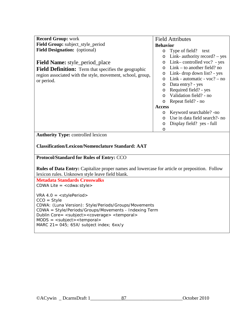| <b>Record Group: work</b>                                                                     | <b>Field Attributes</b>                                 |  |  |
|-----------------------------------------------------------------------------------------------|---------------------------------------------------------|--|--|
| Field Group: subject_style_period                                                             | <b>Behavior</b>                                         |  |  |
| Field Designation: (optional)                                                                 | Type of field?<br>text<br>$\circ$                       |  |  |
|                                                                                               | $\circ$ Link- authority record? – yes                   |  |  |
| Field Name: style_period_place                                                                | Link-controlled voc? - yes<br>$\circ$                   |  |  |
| Field Definition: Term that specifies the geographic                                          | $Link - to another field?$ no<br>$\circ$                |  |  |
| region associated with the style, movement, school, group,                                    | Link- drop down list? - yes<br>$\circ$                  |  |  |
| or period.                                                                                    | Link - automatic - $\text{voc?} - \text{no}$<br>$\circ$ |  |  |
|                                                                                               | Data entry? - yes<br>$\circ$                            |  |  |
|                                                                                               | Required field? - yes<br>$\circ$                        |  |  |
|                                                                                               | Validation field? - no<br>$\circ$                       |  |  |
|                                                                                               | o Repeat field? - no                                    |  |  |
|                                                                                               | <b>Access</b>                                           |  |  |
|                                                                                               | Keyword searchable? - no<br>$\circ$                     |  |  |
|                                                                                               | Use in data field search?- no<br>$\circ$                |  |  |
|                                                                                               | Display field? yes - full<br>O                          |  |  |
|                                                                                               | O                                                       |  |  |
| <b>Authority Type: controlled lexicon</b>                                                     |                                                         |  |  |
| <b>Classification/Lexicon/Nomenclature Standard: AAT</b>                                      |                                                         |  |  |
| Protocol/Standard for Rules of Entry: CCO                                                     |                                                         |  |  |
|                                                                                               |                                                         |  |  |
| Rules of Data Entry: Capitalize proper names and lowercase for article or preposition. Follow |                                                         |  |  |
| lexicon rules. Unknown style leave field blank.                                               |                                                         |  |  |
| <b>Metadata Standards Crosswalks</b>                                                          |                                                         |  |  |
| CDWA Lite = $<$ cdwa: style>                                                                  |                                                         |  |  |
| VRA $4.0 =$ < stylePeriod>                                                                    |                                                         |  |  |
| $CCO = Style$                                                                                 |                                                         |  |  |
| CDWA: (Luna Version): Style/Periods/Groups/Movements                                          |                                                         |  |  |
| CDWA = Style/Periods/Groups/Movements - Indexing Term                                         |                                                         |  |  |
| Dublin Core= <subject><coverage> <temporal></temporal></coverage></subject>                   |                                                         |  |  |
| $MODS = \langle subject \rangle \langle template \rangle$                                     |                                                         |  |  |
| MARC 21= $045$ ; 65X/ subject index; 6xx/y                                                    |                                                         |  |  |
|                                                                                               |                                                         |  |  |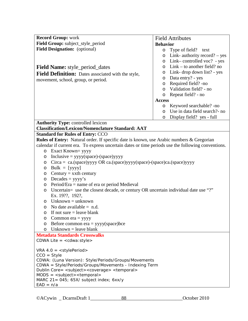| <b>Record Group: work</b>                                                                                                 | <b>Field Attributes</b>                  |  |
|---------------------------------------------------------------------------------------------------------------------------|------------------------------------------|--|
| Field Group: subject_style_period                                                                                         | <b>Behavior</b>                          |  |
| <b>Field Designation:</b> (optional)                                                                                      | Type of field? text<br>$\circ$           |  |
|                                                                                                                           | $\circ$ Link- authority record? – yes    |  |
|                                                                                                                           | o Link-controlled voc? - yes             |  |
| <b>Field Name:</b> style_period_dates                                                                                     | Link – to another field? no<br>$\circ$   |  |
|                                                                                                                           | o Link- drop down list? - yes            |  |
| Field Definition: Dates associated with the style,                                                                        | o Data entry? - yes                      |  |
| movement, school, group, or period.                                                                                       | o Required field? -no                    |  |
|                                                                                                                           | o Validation field? - no                 |  |
|                                                                                                                           | o Repeat field? - no                     |  |
|                                                                                                                           | <b>Access</b>                            |  |
|                                                                                                                           | Keyword searchable? -no<br>$\circ$       |  |
|                                                                                                                           | Use in data field search?- no<br>$\circ$ |  |
|                                                                                                                           | Display field? yes - full<br>$\circ$     |  |
| <b>Authority Type: controlled lexicon</b>                                                                                 |                                          |  |
| <b>Classification/Lexicon/Nomenclature Standard: AAT</b>                                                                  |                                          |  |
| <b>Standard for Rules of Entry: CCO</b>                                                                                   |                                          |  |
| <b>Rules of Entry:</b> Natural order. If specific date is known, use Arabic numbers & Gregorian                           |                                          |  |
| calendar if current era. To express uncertain dates or time periods use the following conventions.                        |                                          |  |
| o Exact Known= yyyy                                                                                                       |                                          |  |
| $Inclusive = yyyy(space) - (space) yyyy$<br>O                                                                             |                                          |  |
| Circa = ca.(space) yyyy OR ca.(space) yyyy(space) - (space) ca.(space) yyyy<br>$\circ$                                    |                                          |  |
| $Bulk = [yyyy]$<br>$\circ$                                                                                                |                                          |  |
| $Century = xxth century$<br>O                                                                                             |                                          |  |
| $Decades = yyyy's$<br>$\circ$                                                                                             |                                          |  |
| $Period/Ex = name of era or period Medical$<br>$\circ$                                                                    |                                          |  |
| Uncertain = use the closest decade, or century OR uncertain individual date use "?"<br>$\circ$<br>Ex. 19??, 192?,         |                                          |  |
| Unknown $=$ unknown<br>$\circ$                                                                                            |                                          |  |
| No date available $=$ n.d.<br>O                                                                                           |                                          |  |
| If not sure $=$ leave blank<br>O                                                                                          |                                          |  |
| Common $era = yyyy$<br>O                                                                                                  |                                          |  |
| Before common $era = yyyy(space)$<br>O                                                                                    |                                          |  |
| Unknown = leave blank<br>O                                                                                                |                                          |  |
| <b>Metadata Standards Crosswalks</b>                                                                                      |                                          |  |
| CDWA Lite = $<$ cdwa: style>                                                                                              |                                          |  |
| VRA $4.0 =$ < stylePeriod>                                                                                                |                                          |  |
| $CCO = Style$                                                                                                             |                                          |  |
| CDWA: (Luna Version): Style/Periods/Groups/Movements                                                                      |                                          |  |
| CDWA = Style/Periods/Groups/Movements - Indexing Term                                                                     |                                          |  |
| Dublin Core= <subject><coverage> <temporal><br/><math>MODS = subject &gt; temporal</math></temporal></coverage></subject> |                                          |  |
| MARC 21= $045$ ; 65X/ subject index; 6xx/y                                                                                |                                          |  |
| $EAD = n/a$                                                                                                               |                                          |  |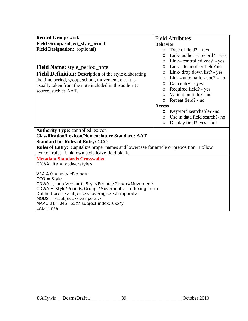| <b>Record Group: work</b>                                                                       | <b>Field Attributes</b>                           |  |
|-------------------------------------------------------------------------------------------------|---------------------------------------------------|--|
| Field Group: subject_style_period                                                               | <b>Behavior</b>                                   |  |
| Field Designation: (optional)                                                                   | Type of field? text<br>$\circ$                    |  |
|                                                                                                 | Link- authority record? $-$ yes<br>O              |  |
|                                                                                                 | o Link-controlled voc? - yes                      |  |
| Field Name: style_period_note                                                                   | Link – to another field? no<br>$\circ$            |  |
| Field Definition: Description of the style elaborating                                          | Link- drop down list? - yes<br>O                  |  |
| the time period, group, school, movement, etc. It is                                            | Link - automatic - $\text{voc?} - \text{no}$<br>O |  |
| usually taken from the note included in the authority                                           | Data entry? - yes<br>O                            |  |
| source, such as AAT.                                                                            | Required field? - yes<br>O                        |  |
|                                                                                                 | Validation field? - no<br>$\Omega$                |  |
|                                                                                                 | Repeat field? - no<br>O                           |  |
|                                                                                                 | <b>Access</b>                                     |  |
|                                                                                                 | Keyword searchable? -no<br>$\circ$                |  |
|                                                                                                 | Use in data field search?- no<br>$\circ$          |  |
|                                                                                                 | Display field? yes - full<br>$\circ$              |  |
| <b>Authority Type: controlled lexicon</b>                                                       |                                                   |  |
| <b>Classification/Lexicon/Nomenclature Standard: AAT</b>                                        |                                                   |  |
| <b>Standard for Rules of Entry: CCO</b>                                                         |                                                   |  |
| <b>Rules of Entry:</b> Capitalize proper names and lowercase for article or preposition. Follow |                                                   |  |
| lexicon rules. Unknown style leave field blank.                                                 |                                                   |  |
| <b>Metadata Standards Crosswalks</b>                                                            |                                                   |  |
| CDWA Lite = $<$ cdwa: style>                                                                    |                                                   |  |
|                                                                                                 |                                                   |  |
| VRA $4.0 =$ < stylePeriod>                                                                      |                                                   |  |
| $CCO = Style$                                                                                   |                                                   |  |
| CDWA: (Luna Version): Style/Periods/Groups/Movements                                            |                                                   |  |
| CDWA = Style/Periods/Groups/Movements - Indexing Term                                           |                                                   |  |
| Dublin Core= <subject><coverage> <temporal></temporal></coverage></subject>                     |                                                   |  |
| $MODS = \langle subject \rangle \langle template \rangle$                                       |                                                   |  |
| MARC 21= 045; 65X/ subject index; 6xx/y                                                         |                                                   |  |
| $EAD = n/a$                                                                                     |                                                   |  |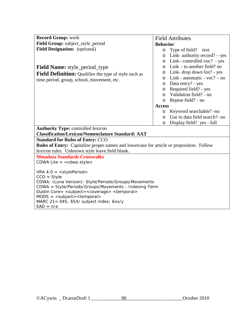| <b>Record Group: work</b>                                                                                     | <b>Field Attributes</b>                                 |  |
|---------------------------------------------------------------------------------------------------------------|---------------------------------------------------------|--|
| Field Group: subject_style_period                                                                             | <b>Behavior</b>                                         |  |
| <b>Field Designation:</b> (optional)                                                                          | Type of field? text<br>$\circ$                          |  |
|                                                                                                               | Link- authority record? $-$ yes<br>$\circ$              |  |
|                                                                                                               | o Link-controlled voc? - yes                            |  |
| Field Name: style_period_type                                                                                 | Link – to another field? no<br>$\circ$                  |  |
| <b>Field Definition:</b> Qualifies the type of style such as                                                  | Link- drop down list? - yes<br>$\circ$                  |  |
| time period, group, school, movement, etc.                                                                    | Link - automatic - $\text{voc?} - \text{no}$<br>$\circ$ |  |
|                                                                                                               | Data entry? - yes<br>O                                  |  |
|                                                                                                               | Required field? - yes<br>$\circ$                        |  |
|                                                                                                               | Validation field? - no<br>$\Omega$                      |  |
|                                                                                                               | Repeat field? - no<br>$\circ$                           |  |
|                                                                                                               | <b>Access</b>                                           |  |
|                                                                                                               | Keyword searchable? - no<br>$\circ$                     |  |
|                                                                                                               | Use in data field search? - no<br>$\circ$               |  |
|                                                                                                               | Display field? yes - full<br>$\circ$                    |  |
| <b>Authority Type: controlled lexicon</b>                                                                     |                                                         |  |
| <b>Classification/Lexicon/Nomenclature Standard: AAT</b>                                                      |                                                         |  |
| <b>Standard for Rules of Entry: CCO</b>                                                                       |                                                         |  |
| Rules of Entry: Capitalize proper names and lowercase for article or preposition. Follow                      |                                                         |  |
| lexicon rules. Unknown style leave field blank.                                                               |                                                         |  |
| <b>Metadata Standards Crosswalks</b>                                                                          |                                                         |  |
| CDWA Lite = $<$ cdwa: style>                                                                                  |                                                         |  |
|                                                                                                               |                                                         |  |
| VRA $4.0 = \text{stylePeriod}$                                                                                |                                                         |  |
| $CCO = Style$                                                                                                 |                                                         |  |
| CDWA: (Luna Version): Style/Periods/Groups/Movements<br>CDWA = Style/Periods/Groups/Movements - Indexing Term |                                                         |  |
| Dublin Core= <subject><coverage> <temporal></temporal></coverage></subject>                                   |                                                         |  |
| $MODS = \langle subject \rangle \langle template \rangle$                                                     |                                                         |  |
| MARC 21= $045$ ; 65X/ subject index; 6xx/y                                                                    |                                                         |  |
| $EAD = n/a$                                                                                                   |                                                         |  |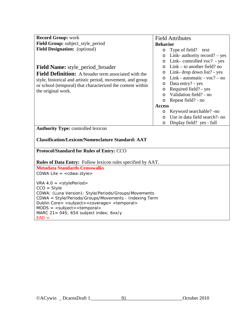| <b>Record Group: work</b>                                                   |                 | <b>Field Attributes</b>                      |
|-----------------------------------------------------------------------------|-----------------|----------------------------------------------|
| Field Group: subject_style_period                                           | <b>Behavior</b> |                                              |
| <b>Field Designation:</b> (optional)                                        | $\circ$         | Type of field?<br>text                       |
|                                                                             |                 | $\circ$ Link- authority record? – yes        |
|                                                                             |                 | o Link-controlled voc? - yes                 |
| <b>Field Name:</b> style_period_broader                                     |                 | $\circ$ Link – to another field? no          |
| <b>Field Definition:</b> A broader term associated with the                 | $\circ$         | Link- drop down list? - yes                  |
| style, historical and artistic period, movement, and group                  | $\circ$         | Link - automatic - $\text{voc?} - \text{no}$ |
| or school (temporal) that characterized the content within                  | $\circ$         | Data entry? - yes                            |
| the original work.                                                          | O               | Required field? - yes                        |
|                                                                             | $\circ$         | Validation field? - no                       |
|                                                                             | $\circ$         | Repeat field? - no                           |
|                                                                             | <b>Access</b>   |                                              |
|                                                                             |                 | o Keyword searchable? -no                    |
|                                                                             | $\circ$         | Use in data field search?- no                |
|                                                                             | O               | Display field? yes - full                    |
| <b>Authority Type: controlled lexicon</b>                                   |                 |                                              |
| <b>Classification/Lexicon/Nomenclature Standard: AAT</b>                    |                 |                                              |
| <b>Protocol/Standard for Rules of Entry: CCO</b>                            |                 |                                              |
|                                                                             |                 |                                              |
| Rules of Data Entry: Follow lexicon rules specified by AAT.                 |                 |                                              |
| <b>Metadata Standards Crosswalks</b>                                        |                 |                                              |
| CDWA Lite = $<$ cdwa: style>                                                |                 |                                              |
| VRA $4.0 =$ < stylePeriod>                                                  |                 |                                              |
| $CCO = Style$                                                               |                 |                                              |
| CDWA: (Luna Version): Style/Periods/Groups/Movements                        |                 |                                              |
| CDWA = Style/Periods/Groups/Movements - Indexing Term                       |                 |                                              |
| Dublin Core= <subject><coverage> <temporal></temporal></coverage></subject> |                 |                                              |
| $MODS = subject > temporal$<br>MARC $21 = 045$ ; 65X subject index; 6xx/y   |                 |                                              |
| $EAD =$                                                                     |                 |                                              |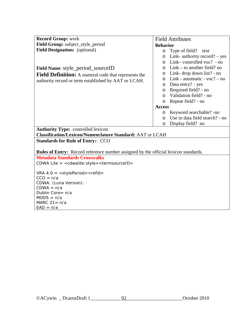| <b>Record Group: work</b>                                                           | <b>Field Attributes</b>                                 |
|-------------------------------------------------------------------------------------|---------------------------------------------------------|
| Field Group: subject_style_period                                                   | <b>Behavior</b>                                         |
| <b>Field Designation:</b> (optional)                                                | Type of field?<br>text<br>$\circ$                       |
|                                                                                     | Link- authority record? $-$ yes<br>$\circ$              |
|                                                                                     | o Link-controlled voc? - no                             |
| Field Name: style_period_sourceID                                                   | $\circ$ Link – to another field? no                     |
| <b>Field Definition:</b> A numeral code that represents the                         | Link- drop down list? - no<br>$\circ$                   |
| authority record or term established by AAT or LCAH.                                | Link - automatic - $\text{voc?} - \text{no}$<br>$\circ$ |
|                                                                                     | Data entry? - yes<br>$\circ$                            |
|                                                                                     | Required field? - no<br>$\circ$                         |
|                                                                                     | Validation field? - no<br>$\Omega$                      |
|                                                                                     | Repeat field? - no<br>O                                 |
|                                                                                     | <b>Access</b>                                           |
|                                                                                     | Keyword searchable? -no<br>O                            |
|                                                                                     | Use in data field search? - no<br>$\circ$               |
|                                                                                     | Display field? no<br>$\circ$                            |
| <b>Authority Type: controlled lexicon</b>                                           |                                                         |
| Classification/Lexicon/Nomenclature Standard: AAT or LCAH                           |                                                         |
| <b>Standards for Rule of Entry:: CCO</b>                                            |                                                         |
|                                                                                     |                                                         |
| Rules of Entry: Record reference number assigned by the official lexicon standards. |                                                         |
| <b>Metadata Standards Crosswalks</b>                                                |                                                         |
| CDWA Lite = <cdwalite: style=""><termsourceid></termsourceid></cdwalite:>           |                                                         |
|                                                                                     |                                                         |
| VRA $4.0 =$ < stylePeriod > < refid >                                               |                                                         |
| $CCO = n/a$                                                                         |                                                         |
| CDWA: (Luna Version):                                                               |                                                         |
| $CDWA = n/a$<br>Dublin Core= n/a                                                    |                                                         |
| $MODS = n/a$                                                                        |                                                         |
| MARC $21 = n/a$                                                                     |                                                         |
| $EAD = n/a$                                                                         |                                                         |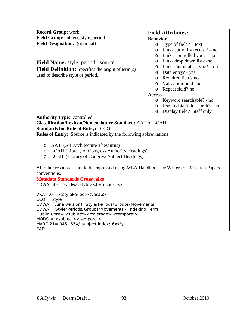| <b>Record Group: work</b>                                                                 | <b>Field Attributes:</b>                              |  |  |
|-------------------------------------------------------------------------------------------|-------------------------------------------------------|--|--|
| Field Group: subject_style_period                                                         | <b>Behavior</b>                                       |  |  |
| <b>Field Designation:</b> (optional)                                                      | Type of field? text<br>$\circ$                        |  |  |
|                                                                                           | $\circ$ Link- authority record? – no                  |  |  |
|                                                                                           | $\circ$ Link–controlled voc? – no                     |  |  |
| <b>Field Name:</b> style_period _source                                                   | o Link- drop down list? -no                           |  |  |
| Field Definition: Specifies the origin of term(s)                                         | $\circ$ Link - automatic - voc? – no                  |  |  |
| used to describe style or period.                                                         | o Data entry? - yes                                   |  |  |
|                                                                                           | Required field? no<br>$\circ$                         |  |  |
|                                                                                           | o Validation field? no                                |  |  |
|                                                                                           | o Repeat field? no                                    |  |  |
|                                                                                           | <b>Access</b>                                         |  |  |
|                                                                                           | o Keyword searchable? - no                            |  |  |
|                                                                                           | Use in data field search? - no<br>$\circ$             |  |  |
|                                                                                           | Display field? Staff only<br>$\circ$                  |  |  |
| <b>Authority Type: controlled</b>                                                         |                                                       |  |  |
| Classification/Lexicon/Nomenclature Standard: AAT or LCAH                                 |                                                       |  |  |
| <b>Standards for Rule of Entry:: CCO</b>                                                  |                                                       |  |  |
| <b>Rules of Entry:</b> Source is indicated by the following abbreviations.                |                                                       |  |  |
|                                                                                           |                                                       |  |  |
| <b>AAT</b> (Art Architecture Thesaurus)<br>$\circ$                                        |                                                       |  |  |
| <b>LCAH</b> (Library of Congress Authority Headings)<br>$\circ$                           |                                                       |  |  |
| <b>LCSH</b> (Library of Congress Subject Headings)<br>$\circ$                             |                                                       |  |  |
|                                                                                           |                                                       |  |  |
| All other resources should be expressed using MLA Handbook for Writers of Research Papers |                                                       |  |  |
| conventions.                                                                              |                                                       |  |  |
| <b>Metadata Standards Crosswalks</b>                                                      |                                                       |  |  |
| CDWA Lite = < cdwa: style> < termsource>                                                  |                                                       |  |  |
| VRA $4.0 = \text{stylePeriod} \times \text{vocab}$                                        |                                                       |  |  |
| $CCO = Style$                                                                             |                                                       |  |  |
| CDWA: (Luna Version): Style/Periods/Groups/Movements                                      |                                                       |  |  |
|                                                                                           | CDWA = Style/Periods/Groups/Movements - Indexing Term |  |  |
|                                                                                           |                                                       |  |  |
| Dublin Core= <subject><coverage> <temporal></temporal></coverage></subject>               |                                                       |  |  |
| $MODS = subject > temporal$<br>MARC 21= 045; 65X/ subject index; 6xx/y                    |                                                       |  |  |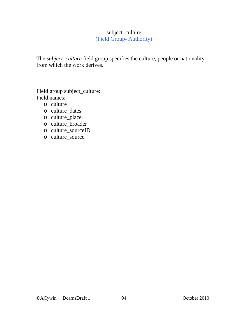# subject\_culture

(Field Group- Authority)

The *subject\_culture* field group specifies the culture, people or nationality from which the work derives.

Field group subject\_culture: Field names:

- o culture
- o culture\_dates
- o culture\_place
- o culture\_broader
- o culture\_sourceID
- o culture\_source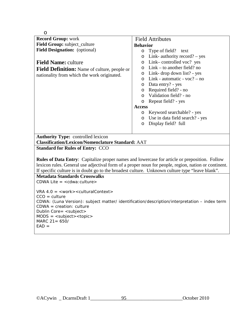| O                                                                                                                                                                                                                                                                                                                                                                                              |                                                                                                      |
|------------------------------------------------------------------------------------------------------------------------------------------------------------------------------------------------------------------------------------------------------------------------------------------------------------------------------------------------------------------------------------------------|------------------------------------------------------------------------------------------------------|
| <b>Record Group: work</b>                                                                                                                                                                                                                                                                                                                                                                      | <b>Field Attributes</b>                                                                              |
| Field Group: subject_culture                                                                                                                                                                                                                                                                                                                                                                   | <b>Behavior</b>                                                                                      |
| <b>Field Designation:</b> (optional)                                                                                                                                                                                                                                                                                                                                                           | Type of field? text<br>$\circ$                                                                       |
|                                                                                                                                                                                                                                                                                                                                                                                                | $\circ$ Link-authority record? – yes                                                                 |
| <b>Field Name: culture</b>                                                                                                                                                                                                                                                                                                                                                                     | o Link-controlled voc? yes                                                                           |
| <b>Field Definition:</b> Name of culture, people or                                                                                                                                                                                                                                                                                                                                            | $\circ$ Link – to another field? no                                                                  |
| nationality from which the work originated.                                                                                                                                                                                                                                                                                                                                                    | o Link- drop down list? - yes                                                                        |
|                                                                                                                                                                                                                                                                                                                                                                                                | $\circ$ Link - automatic - voc? – no                                                                 |
|                                                                                                                                                                                                                                                                                                                                                                                                | o Data entry? - yes                                                                                  |
|                                                                                                                                                                                                                                                                                                                                                                                                | o Required field? - no                                                                               |
|                                                                                                                                                                                                                                                                                                                                                                                                | o Validation field? - no                                                                             |
|                                                                                                                                                                                                                                                                                                                                                                                                | o Repeat field? - yes                                                                                |
|                                                                                                                                                                                                                                                                                                                                                                                                | <b>Access</b>                                                                                        |
|                                                                                                                                                                                                                                                                                                                                                                                                | o Keyword searchable? - yes                                                                          |
|                                                                                                                                                                                                                                                                                                                                                                                                | o Use in data field search? - yes                                                                    |
|                                                                                                                                                                                                                                                                                                                                                                                                | Display field? full<br>$\circ$                                                                       |
|                                                                                                                                                                                                                                                                                                                                                                                                |                                                                                                      |
| <b>Authority Type: controlled lexicon</b><br><b>Classification/Lexicon/Nomenclature Standard: AAT</b>                                                                                                                                                                                                                                                                                          |                                                                                                      |
| <b>Standard for Rules of Entry: CCO</b>                                                                                                                                                                                                                                                                                                                                                        |                                                                                                      |
| <b>Rules of Data Entry:</b> Capitalize proper names and lowercase for article or preposition. Follow<br>If specific culture is in doubt go to the broadest culture. Unknown culture type "leave blank".                                                                                                                                                                                        | lexicon rules. General use adjectival form of a proper noun for people, region, nation or continent. |
| <b>Metadata Standards Crosswalks</b>                                                                                                                                                                                                                                                                                                                                                           |                                                                                                      |
| CDWA Lite = $<$ cdwa: culture>                                                                                                                                                                                                                                                                                                                                                                 |                                                                                                      |
| VRA $4.0 =$ <work> &lt; cultural Context&gt;<br/><math>CCO = culture</math><br/>CDWA: (Luna Version): subject matter/identification/description/interpretation - index term<br/><math>CDWA = creation: culture</math><br/>Dublin Core= <subject><br/><math>MODS = \langle subject \rangle \langle topic \rangle</math><br/>MARC <math>21 = 650/</math><br/><math>EAD =</math></subject></work> |                                                                                                      |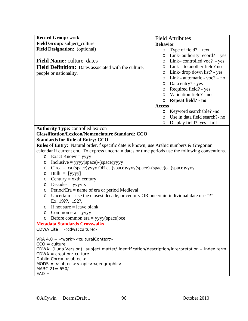| <b>Record Group: work</b>                                                                          | <b>Field Attributes</b>               |  |
|----------------------------------------------------------------------------------------------------|---------------------------------------|--|
| Field Group: subject_culture                                                                       | <b>Behavior</b>                       |  |
| <b>Field Designation:</b> (optional)                                                               | Type of field? text<br>$\circ$        |  |
|                                                                                                    | $\circ$ Link- authority record? – yes |  |
| <b>Field Name:</b> culture dates                                                                   | o Link-controlled voc? - yes          |  |
| Field Definition: Dates associated with the culture,                                               | $\circ$ Link – to another field? no   |  |
| people or nationality.                                                                             | $\circ$ Link-drop down list? - yes    |  |
|                                                                                                    | $\circ$ Link - automatic - voc? – no  |  |
|                                                                                                    | o Data entry? - yes                   |  |
|                                                                                                    | o Required field? - yes               |  |
|                                                                                                    | o Validation field? - no              |  |
|                                                                                                    | $\circ$ Repeat field? - no            |  |
|                                                                                                    | <b>Access</b>                         |  |
|                                                                                                    | o Keyword searchable? - no            |  |
|                                                                                                    | o Use in data field search?- no       |  |
|                                                                                                    | o Display field? yes - full           |  |
| <b>Authority Type: controlled lexicon</b>                                                          |                                       |  |
| <b>Classification/Lexicon/Nomenclature Standard: CCO</b>                                           |                                       |  |
| <b>Standards for Rule of Entry: CCO</b>                                                            |                                       |  |
| Rules of Entry: Natural order. f specific date is known, use Arabic numbers & Gregorian            |                                       |  |
| calendar if current era. To express uncertain dates or time periods use the following conventions. |                                       |  |
| Exact Known= yyyy<br>$\circ$                                                                       |                                       |  |
| $Inclusive = yyyy(space) - (space) yyyy$<br>$\circ$                                                |                                       |  |
| Circa = ca.(space)yyyy OR ca.(space)yyyy(space)-(space)ca.(space)yyyy<br>$\circ$                   |                                       |  |
| $Bulk = [yyyy]$<br>$\circ$                                                                         |                                       |  |
| Century = $x x$ th century<br>O                                                                    |                                       |  |
| $Decades = yyyy's$<br>$\circ$                                                                      |                                       |  |
| $Period/Ex = name of era or period Medical$<br>$\circ$                                             |                                       |  |
| Uncertain= use the closest decade, or century OR uncertain individual date use "?"<br>$\circ$      |                                       |  |
| Ex. 19??, 192?,                                                                                    |                                       |  |
| If not sure $=$ leave blank<br>O                                                                   |                                       |  |
| Common $era = yyyy$<br>$\cap$                                                                      |                                       |  |
| Before common $era = yyyy$ (space)bce<br>O                                                         |                                       |  |
| <b>Metadata Standards Crosswalks</b>                                                               |                                       |  |
| CDWA Lite = $<$ cdwa: culture>                                                                     |                                       |  |
|                                                                                                    |                                       |  |
| VRA $4.0 =$ <work> &lt; cultural Context&gt;</work>                                                |                                       |  |
| $CCO = culture$                                                                                    |                                       |  |
| CDWA: (Luna Version): subject matter/identification/description/interpretation - index term        |                                       |  |
| $CDWA = creation: culture$                                                                         |                                       |  |
| Dublin Core= <subject><br/><math>MODS = subject &gt; topic &lt; geographic</math></subject>        |                                       |  |
| MARC $21 = 650/$                                                                                   |                                       |  |
| $EAD =$                                                                                            |                                       |  |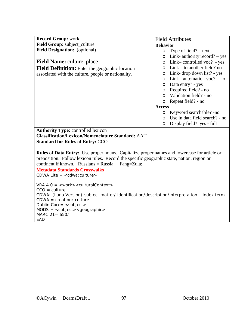| <b>Record Group: work</b>                                                                                      | <b>Field Attributes</b>                                 |
|----------------------------------------------------------------------------------------------------------------|---------------------------------------------------------|
| Field Group: subject_culture                                                                                   | <b>Behavior</b>                                         |
| <b>Field Designation:</b> (optional)                                                                           | Type of field?<br>text<br>$\circ$                       |
|                                                                                                                | $\circ$ Link- authority record? – yes                   |
| Field Name: culture_place                                                                                      | o Link-controlled voc? - yes                            |
| <b>Field Definition:</b> Enter the geographic location                                                         | $\circ$ Link – to another field? no                     |
| associated with the culture, people or nationality.                                                            | $\circ$ Link-drop down list? - yes                      |
|                                                                                                                | Link - automatic - $\text{voc?} - \text{no}$<br>$\circ$ |
|                                                                                                                | Data entry? - yes<br>$\circ$                            |
|                                                                                                                | Required field? - no<br>$\circ$                         |
|                                                                                                                | o Validation field? - no                                |
|                                                                                                                | Repeat field? - no<br>$\circ$                           |
|                                                                                                                | <b>Access</b>                                           |
|                                                                                                                | Keyword searchable? - no<br>$\circ$                     |
|                                                                                                                | Use in data field search? - no<br>$\circ$               |
|                                                                                                                | Display field? yes - full<br>O                          |
| <b>Authority Type: controlled lexicon</b>                                                                      |                                                         |
| <b>Classification/Lexicon/Nomenclature Standard: AAT</b>                                                       |                                                         |
| <b>Standard for Rules of Entry: CCO</b>                                                                        |                                                         |
|                                                                                                                |                                                         |
| <b>Rules of Data Entry:</b> Use proper nouns. Capitalize proper names and lowercase for article or             |                                                         |
| preposition. Follow lexicon rules. Record the specific geographic state, nation, region or                     |                                                         |
| continent if known. Russians = Russia; Fang=Zula;                                                              |                                                         |
| <b>Metadata Standards Crosswalks</b>                                                                           |                                                         |
| CDWA Lite = $<$ cdwa: culture>                                                                                 |                                                         |
|                                                                                                                |                                                         |
| VRA $4.0 =$ <work> <culturalcontext></culturalcontext></work>                                                  |                                                         |
| $CCO = culture$<br>CDWA: (Luna Version): subject matter/identification/description/interpretation - index term |                                                         |
| $CDWA = creation: culture$                                                                                     |                                                         |
| Dublin Core= <subject></subject>                                                                               |                                                         |
| $MODS = \langle subject \rangle \langle geographic \rangle$                                                    |                                                         |
| MARC $21 = 650/$                                                                                               |                                                         |
| $EAD =$                                                                                                        |                                                         |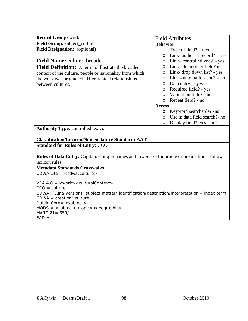| <b>Record Group: work</b>                                                                            | <b>Field Attributes</b>                                 |  |
|------------------------------------------------------------------------------------------------------|---------------------------------------------------------|--|
| Field Group: subject_culture                                                                         | <b>Behavior</b>                                         |  |
| <b>Field Designation:</b> (optional)                                                                 | Type of field?<br>text<br>$\circ$                       |  |
|                                                                                                      | $\circ$ Link- authority record? – yes                   |  |
| Field Name: culture_broader                                                                          | o Link-controlled voc? - yes                            |  |
| <b>Field Definition:</b> A term to illustrate the broader                                            | Link – to another field? no<br>$\circ$                  |  |
| context of the culture, people or nationality from which                                             | Link- drop down list? - yes<br>$\circ$                  |  |
| the work was originated. Hierarchical relationships                                                  | Link - automatic - $\text{voc?} - \text{no}$<br>$\circ$ |  |
| between cultures.                                                                                    | Data entry? - yes<br>$\circ$                            |  |
|                                                                                                      | Required field? - yes<br>O                              |  |
|                                                                                                      | Validation field? - no<br>$\circ$                       |  |
|                                                                                                      | Repeat field? - no<br>$\circ$                           |  |
|                                                                                                      | <b>Access</b>                                           |  |
|                                                                                                      | Keyword searchable? -no<br>$\circ$                      |  |
|                                                                                                      | Use in data field search?- no<br>$\circ$                |  |
|                                                                                                      | Display field? yes - full<br>$\circ$                    |  |
| <b>Authority Type: controlled lexicon</b>                                                            |                                                         |  |
|                                                                                                      |                                                         |  |
| <b>Classification/Lexicon/Nomenclature Standard: AAT</b>                                             |                                                         |  |
| <b>Standard for Rules of Entry: CCO</b>                                                              |                                                         |  |
|                                                                                                      |                                                         |  |
| <b>Rules of Data Entry:</b> Capitalize proper names and lowercase for article or preposition. Follow |                                                         |  |
| lexicon rules.                                                                                       |                                                         |  |
| <b>Metadata Standards Crosswalks</b>                                                                 |                                                         |  |
| CDWA Lite = $<$ cdwa: culture>                                                                       |                                                         |  |
| VRA $4.0 =$ <work> <culturalcontext></culturalcontext></work>                                        |                                                         |  |
| $CCO = culture$                                                                                      |                                                         |  |
| CDWA: (Luna Version): subject matter/identification/description/interpretation - index term          |                                                         |  |
| $CDWA = creation: culture$                                                                           |                                                         |  |
| Dublin Core= <subject></subject>                                                                     |                                                         |  |
| $MODS = \langle subject \rangle \langle topic \rangle \langle geographic \rangle$                    |                                                         |  |
| MARC $21 = 650/$                                                                                     |                                                         |  |
| $EAD =$                                                                                              |                                                         |  |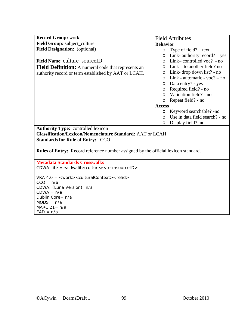| <b>Record Group: work</b>                                                          | <b>Field Attributes</b>                                 |
|------------------------------------------------------------------------------------|---------------------------------------------------------|
| Field Group: subject_culture                                                       | <b>Behavior</b>                                         |
| <b>Field Designation:</b> (optional)                                               | Type of field?<br>text<br>$\circ$                       |
|                                                                                    | $\circ$ Link- authority record? – yes                   |
| Field Name: culture_sourceID                                                       | o Link-controlled voc? - no                             |
| Field Definition: A numeral code that represents an                                | $\circ$ Link – to another field? no                     |
| authority record or term established by AAT or LCAH.                               | $\circ$ Link-drop down list? - no                       |
|                                                                                    | Link - automatic - $\text{voc?} - \text{no}$<br>$\circ$ |
|                                                                                    | Data entry? - yes<br>$\circ$                            |
|                                                                                    | Required field? - no<br>$\circ$                         |
|                                                                                    | Validation field? - no<br>$\circ$                       |
|                                                                                    | o Repeat field? - no                                    |
|                                                                                    | <b>Access</b>                                           |
|                                                                                    | Keyword searchable? -no<br>$\circ$                      |
|                                                                                    | Use in data field search? - no<br>$\circ$               |
|                                                                                    | Display field? no<br>$\circ$                            |
| <b>Authority Type: controlled lexicon</b>                                          |                                                         |
| <b>Classification/Lexicon/Nomenclature Standard: AAT or LCAH</b>                   |                                                         |
| <b>Standards for Rule of Entry:: CCO</b>                                           |                                                         |
|                                                                                    |                                                         |
| Rules of Entry: Record reference number assigned by the official lexicon standard. |                                                         |
|                                                                                    |                                                         |
| <b>Metadata Standards Crosswalks</b>                                               |                                                         |
| CDWA Lite = <cdwalite: culture=""><termsourceid></termsourceid></cdwalite:>        |                                                         |
| VRA $4.0 =$ <work> &lt; culturalContext&gt; &lt; refid&gt;</work>                  |                                                         |
| $CCO = n/a$                                                                        |                                                         |
| CDWA: (Luna Version): n/a                                                          |                                                         |
| $CDWA = n/a$                                                                       |                                                         |
| Dublin Core= n/a                                                                   |                                                         |
| $MODS = n/a$                                                                       |                                                         |
| MARC $21 = n/a$                                                                    |                                                         |
| $EAD = n/a$                                                                        |                                                         |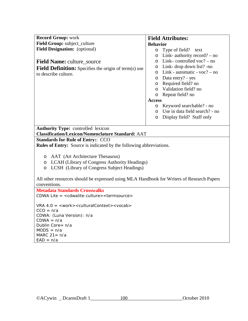| <b>Record Group: work</b>                                                                 | <b>Field Attributes:</b>                       |
|-------------------------------------------------------------------------------------------|------------------------------------------------|
| Field Group: subject_culture                                                              | <b>Behavior</b>                                |
| Field Designation: (optional)                                                             | Type of field? text<br>$\circ$                 |
|                                                                                           | $\circ$ Link- authority record? – no           |
| <b>Field Name: culture_source</b>                                                         | $\circ$ Link–controlled voc? – no              |
| <b>Field Definition:</b> Specifies the origin of term(s) use                              | o Link- drop down list? -no                    |
| to describe culture.                                                                      | o Link - automatic - $\text{voc?} - \text{no}$ |
|                                                                                           | Data entry? - yes<br>$\circ$                   |
|                                                                                           | o Required field? no                           |
|                                                                                           | o Validation field? no                         |
|                                                                                           | o Repeat field? no                             |
|                                                                                           | <b>Access</b>                                  |
|                                                                                           | o Keyword searchable? - no                     |
|                                                                                           | o Use in data field search? - no               |
|                                                                                           | Display field? Staff only<br>$\circ$           |
|                                                                                           |                                                |
| <b>Authority Type: controlled lexicon</b>                                                 |                                                |
| <b>Classification/Lexicon/Nomenclature Standard: AAT</b>                                  |                                                |
| <b>Standards for Rule of Entry:: CCO</b>                                                  |                                                |
| <b>Rules of Entry:</b> Source is indicated by the following abbreviations.                |                                                |
|                                                                                           |                                                |
| <b>AAT</b> (Art Architecture Thesaurus)<br>$\circ$                                        |                                                |
| <b>LCAH</b> (Library of Congress Authority Headings)<br>$\circ$                           |                                                |
| LCSH (Library of Congress Subject Headings)<br>$\circ$                                    |                                                |
|                                                                                           |                                                |
| All other resources should be expressed using MLA Handbook for Writers of Research Papers |                                                |
| conventions.                                                                              |                                                |
| <b>Metadata Standards Crosswalks</b>                                                      |                                                |
| CDWA Lite = <cdwalite: culture=""><termsource></termsource></cdwalite:>                   |                                                |
| VRA $4.0 =$ <work> &lt; cultural Context&gt; &lt; vocab&gt;</work>                        |                                                |
| $CCO = n/a$                                                                               |                                                |
| CDWA: (Luna Version): n/a                                                                 |                                                |
| $CDWA = n/a$                                                                              |                                                |
| Dublin Core= n/a                                                                          |                                                |
| $MODS = n/a$                                                                              |                                                |
| MARC $21 = n/a$                                                                           |                                                |
| $EAD = n/a$                                                                               |                                                |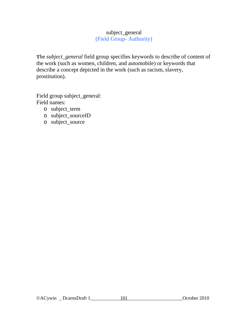# subject\_general (Field Group- Authority)

**T**he *subject\_general* field group specifies keywords to describe of content of the work (such as women, children, and automobile) or keywords that describe a concept depicted in the work (such as racism, slavery, prostitution).

Field group subject\_general: Field names:

- o subject\_term
- o subject\_sourceID
- o subject\_source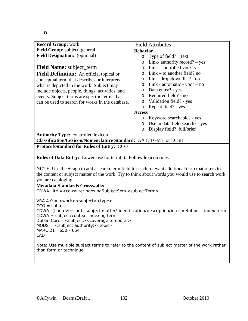o

| <b>Record Group: work</b>                                                                                                                                                                                                                                                                                                                                                                                                                                   | <b>Field Attributes</b>                                 |  |
|-------------------------------------------------------------------------------------------------------------------------------------------------------------------------------------------------------------------------------------------------------------------------------------------------------------------------------------------------------------------------------------------------------------------------------------------------------------|---------------------------------------------------------|--|
| Field Group: subject_general                                                                                                                                                                                                                                                                                                                                                                                                                                |                                                         |  |
| <b>Field Designation:</b> (optional)                                                                                                                                                                                                                                                                                                                                                                                                                        | <b>Behavior</b>                                         |  |
|                                                                                                                                                                                                                                                                                                                                                                                                                                                             | Type of field?<br>text<br>$\circ$                       |  |
|                                                                                                                                                                                                                                                                                                                                                                                                                                                             | Link- authority record? $-$ yes<br>$\circ$              |  |
| <b>Field Name:</b> subject_term                                                                                                                                                                                                                                                                                                                                                                                                                             | Link-controlled voc? yes<br>$\circ$                     |  |
| Field Definition: An official topical or                                                                                                                                                                                                                                                                                                                                                                                                                    | Link – to another field? no<br>$\circ$                  |  |
| conceptual term that describes or interprets                                                                                                                                                                                                                                                                                                                                                                                                                | Link- drop down list? - no<br>$\circ$                   |  |
| what is depicted in the work. Subject may                                                                                                                                                                                                                                                                                                                                                                                                                   | Link - automatic - $\text{voc?} - \text{no}$<br>$\circ$ |  |
| include objects, people, things, activities, and                                                                                                                                                                                                                                                                                                                                                                                                            | Data entry? - yes<br>O                                  |  |
| events. Subject terms are specific terms that                                                                                                                                                                                                                                                                                                                                                                                                               | Required field? - no<br>$\circ$                         |  |
| can be used to search for works in the database.                                                                                                                                                                                                                                                                                                                                                                                                            | Validation field? - yes<br>$\circ$                      |  |
|                                                                                                                                                                                                                                                                                                                                                                                                                                                             | Repeat field? - yes<br>$\circ$                          |  |
|                                                                                                                                                                                                                                                                                                                                                                                                                                                             | <b>Access</b>                                           |  |
|                                                                                                                                                                                                                                                                                                                                                                                                                                                             | Keyword searchable? - yes<br>$\circ$                    |  |
|                                                                                                                                                                                                                                                                                                                                                                                                                                                             | Use in data field search? - yes<br>$\circ$              |  |
|                                                                                                                                                                                                                                                                                                                                                                                                                                                             | Display field? full/brief<br>O                          |  |
| <b>Authority Type: controlled lexicon</b>                                                                                                                                                                                                                                                                                                                                                                                                                   |                                                         |  |
| Classification/Lexicon/Nomenclature Standard: AAT, TGM1, or LCSH                                                                                                                                                                                                                                                                                                                                                                                            |                                                         |  |
| Protocol/Standard for Rules of Entry: CCO                                                                                                                                                                                                                                                                                                                                                                                                                   |                                                         |  |
| <b>Rules of Data Entry:</b> Lowercase for term(s). Follow lexicon rules.                                                                                                                                                                                                                                                                                                                                                                                    |                                                         |  |
| NOTE: Use the $+$ sign to add a search term field for each relevant additional term that refers to                                                                                                                                                                                                                                                                                                                                                          |                                                         |  |
| the content or subject matter of the work. Try to think about words you would use to search work                                                                                                                                                                                                                                                                                                                                                            |                                                         |  |
| you are cataloging.                                                                                                                                                                                                                                                                                                                                                                                                                                         |                                                         |  |
| <b>Metadata Standards Crosswalks</b>                                                                                                                                                                                                                                                                                                                                                                                                                        |                                                         |  |
| CDWA Lite =< cdwalite: indexingSubjectSet> <subjectterm></subjectterm>                                                                                                                                                                                                                                                                                                                                                                                      |                                                         |  |
| VRA $4.0 =$ <work> <subject> <type><br/><math>CCO = subject</math><br/>CDWA: (Luna Version): subject matter/identification/description/interpretation - index term<br/><math>CDWA = subject/context</math> indexing term<br/>Dublin Core= <subject><coverage temporal=""><br/><math>MODS =</math> <subject authority=""> <topic><br/>MARC <math>21 = 650 - 654</math><br/><math>EAD =</math></topic></subject></coverage></subject></type></subject></work> |                                                         |  |
| Note: Use multiple subject terms to refer to the content of subject matter of the work rather<br>than form or technique.                                                                                                                                                                                                                                                                                                                                    |                                                         |  |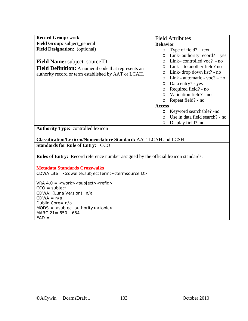| <b>Record Group: work</b>                                                                  | <b>Field Attributes</b>                   |
|--------------------------------------------------------------------------------------------|-------------------------------------------|
| Field Group: subject_general                                                               | <b>Behavior</b>                           |
| <b>Field Designation:</b> (optional)                                                       | Type of field?<br>text<br>$\circ$         |
|                                                                                            | $\circ$ Link- authority record? – yes     |
| <b>Field Name:</b> subject_sourceID                                                        | o Link-controlled voc? - no               |
| Field Definition: A numeral code that represents an                                        | Link – to another field? no<br>$\circ$    |
| authority record or term established by AAT or LCAH.                                       | $\circ$ Link-drop down list? - no         |
|                                                                                            | $\circ$ Link - automatic - voc? – no      |
|                                                                                            | Data entry? - yes<br>$\circ$              |
|                                                                                            | Required field? - no<br>$\circ$           |
|                                                                                            | o Validation field? - no                  |
|                                                                                            | o Repeat field? - no                      |
|                                                                                            | <b>Access</b>                             |
|                                                                                            | Keyword searchable? -no<br>$\circ$        |
|                                                                                            | Use in data field search? - no<br>$\circ$ |
|                                                                                            | Display field? no<br>$\circ$              |
| <b>Authority Type: controlled lexicon</b>                                                  |                                           |
|                                                                                            |                                           |
| Classification/Lexicon/Nomenclature Standard: AAT, LCAH and LCSH                           |                                           |
| <b>Standards for Rule of Entry:: CCO</b>                                                   |                                           |
|                                                                                            |                                           |
| <b>Rules of Entry:</b> Record reference number assigned by the official lexicon standards. |                                           |
|                                                                                            |                                           |
| <b>Metadata Standards Crosswalks</b>                                                       |                                           |
| CDWA Lite =< cdwalite: subjectTerm> <termsourceid></termsourceid>                          |                                           |
|                                                                                            |                                           |
| VRA $4.0 =$ <work> <subject> <refid></refid></subject></work>                              |                                           |
| $CCO = subject$                                                                            |                                           |
| CDWA: (Luna Version): n/a<br>$CDWA = n/a$                                                  |                                           |
| Dublin Core= n/a                                                                           |                                           |
| $MODS =$ <subject authority=""> <topic></topic></subject>                                  |                                           |
| MARC $21 = 650 - 654$                                                                      |                                           |
| $EAD =$                                                                                    |                                           |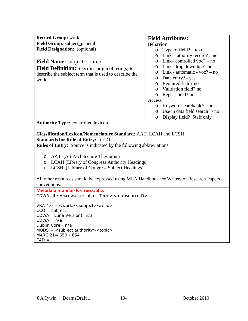| <b>Record Group: work</b>                                                                                              | <b>Field Attributes:</b>                  |
|------------------------------------------------------------------------------------------------------------------------|-------------------------------------------|
| Field Group: subject_general                                                                                           | <b>Behavior</b>                           |
| <b>Field Designation:</b> (optional)                                                                                   | Type of field? text<br>$\circ$            |
|                                                                                                                        | $\circ$ Link- authority record? – no      |
| Field Name: subject_source                                                                                             | $\circ$ Link–controlled voc? – no         |
| Field Definition: Specifies origin of term(s) to                                                                       | o Link- drop down list? -no               |
| describe the subject term that is used to describe the                                                                 | $\circ$ Link - automatic - voc? – no      |
| work.                                                                                                                  | o Data entry? - yes                       |
|                                                                                                                        | o Required field? no                      |
|                                                                                                                        | o Validation field? no                    |
|                                                                                                                        | o Repeat field? no                        |
|                                                                                                                        | <b>Access</b>                             |
|                                                                                                                        | o Keyword searchable? - no                |
|                                                                                                                        | Use in data field search? - no<br>$\circ$ |
|                                                                                                                        | Display field? Staff only<br>$\circ$      |
| <b>Authority Type: controlled lexicon</b>                                                                              |                                           |
|                                                                                                                        |                                           |
| Classification/Lexicon/Nomenclature Standard: AAT, LCAH and LCSH                                                       |                                           |
| <b>Standards for Rule of Entry:: CCO</b><br><b>Rules of Entry:</b> Source is indicated by the following abbreviations. |                                           |
|                                                                                                                        |                                           |
| <b>AAT</b> (Art Architecture Thesaurus)<br>$\circ$                                                                     |                                           |
| <b>LCAH</b> (Library of Congress Authority Headings)<br>$\circ$                                                        |                                           |
| LCSH (Library of Congress Subject Headings)<br>$\circ$                                                                 |                                           |
|                                                                                                                        |                                           |
| All other resources should be expressed using MLA Handbook for Writers of Research Papers                              |                                           |
| conventions.                                                                                                           |                                           |
| <b>Metadata Standards Crosswalks</b>                                                                                   |                                           |
| CDWA Lite = < cdwalite: subjectTerm> < termsourceID>                                                                   |                                           |
|                                                                                                                        |                                           |
| VRA $4.0 =$ <work> <subject> <refid></refid></subject></work>                                                          |                                           |
| $CCO = subject$<br>CDWA: (Luna Version): n/a                                                                           |                                           |
| $CDWA = n/a$                                                                                                           |                                           |
| Dublin Core= n/a                                                                                                       |                                           |
| $MODS =$ <subject authority=""> <topic></topic></subject>                                                              |                                           |
| MARC $21 = 650 - 654$                                                                                                  |                                           |
| $EAD =$                                                                                                                |                                           |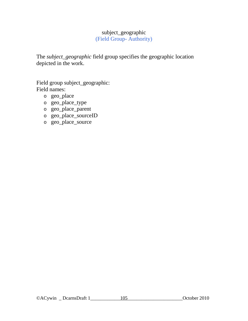### subject\_geographic (Field Group- Authority)

The *subject\_geographic* field group specifies the geographic location depicted in the work.

Field group subject\_geographic: Field names:

- o geo\_place
- o geo\_place\_type
- o geo\_place\_parent
- o geo\_place\_sourceID
- o geo\_place\_source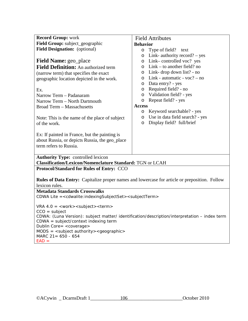| <b>Record Group: work</b><br>Field Group: subject_geographic<br>Field Designation: (optional)<br><b>Field Name:</b> geo_place<br><b>Field Definition:</b> An authorized term<br>(narrow term) that specifies the exact<br>geographic location depicted in the work.                                                                                                                                                                                                                             | <b>Field Attributes</b><br><b>Behavior</b><br>Type of field?<br>text<br>O<br>Link- authority record? $-$ yes<br>O<br>o Link-controlled voc? yes<br>$\circ$ Link – to another field? no<br>$\circ$ Link-drop down list? - no<br>$\circ$ Link - automatic - voc? – no |  |
|-------------------------------------------------------------------------------------------------------------------------------------------------------------------------------------------------------------------------------------------------------------------------------------------------------------------------------------------------------------------------------------------------------------------------------------------------------------------------------------------------|---------------------------------------------------------------------------------------------------------------------------------------------------------------------------------------------------------------------------------------------------------------------|--|
| Ex.<br>Narrow Term - Padanaram<br>Narrow Term - North Dartmouth<br><b>Broad Term - Massachusetts</b><br>Note: This is the name of the place of subject<br>of the work.                                                                                                                                                                                                                                                                                                                          | o Data entry? - yes<br>o Required field? - no<br>Validation field? - yes<br>O<br>Repeat field? - yes<br>$\circ$<br><b>Access</b><br>Keyword searchable? - yes<br>O<br>Use in data field search? - yes<br>$\circ$<br>Display field? full/brief<br>O                  |  |
| Ex: If painted in France, but the painting is<br>about Russia, or depicts Russia, the geo_place<br>term refers to Russia.                                                                                                                                                                                                                                                                                                                                                                       |                                                                                                                                                                                                                                                                     |  |
| <b>Authority Type: controlled lexicon</b><br><b>Classification/Lexicon/Nomenclature Standard: TGN or LCAH</b>                                                                                                                                                                                                                                                                                                                                                                                   |                                                                                                                                                                                                                                                                     |  |
| <b>Protocol/Standard for Rules of Entry: CCO</b><br><b>Rules of Data Entry:</b> Capitalize proper names and lowercase for article or preposition. Follow<br>lexicon rules.<br><b>Metadata Standards Crosswalks</b>                                                                                                                                                                                                                                                                              |                                                                                                                                                                                                                                                                     |  |
| CDWA Lite =< cdwalite: indexingSubjectSet> < subjectTerm><br>VRA $4.0 =$ <work> <subject> <term><br/><math>CCO = subject</math><br/>CDWA: (Luna Version): subject matter/identification/description/interpretation - index term<br/><math>CDWA = subject/context</math> indexing term<br/>Dublin Core= &lt; coverage&gt;<br/><math>MODS =</math> <subject authority=""> <geographic><br/>MARC <math>21 = 650 - 654</math><br/><math>EAD =</math></geographic></subject></term></subject></work> |                                                                                                                                                                                                                                                                     |  |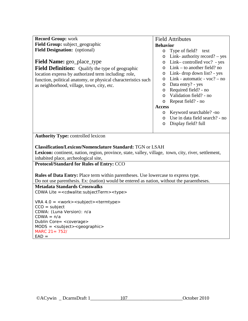| <b>Record Group: work</b>                                                                            | <b>Field Attributes</b>                                 |  |
|------------------------------------------------------------------------------------------------------|---------------------------------------------------------|--|
| Field Group: subject_geographic                                                                      | <b>Behavior</b>                                         |  |
| Field Designation: (optional)                                                                        | Type of field? text<br>$\circ$                          |  |
|                                                                                                      | $\circ$ Link- authority record? – yes                   |  |
| Field Name: geo_place_type                                                                           | o Link-controlled voc? - yes                            |  |
| Field Definition: Qualify the type of geographic                                                     | $\circ$ Link – to another field? no                     |  |
| location express by authorized term including: role,                                                 | $\circ$ Link-drop down list? - yes                      |  |
| function, political anatomy, or physical characteristics such                                        | Link - automatic - $\text{voc?} - \text{no}$<br>$\circ$ |  |
| as neighborhood, village, town, city, etc.                                                           | Data entry? - yes<br>$\circ$                            |  |
|                                                                                                      | Required field? - no<br>$\circ$                         |  |
|                                                                                                      | o Validation field? - no                                |  |
|                                                                                                      | Repeat field? - no<br>$\circ$                           |  |
|                                                                                                      | <b>Access</b>                                           |  |
|                                                                                                      | Keyword searchable? -no<br>$\circ$                      |  |
|                                                                                                      | o Use in data field search? - no                        |  |
|                                                                                                      | Display field? full<br>O                                |  |
|                                                                                                      |                                                         |  |
| <b>Authority Type: controlled lexicon</b>                                                            |                                                         |  |
|                                                                                                      |                                                         |  |
| <b>Classification/Lexicon/Nomenclature Standard: TGN or LSAH</b>                                     |                                                         |  |
| Lexicon: continent, nation, region, province, state, valley, village, town, city, river, settlement, |                                                         |  |
| inhabited place, archeological site,                                                                 |                                                         |  |
| Protocol/Standard for Rules of Entry: CCO                                                            |                                                         |  |
|                                                                                                      |                                                         |  |
| <b>Rules of Data Entry:</b> Place term within parentheses. Use lowercase to express type.            |                                                         |  |
| Do not use parenthesis. Ex: (nation) would be entered as nation, without the paraentheses.           |                                                         |  |
| <b>Metadata Standards Crosswalks</b>                                                                 |                                                         |  |
| CDWA Lite = < cdwalite: subjectTerm> < type>                                                         |                                                         |  |
|                                                                                                      |                                                         |  |
| VRA $4.0 =$ <work> <subject> <termtype><br/><math>CCO = subject</math></termtype></subject></work>   |                                                         |  |
| CDWA: (Luna Version): n/a                                                                            |                                                         |  |
| $CDWA = n/a$                                                                                         |                                                         |  |
| Dublin Core= < coverage>                                                                             |                                                         |  |
| $MODS = subject > geographic$                                                                        |                                                         |  |
| MARC 21 = 752/                                                                                       |                                                         |  |
| $EAD =$                                                                                              |                                                         |  |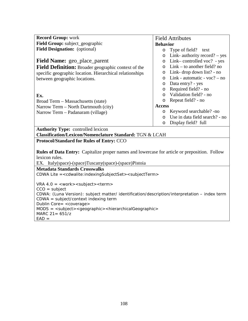| <b>Record Group: work</b>                                                                            | <b>Field Attributes</b>                    |  |  |
|------------------------------------------------------------------------------------------------------|--------------------------------------------|--|--|
| Field Group: subject_geographic                                                                      | <b>Behavior</b>                            |  |  |
| <b>Field Designation:</b> (optional)                                                                 | Type of field?<br>text<br>$\circ$          |  |  |
|                                                                                                      | $\circ$ Link- authority record? – yes      |  |  |
| Field Name: geo_place_parent                                                                         | o Link-controlled voc? - yes               |  |  |
| Field Definition: Broader geographic context of the                                                  | $\circ$ Link – to another field? no        |  |  |
| specific geographic location. Hierarchical relationships                                             | $\circ$ Link-drop down list? - no          |  |  |
| between geographic locations.                                                                        | $\circ$ Link - automatic - voc? – no       |  |  |
|                                                                                                      | Data entry? - yes<br>$\circ$               |  |  |
|                                                                                                      | Required field? - no<br>$\circ$            |  |  |
| Ex.                                                                                                  | Validation field? - no<br>$\circ$          |  |  |
| Broad Term - Massachusetts (state)                                                                   | Repeat field? - no<br>$\circ$              |  |  |
| Narrow Term – North Dartmouth (city)                                                                 | <b>Access</b>                              |  |  |
| Narrow Term - Padanaram (village)                                                                    | Keyword searchable? -no<br>$\circ$         |  |  |
|                                                                                                      | Use in data field search? - no<br>$\Omega$ |  |  |
|                                                                                                      | Display field? full<br>O                   |  |  |
| <b>Authority Type: controlled lexicon</b>                                                            |                                            |  |  |
| <b>Classification/Lexicon/Nomenclature Standard: TGN &amp; LCAH</b>                                  |                                            |  |  |
| Protocol/Standard for Rules of Entry: CCO                                                            |                                            |  |  |
|                                                                                                      |                                            |  |  |
| <b>Rules of Data Entry:</b> Capitalize proper names and lowercase for article or preposition. Follow |                                            |  |  |
| lexicon rules.                                                                                       |                                            |  |  |
| EX. Italy(space)-(space)Tuscany(space)-(space)Pistoia                                                |                                            |  |  |
| <b>Metadata Standards Crosswalks</b>                                                                 |                                            |  |  |
| CDWA Lite =< cdwalite: indexingSubjectSet> < subjectTerm>                                            |                                            |  |  |
|                                                                                                      |                                            |  |  |
| VRA $4.0 =$ <work> <subject> <term><br/><math>CCO = subject</math></term></subject></work>           |                                            |  |  |
| CDWA: (Luna Version): subject matter/ identification/description/interpretation - index term         |                                            |  |  |
| CDWA = subject/context indexing term                                                                 |                                            |  |  |
| Dublin Core= < coverage>                                                                             |                                            |  |  |
| MODS = <subject><geographic><hierarchicalgeographic></hierarchicalgeographic></geographic></subject> |                                            |  |  |
| MARC $21 = 651/z$                                                                                    |                                            |  |  |
| $EAD =$                                                                                              |                                            |  |  |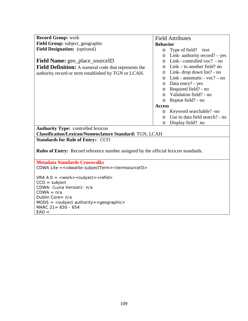| <b>Record Group: work</b>                                                                    | <b>Field Attributes</b>                                 |  |
|----------------------------------------------------------------------------------------------|---------------------------------------------------------|--|
| Field Group: subject_geographic                                                              | <b>Behavior</b>                                         |  |
| <b>Field Designation:</b> (optional)                                                         | Type of field?<br>text<br>$\circ$                       |  |
|                                                                                              | $\circ$ Link- authority record? – yes                   |  |
| Field Name: geo_place_sourceID                                                               | o Link-controlled voc? - no                             |  |
| Field Definition: A numeral code that represents the                                         | $\circ$ Link – to another field? no                     |  |
| authority record or term established by TGN or LCAH.                                         | $\circ$ Link-drop down list? - no                       |  |
|                                                                                              | Link - automatic - $\text{voc?} - \text{no}$<br>$\circ$ |  |
|                                                                                              | o Data entry? - yes                                     |  |
|                                                                                              | Required field? - no<br>$\circ$                         |  |
|                                                                                              | Validation field? - no<br>$\Omega$                      |  |
|                                                                                              | o Repeat field? - no                                    |  |
|                                                                                              | <b>Access</b>                                           |  |
|                                                                                              | Keyword searchable? - no<br>$\circ$                     |  |
|                                                                                              | Use in data field search? - no<br>$\Omega$              |  |
|                                                                                              | Display field? no<br>$\circ$                            |  |
| <b>Authority Type: controlled lexicon</b>                                                    |                                                         |  |
| Classification/Lexicon/Nomenclature Standard: TGN, LCAH                                      |                                                         |  |
| <b>Standards for Rule of Entry:: CCO</b>                                                     |                                                         |  |
|                                                                                              |                                                         |  |
| <b>Rules of Entry:</b> Record reference number assigned by the official lexicon standards.   |                                                         |  |
|                                                                                              |                                                         |  |
| <b>Metadata Standards Crosswalks</b>                                                         |                                                         |  |
| CDWA Lite =< cdwalite: subjectTerm> < termsourceID>                                          |                                                         |  |
|                                                                                              |                                                         |  |
| VRA $4.0 =$ <work> <subject> <refid><br/><math>CCO = subject</math></refid></subject></work> |                                                         |  |
| CDWA: (Luna Version): n/a                                                                    |                                                         |  |
| $CDWA = n/a$                                                                                 |                                                         |  |
| Dublin Core= n/a                                                                             |                                                         |  |
| $MODS =$ <subject authority=""> <geographic></geographic></subject>                          |                                                         |  |
| MARC $21 = 650 - 654$                                                                        |                                                         |  |
| $EAD =$                                                                                      |                                                         |  |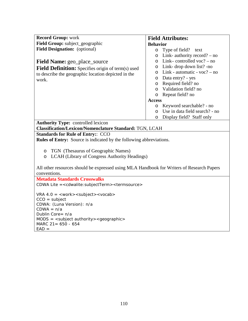| <b>Record Group: work</b>                                                                    | <b>Field Attributes:</b>                                |  |  |  |
|----------------------------------------------------------------------------------------------|---------------------------------------------------------|--|--|--|
| Field Group: subject_geographic                                                              | <b>Behavior</b>                                         |  |  |  |
| <b>Field Designation:</b> (optional)                                                         | Type of field? text<br>$\circ$                          |  |  |  |
|                                                                                              | Link- authority record? $-$ no<br>$\circ$               |  |  |  |
| Field Name: geo_place_source                                                                 | $\circ$ Link–controlled voc? – no                       |  |  |  |
| <b>Field Definition:</b> Specifies origin of term(s) used                                    | Link- drop down list? -no<br>$\circ$                    |  |  |  |
| to describe the geographic location depicted in the                                          | Link - automatic - $\text{voc?} - \text{no}$<br>$\circ$ |  |  |  |
| work.                                                                                        | Data entry? - yes<br>$\circ$                            |  |  |  |
|                                                                                              | o Required field? no                                    |  |  |  |
|                                                                                              | o Validation field? no                                  |  |  |  |
|                                                                                              | o Repeat field? no                                      |  |  |  |
|                                                                                              | <b>Access</b>                                           |  |  |  |
|                                                                                              | Keyword searchable? - no<br>$\circ$                     |  |  |  |
|                                                                                              | Use in data field search? - no<br>$\circ$               |  |  |  |
|                                                                                              | Display field? Staff only<br>O                          |  |  |  |
| <b>Authority Type: controlled lexicon</b>                                                    |                                                         |  |  |  |
| <b>Classification/Lexicon/Nomenclature Standard: TGN, LCAH</b>                               |                                                         |  |  |  |
| <b>Standards for Rule of Entry:: CCO</b>                                                     |                                                         |  |  |  |
| <b>Rules of Entry:</b> Source is indicated by the following abbreviations.                   |                                                         |  |  |  |
|                                                                                              |                                                         |  |  |  |
| TGN (Thesaurus of Geographic Names)<br>$\circ$                                               |                                                         |  |  |  |
| <b>LCAH</b> (Library of Congress Authority Headings)<br>$\circ$                              |                                                         |  |  |  |
|                                                                                              |                                                         |  |  |  |
| All other resources should be expressed using MLA Handbook for Writers of Research Papers    |                                                         |  |  |  |
| conventions.                                                                                 |                                                         |  |  |  |
| <b>Metadata Standards Crosswalks</b>                                                         |                                                         |  |  |  |
| CDWA Lite =< cdwalite: subjectTerm> <termsource></termsource>                                |                                                         |  |  |  |
|                                                                                              |                                                         |  |  |  |
| VRA $4.0 =$ <work> <subject> <vocab><br/><math>CCO = subject</math></vocab></subject></work> |                                                         |  |  |  |
| CDWA: (Luna Version): n/a                                                                    |                                                         |  |  |  |
| $CDWA = n/a$                                                                                 |                                                         |  |  |  |
| Dublin Core= n/a                                                                             |                                                         |  |  |  |
| $MODS =$ <subject authority=""> <geographic></geographic></subject>                          |                                                         |  |  |  |
| MARC $21 = 650 - 654$                                                                        |                                                         |  |  |  |
| $EAD =$                                                                                      |                                                         |  |  |  |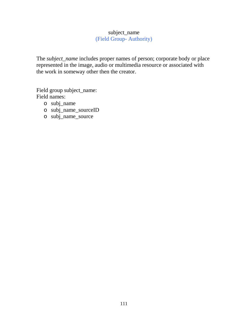# subject\_name (Field Group- Authority)

The *subject\_name* includes proper names of person; corporate body or place represented in the image, audio or multimedia resource or associated with the work in someway other then the creator.

Field group subject\_name: Field names:

- o subj\_name
- o subj\_name\_sourceID
- o subj\_name\_source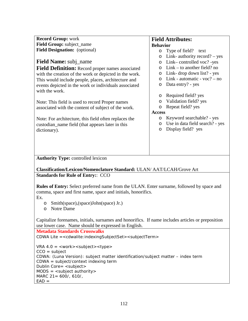| <b>Record Group: work</b>                              | <b>Field Attributes:</b>                                |
|--------------------------------------------------------|---------------------------------------------------------|
| Field Group: subject_name                              | <b>Behavior</b>                                         |
| <b>Field Designation:</b> (optional)                   | Type of field? text<br>$\circ$                          |
|                                                        | Link- authority record? $-$ yes<br>$\circ$              |
| Field Name: subj_name                                  | Link-controlled voc? -yes<br>$\circ$                    |
| Field Definition: Record proper names associated       | Link – to another field? no<br>$\Omega$                 |
| with the creation of the work or depicted in the work. | Link-drop down list? - yes<br>O                         |
| This would include people, places, architecture and    | Link - automatic - $\text{voc?} - \text{no}$<br>$\circ$ |
| events depicted in the work or individuals associated  | Data entry? - yes<br>$\circ$                            |
| with the work.                                         |                                                         |
|                                                        | Required field? yes<br>$\circ$                          |
| Note: This field is used to record Proper names        | Validation field? yes<br>O                              |
| associated with the content of subject of the work.    | Repeat field? yes<br>$\circ$                            |
|                                                        | <b>Access</b>                                           |
| Note: For architecture, this field often replaces the  | Keyword searchable? - yes<br>O                          |
| custodian_name field (that appears later in this       | Use in data field search? - yes<br>$\circ$              |
| dictionary).                                           | Display field? yes<br>$\circ$                           |
|                                                        |                                                         |
|                                                        |                                                         |
|                                                        |                                                         |
|                                                        |                                                         |

**Authority Type:** controlled lexicon

**Classification/Lexicon/Nomenclature Standard:** ULAN/ AAT/LCAH/Grove Art **Standards for Rule of Entry:**: CCO

**Rules of Entry:** Select preferred name from the ULAN. Enter surname, followed by space and comma, space and first name, space and initials, honorifics. Ex.

- o Smith(space),(space)John(space) Jr.)
- o Notre Dame

Capitalize forenames, initials, surnames and honorifics. If name includes articles or preposition use lower case. Name should be expressed in English.

**Metadata Standards Crosswalks**

CDWA Lite =<cdwalite:indexingSubjectSet><subjectTerm>

VRA  $4.0 =$  <work> <subject > <type >  $CCO = subject$ CDWA: (Luna Version): subject matter identification/subject matter – index term CDWA = subject/context indexing term Dublin Core= <subject>  $MODS = \langle subject\; authority \rangle$ MARC 21= 600/, 610/,  $EAD =$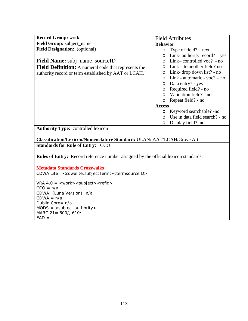| <b>Record Group: work</b>                                                           | <b>Field Attributes</b>                   |
|-------------------------------------------------------------------------------------|-------------------------------------------|
| Field Group: subject_name                                                           | <b>Behavior</b>                           |
| <b>Field Designation:</b> (optional)                                                | Type of field?<br>text<br>$\circ$         |
|                                                                                     | $\circ$ Link- authority record? – yes     |
| Field Name: subj_name_sourceID                                                      | Link-controlled voc? - no<br>$\circ$      |
| <b>Field Definition:</b> A numeral code that represents the                         | Link – to another field? no<br>$\circ$    |
| authority record or term established by AAT or LCAH.                                | Link- drop down list? - no<br>$\circ$     |
|                                                                                     | $\circ$ Link - automatic - voc? – no      |
|                                                                                     | Data entry? - yes<br>O                    |
|                                                                                     | Required field? - no<br>$\circ$           |
|                                                                                     | Validation field? - no<br>$\circ$         |
|                                                                                     | Repeat field? - no<br>$\circ$             |
|                                                                                     | <b>Access</b>                             |
|                                                                                     | Keyword searchable? - no<br>O             |
|                                                                                     | Use in data field search? - no<br>$\circ$ |
|                                                                                     | Display field? no<br>O                    |
| <b>Authority Type: controlled lexicon</b>                                           |                                           |
|                                                                                     |                                           |
| Classification/Lexicon/Nomenclature Standard: ULAN/ AAT/LCAH/Grove Art              |                                           |
| <b>Standards for Rule of Entry:: CCO</b>                                            |                                           |
|                                                                                     |                                           |
| Rules of Entry: Record reference number assigned by the official lexicon standards. |                                           |
|                                                                                     |                                           |
| <b>Metadata Standards Crosswalks</b>                                                |                                           |
| CDWA Lite =< cdwalite: subjectTerm> <termsourceid></termsourceid>                   |                                           |
|                                                                                     |                                           |
| VRA $4.0 =$ <work> <subject> <refid></refid></subject></work>                       |                                           |
| $CCO = n/a$                                                                         |                                           |
| CDWA: (Luna Version): n/a<br>$CDWA = n/a$                                           |                                           |
| Dublin Core= n/a                                                                    |                                           |
| $MODS = \langle subject authority \rangle$                                          |                                           |
| MARC 21= 600/, 610/                                                                 |                                           |
| $EAD =$                                                                             |                                           |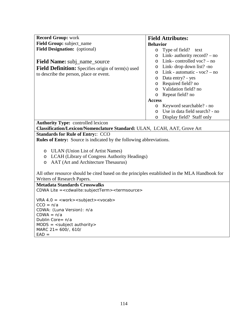| <b>Record Group: work</b>                                                                      | <b>Field Attributes:</b>                                |  |
|------------------------------------------------------------------------------------------------|---------------------------------------------------------|--|
| Field Group: subject_name                                                                      | <b>Behavior</b>                                         |  |
| Field Designation: (optional)                                                                  | o Type of field? text                                   |  |
|                                                                                                | $\circ$ Link- authority record? – no                    |  |
| Field Name: subj_name_source                                                                   | $\circ$ Link–controlled voc? – no                       |  |
| <b>Field Definition:</b> Specifies origin of term(s) used                                      | o Link- drop down list? -no                             |  |
| to describe the person, place or event.                                                        | Link - automatic - $\text{voc?} - \text{no}$<br>$\circ$ |  |
|                                                                                                | Data entry? - yes<br>$\circ$                            |  |
|                                                                                                | Required field? no<br>$\circ$                           |  |
|                                                                                                | o Validation field? no                                  |  |
|                                                                                                | Repeat field? no<br>$\circ$                             |  |
|                                                                                                | <b>Access</b>                                           |  |
|                                                                                                | Keyword searchable? - no<br>$\circ$                     |  |
|                                                                                                | Use in data field search? - no<br>$\circ$               |  |
|                                                                                                | Display field? Staff only<br>$\circ$                    |  |
| <b>Authority Type: controlled lexicon</b>                                                      |                                                         |  |
| Classification/Lexicon/Nomenclature Standard: ULAN, LCAH, AAT, Grove Art                       |                                                         |  |
| <b>Standards for Rule of Entry:: CCO</b>                                                       |                                                         |  |
| <b>Rules of Entry:</b> Source is indicated by the following abbreviations.                     |                                                         |  |
|                                                                                                |                                                         |  |
| <b>ULAN</b> (Union List of Artist Names)<br>$\circ$                                            |                                                         |  |
| LCAH (Library of Congress Authority Headings)<br>$\circ$                                       |                                                         |  |
| AAT (Art and Architecture Thesaurus)<br>$\circ$                                                |                                                         |  |
|                                                                                                |                                                         |  |
| All other resource should be cited based on the principles established in the MLA Handbook for |                                                         |  |
| Writers of Research Papers.                                                                    |                                                         |  |
| <b>Metadata Standards Crosswalks</b>                                                           |                                                         |  |
| CDWA Lite =< cdwalite: subjectTerm> <termsource></termsource>                                  |                                                         |  |
|                                                                                                |                                                         |  |
| VRA $4.0 =$ <work> <subject> <vocab></vocab></subject></work>                                  |                                                         |  |
| $CCO = n/a$<br>CDWA: (Luna Version): n/a                                                       |                                                         |  |
| $CDWA = n/a$                                                                                   |                                                         |  |
| Dublin Core= n/a                                                                               |                                                         |  |
| $MODS =$ <subject authority=""></subject>                                                      |                                                         |  |
| MARC 21= 600/, 610/                                                                            |                                                         |  |
| $EAD =$                                                                                        |                                                         |  |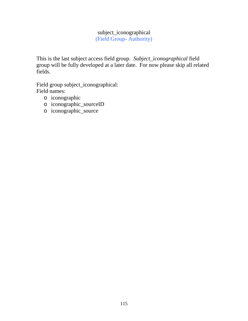# subject\_iconographical (Field Group- Authority)

This is the last subject access field group. *Subject\_iconographical* field group will be fully developed at a later date. For now please skip all related fields.

Field group subject\_iconographical: Field names:

- o iconographic
- o iconographic\_sourceID
- o iconographic\_source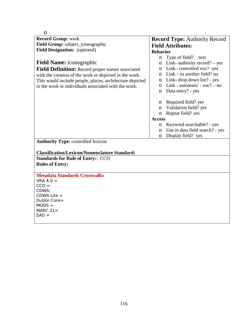| O                                                        |                                            |
|----------------------------------------------------------|--------------------------------------------|
| <b>Record Group: work</b>                                | <b>Record Type: Authority Record</b>       |
| Field Group: subject_iconographic                        | <b>Field Attributes:</b>                   |
| <b>Field Designation:</b> (optional)                     | <b>Behavior</b>                            |
|                                                          | Type of field?<br>text<br>$\circ$          |
| <b>Field Name:</b> iconographic                          | Link- authority record? $-$ yes<br>$\circ$ |
| Field Definition: Record proper names associated         | Link-controlled voc? -yes<br>$\circ$       |
| with the creation of the work or depicted in the work.   | $\circ$ Link – to another field? no        |
| This would include people, places, architecture depicted | $\circ$ Link-drop down list? - yes         |
| in the work or individuals associated with the work.     | $\circ$ Link - automatic - voc? – no       |
|                                                          | Data entry? - yes<br>$\circ$               |
|                                                          |                                            |
|                                                          | Required field? yes<br>O                   |
|                                                          | Validation field? yes<br>$\circ$           |
|                                                          | Repeat field? yes<br>$\circ$               |
|                                                          | <b>Access</b>                              |
|                                                          | Keyword searchable? - yes<br>$\circ$       |
|                                                          | Use in data field search? - yes<br>$\circ$ |
|                                                          | Display field? yes<br>O                    |
| <b>Authority Type: controlled lexicon</b>                |                                            |
|                                                          |                                            |
| <b>Classification/Lexicon/Nomenclature Standard:</b>     |                                            |
| <b>Standards for Rule of Entry:: CCO</b>                 |                                            |
| <b>Rules of Entry:</b>                                   |                                            |
|                                                          |                                            |
| <b>Metadata Standards Crosswalks</b>                     |                                            |
| VRA $4.0 =$                                              |                                            |
| $CCO =$                                                  |                                            |
| CDWA:                                                    |                                            |
| $CDWA$ Lite $=$                                          |                                            |
| Dublin Core=<br>$MODS =$                                 |                                            |
| MARC $21 =$                                              |                                            |
| $EAD =$                                                  |                                            |
|                                                          |                                            |

I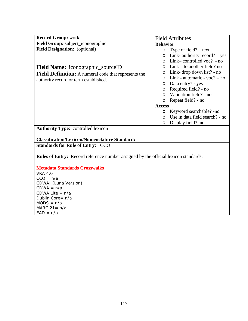| <b>Record Group: work</b>                                                                  |                 | <b>Field Attributes</b>                      |
|--------------------------------------------------------------------------------------------|-----------------|----------------------------------------------|
| Field Group: subject_iconographic                                                          | <b>Behavior</b> |                                              |
| <b>Field Designation:</b> (optional)                                                       | $\circ$         | Type of field?<br>text                       |
|                                                                                            |                 | $\circ$ Link- authority record? – yes        |
|                                                                                            |                 | o Link-controlled voc? - no                  |
| <b>Field Name:</b> iconographic_sourceID                                                   |                 | $\circ$ Link – to another field? no          |
| <b>Field Definition:</b> A numeral code that represents the                                |                 | $\circ$ Link-drop down list? - no            |
| authority record or term established.                                                      | $\circ$         | Link - automatic - $\text{voc?} - \text{no}$ |
|                                                                                            | O               | Data entry? - yes                            |
|                                                                                            | O               | Required field? - no                         |
|                                                                                            | $\Omega$        | Validation field? - no                       |
|                                                                                            |                 | o Repeat field? - no                         |
|                                                                                            | <b>Access</b>   |                                              |
|                                                                                            | $\circ$         | Keyword searchable? -no                      |
|                                                                                            | $\Omega$        | Use in data field search? - no               |
|                                                                                            | O               | Display field? no                            |
| <b>Authority Type: controlled lexicon</b>                                                  |                 |                                              |
|                                                                                            |                 |                                              |
| <b>Classification/Lexicon/Nomenclature Standard:</b>                                       |                 |                                              |
| <b>Standards for Rule of Entry:: CCO</b>                                                   |                 |                                              |
|                                                                                            |                 |                                              |
| <b>Rules of Entry:</b> Record reference number assigned by the official lexicon standards. |                 |                                              |
|                                                                                            |                 |                                              |
| <b>Metadata Standards Crosswalks</b>                                                       |                 |                                              |
| VRA $4.0 =$                                                                                |                 |                                              |
| $CCO = n/a$                                                                                |                 |                                              |
| CDWA: (Luna Version):                                                                      |                 |                                              |
| $CDWA = n/a$                                                                               |                 |                                              |
| CDWA Lite = $n/a$<br>Dublin Core= n/a                                                      |                 |                                              |
| $MODS = n/a$                                                                               |                 |                                              |
| MARC $21 = n/a$                                                                            |                 |                                              |
| $EAD = n/a$                                                                                |                 |                                              |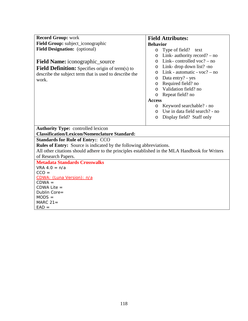| <b>Record Group: work</b>                                                                       | <b>Field Attributes:</b>                             |
|-------------------------------------------------------------------------------------------------|------------------------------------------------------|
| Field Group: subject_iconographic                                                               | <b>Behavior</b>                                      |
| <b>Field Designation:</b> (optional)                                                            | Type of field? text<br>$\circ$                       |
|                                                                                                 | Link- authority record? $-$ no<br>$\circ$            |
|                                                                                                 | Link–controlled $\text{voc?} - \text{no}$<br>$\circ$ |
| <b>Field Name:</b> iconographic_source                                                          | Link- drop down list? -no                            |
| <b>Field Definition:</b> Specifies origin of term(s) to                                         | O                                                    |
| describe the subject term that is used to describe the                                          | Link - automatic - $\text{voc?} - \text{no}$<br>O    |
| work.                                                                                           | Data entry? - yes<br>O                               |
|                                                                                                 | Required field? no<br>$\circ$                        |
|                                                                                                 | Validation field? no<br>$\Omega$                     |
|                                                                                                 | Repeat field? no<br>$\circ$                          |
|                                                                                                 | <b>Access</b>                                        |
|                                                                                                 | Keyword searchable? - no<br>O                        |
|                                                                                                 | Use in data field search? - no<br>$\Omega$           |
|                                                                                                 | Display field? Staff only<br>O                       |
|                                                                                                 |                                                      |
| <b>Authority Type: controlled lexicon</b>                                                       |                                                      |
| <b>Classification/Lexicon/Nomenclature Standard:</b>                                            |                                                      |
| <b>Standards for Rule of Entry:: CCO</b>                                                        |                                                      |
| <b>Rules of Entry:</b> Source is indicated by the following abbreviations.                      |                                                      |
| All other citations should adhere to the principles established in the MLA Handbook for Writers |                                                      |
| of Research Papers.                                                                             |                                                      |
| <b>Metadata Standards Crosswalks</b>                                                            |                                                      |
| $VRA 4.0 = n/a$                                                                                 |                                                      |
| $CCO =$                                                                                         |                                                      |
| CDWA: (Luna Version): n/a                                                                       |                                                      |
| $CDWA =$                                                                                        |                                                      |
| $CDWA$ Lite $=$                                                                                 |                                                      |
| Dublin Core=                                                                                    |                                                      |
| $MODS =$                                                                                        |                                                      |
| MARC $21 =$                                                                                     |                                                      |
| $EAD =$                                                                                         |                                                      |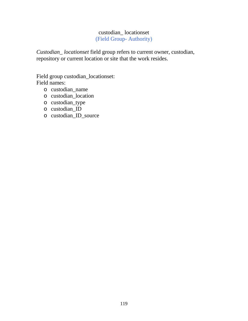# custodian\_ locationset (Field Group- Authority)

*Custodian\_ locationset* field group refers to current owner, custodian, repository or current location or site that the work resides.

Field group custodian\_locationset: Field names:

- o custodian\_name
- o custodian\_location
- o custodian\_type
- o custodian\_ID
- o custodian\_ID\_source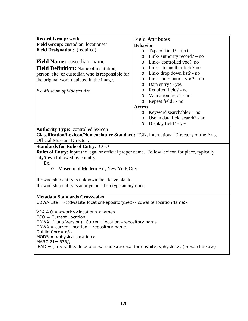| <b>Record Group: work</b>                                                                                                                                                                                                                                                                                                                                                                                                                                                                                                                                                                | <b>Field Attributes</b>                                 |  |
|------------------------------------------------------------------------------------------------------------------------------------------------------------------------------------------------------------------------------------------------------------------------------------------------------------------------------------------------------------------------------------------------------------------------------------------------------------------------------------------------------------------------------------------------------------------------------------------|---------------------------------------------------------|--|
| Field Group: custodian_locationset                                                                                                                                                                                                                                                                                                                                                                                                                                                                                                                                                       | <b>Behavior</b>                                         |  |
| <b>Field Designation:</b> (required)                                                                                                                                                                                                                                                                                                                                                                                                                                                                                                                                                     | Type of field? text<br>$\circ$                          |  |
|                                                                                                                                                                                                                                                                                                                                                                                                                                                                                                                                                                                          | Link- authority record? $-$ no<br>O                     |  |
| Field Name: custodian name                                                                                                                                                                                                                                                                                                                                                                                                                                                                                                                                                               | o Link-controlled voc? no                               |  |
| Field Definition: Name of institution,                                                                                                                                                                                                                                                                                                                                                                                                                                                                                                                                                   | $\circ$ Link – to another field? no                     |  |
| person, site, or custodian who is responsible for                                                                                                                                                                                                                                                                                                                                                                                                                                                                                                                                        | Link-drop down list? - no<br>$\circ$                    |  |
| the original work depicted in the image.                                                                                                                                                                                                                                                                                                                                                                                                                                                                                                                                                 | Link - automatic - $\text{voc?} - \text{no}$<br>$\circ$ |  |
|                                                                                                                                                                                                                                                                                                                                                                                                                                                                                                                                                                                          | Data entry? - yes<br>$\circ$                            |  |
| Ex. Museum of Modern Art                                                                                                                                                                                                                                                                                                                                                                                                                                                                                                                                                                 | Required field? - no<br>$\circ$                         |  |
|                                                                                                                                                                                                                                                                                                                                                                                                                                                                                                                                                                                          | Validation field? - no<br>$\circ$                       |  |
|                                                                                                                                                                                                                                                                                                                                                                                                                                                                                                                                                                                          | o Repeat field? - no                                    |  |
|                                                                                                                                                                                                                                                                                                                                                                                                                                                                                                                                                                                          | <b>Access</b>                                           |  |
|                                                                                                                                                                                                                                                                                                                                                                                                                                                                                                                                                                                          | Keyword searchable? – no<br>O                           |  |
|                                                                                                                                                                                                                                                                                                                                                                                                                                                                                                                                                                                          | Use in data field search? - no<br>O                     |  |
|                                                                                                                                                                                                                                                                                                                                                                                                                                                                                                                                                                                          | Display field? - yes<br>$\circ$                         |  |
| Classification/Lexicon/Nomenclature Standard: TGN, International Directory of the Arts,<br>Official Museum Directory.<br><b>Standards for Rule of Entry:: CCO</b><br>Rules of Entry: Input the legal or official proper name. Follow lexicon for place, typically<br>city/town followed by country.<br>Ex.<br>Museum of Modern Art, New York City<br>$\circ$<br>If ownership entity is unknown then leave blank.<br>If ownership entity is anonymous then type anonymous.                                                                                                                |                                                         |  |
| <b>Metadata Standards Crosswalks</b><br>CDWA Lite = < cdwaLite: locationRepositorySet> <cdwalite: locationname=""><br/>VRA <math>4.0 =</math> <work> &lt; location &gt; &lt; name &gt;<br/><math>CCO = Current Location</math><br/>CDWA: (Luna Version): Current Location -repository name<br/><math>CDWA = current location - repository name</math><br/>Dublin Core= <math>n/a</math><br/><math>MODS = physical location</math><br/>MARC <math>21 = 535/</math>,<br/><math>EAD = (in eadheader&gt; and archdesc.) altformavailable, physloc), (in archdesc.)</math></work></cdwalite:> |                                                         |  |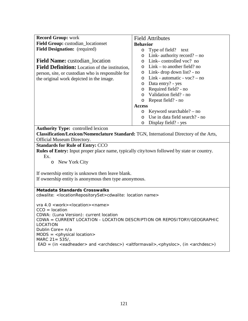| <b>Record Group: work</b>                                                                                                                  | <b>Field Attributes</b>                           |  |
|--------------------------------------------------------------------------------------------------------------------------------------------|---------------------------------------------------|--|
| Field Group: custodian_locationset                                                                                                         | <b>Behavior</b>                                   |  |
| Field Designation: (required)                                                                                                              | Type of field? text<br>$\circ$                    |  |
|                                                                                                                                            | Link- authority record? $-$ no<br>$\circ$         |  |
| <b>Field Name:</b> custodian location                                                                                                      | Link-controlled voc? no<br>$\circ$                |  |
| Field Definition: Location of the institution,                                                                                             | $\circ$ Link – to another field? no               |  |
| person, site, or custodian who is responsible for                                                                                          | Link-drop down list? - no<br>$\circ$              |  |
| the original work depicted in the image.                                                                                                   | Link - automatic - $\text{voc?} - \text{no}$<br>O |  |
|                                                                                                                                            | Data entry? - yes<br>$\circ$                      |  |
|                                                                                                                                            | Required field? - no<br>O                         |  |
|                                                                                                                                            | Validation field? - no<br>$\circ$                 |  |
|                                                                                                                                            | Repeat field? - no<br>$\circ$                     |  |
|                                                                                                                                            | <b>Access</b>                                     |  |
|                                                                                                                                            | Keyword searchable? – no<br>$\circ$               |  |
|                                                                                                                                            | Use in data field search? - no<br>$\circ$         |  |
|                                                                                                                                            | Display field? - yes<br>O                         |  |
| <b>Authority Type: controlled lexicon</b>                                                                                                  |                                                   |  |
| Classification/Lexicon/Nomenclature Standard: TGN, International Directory of the Arts,                                                    |                                                   |  |
| Official Museum Directory.                                                                                                                 |                                                   |  |
| <b>Standards for Rule of Entry: CCO</b>                                                                                                    |                                                   |  |
| <b>Rules of Entry:</b> Input proper place name, typically city/town followed by state or country.                                          |                                                   |  |
| Ex.                                                                                                                                        |                                                   |  |
| o New York City                                                                                                                            |                                                   |  |
|                                                                                                                                            |                                                   |  |
| If ownership entity is unknown then leave blank.                                                                                           |                                                   |  |
| If ownership entity is anonymous then type anonymous.                                                                                      |                                                   |  |
|                                                                                                                                            |                                                   |  |
| <b>Metadata Standards Crosswalks</b>                                                                                                       |                                                   |  |
| cdwalite: < locationRepositorySet > cdwalite: location name >                                                                              |                                                   |  |
|                                                                                                                                            |                                                   |  |
| vra 4.0 <work><location><name></name></location></work>                                                                                    |                                                   |  |
| $CCO = location$                                                                                                                           |                                                   |  |
| CDWA: (Luna Version): current location<br>CDWA = CURRENT LOCATION - LOCATION DESCRIPTION OR REPOSITORY/GEOGRAPHIC                          |                                                   |  |
|                                                                                                                                            |                                                   |  |
| LOCATION<br>Dublin Core= n/a                                                                                                               |                                                   |  |
| $MODS = physical location$                                                                                                                 |                                                   |  |
| MARC $21 = 535/$ ,                                                                                                                         |                                                   |  |
| EAD = (in <eadheader> and <archdesc>) <altformavail>,<physloc>, (in <archdesc>)</archdesc></physloc></altformavail></archdesc></eadheader> |                                                   |  |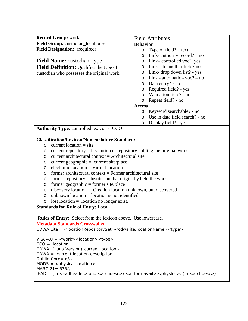| <b>Record Group: work</b>                                                                                                                                                                                                                                                                                                                                                                                                                                                                                                                                                                                                                                                                                                                  | <b>Field Attributes</b>                        |  |
|--------------------------------------------------------------------------------------------------------------------------------------------------------------------------------------------------------------------------------------------------------------------------------------------------------------------------------------------------------------------------------------------------------------------------------------------------------------------------------------------------------------------------------------------------------------------------------------------------------------------------------------------------------------------------------------------------------------------------------------------|------------------------------------------------|--|
| Field Group: custodian_locationset                                                                                                                                                                                                                                                                                                                                                                                                                                                                                                                                                                                                                                                                                                         | <b>Behavior</b>                                |  |
| Field Designation: (required)                                                                                                                                                                                                                                                                                                                                                                                                                                                                                                                                                                                                                                                                                                              | o Type of field? text                          |  |
|                                                                                                                                                                                                                                                                                                                                                                                                                                                                                                                                                                                                                                                                                                                                            | $\circ$ Link- authority record? – no           |  |
| <b>Field Name:</b> custodian_type                                                                                                                                                                                                                                                                                                                                                                                                                                                                                                                                                                                                                                                                                                          | o Link-controlled voc? yes                     |  |
| <b>Field Definition:</b> Qualifies the type of                                                                                                                                                                                                                                                                                                                                                                                                                                                                                                                                                                                                                                                                                             | $\circ$ Link – to another field? no            |  |
| custodian who possesses the original work.                                                                                                                                                                                                                                                                                                                                                                                                                                                                                                                                                                                                                                                                                                 | $\circ$ Link-drop down list? - yes             |  |
|                                                                                                                                                                                                                                                                                                                                                                                                                                                                                                                                                                                                                                                                                                                                            | o Link - automatic - $\text{voc?} - \text{no}$ |  |
|                                                                                                                                                                                                                                                                                                                                                                                                                                                                                                                                                                                                                                                                                                                                            | o Data entry? - no                             |  |
|                                                                                                                                                                                                                                                                                                                                                                                                                                                                                                                                                                                                                                                                                                                                            | o Required field? - yes                        |  |
|                                                                                                                                                                                                                                                                                                                                                                                                                                                                                                                                                                                                                                                                                                                                            | o Validation field? - no                       |  |
|                                                                                                                                                                                                                                                                                                                                                                                                                                                                                                                                                                                                                                                                                                                                            | Repeat field? - no<br>$\circ$                  |  |
|                                                                                                                                                                                                                                                                                                                                                                                                                                                                                                                                                                                                                                                                                                                                            | <b>Access</b>                                  |  |
|                                                                                                                                                                                                                                                                                                                                                                                                                                                                                                                                                                                                                                                                                                                                            | o Keyword searchable? - no                     |  |
|                                                                                                                                                                                                                                                                                                                                                                                                                                                                                                                                                                                                                                                                                                                                            | Use in data field search? - no<br>$\circ$      |  |
|                                                                                                                                                                                                                                                                                                                                                                                                                                                                                                                                                                                                                                                                                                                                            | o Display field? - yes                         |  |
| <b>Authority Type: controlled lexicon - CCO</b>                                                                                                                                                                                                                                                                                                                                                                                                                                                                                                                                                                                                                                                                                            |                                                |  |
| current location $=$ site<br>$\circ$<br>current repository = Institution or repository holding the original work.<br>O<br>current architectural context = Architectural site<br>$\circ$<br>current geographic = current site/place<br>O<br>$electronic location = Virtual location$<br>$\circ$<br>former architectural context = Former architectural site<br>O<br>former repository $=$ Institution that originally held the work.<br>O<br>former geographic = former site/place<br>$\circ$<br>$discovery location = Creation location unknown, but discovered$<br>O<br>unknown $location = location$ is not identified<br>$\circ$<br>$lost location = location no longer exist.$<br>$\circ$<br><b>Standards for Rule of Entry: Local</b> |                                                |  |
| <b>Rules of Entry:</b> Select from the lexicon above. Use lowercase.                                                                                                                                                                                                                                                                                                                                                                                                                                                                                                                                                                                                                                                                       |                                                |  |
| <b>Metadata Standards Crosswalks</b>                                                                                                                                                                                                                                                                                                                                                                                                                                                                                                                                                                                                                                                                                                       |                                                |  |
| CDWA Lite = $<$ location Repository Set > $<$ cdwalite: location Name > $<$ type >                                                                                                                                                                                                                                                                                                                                                                                                                                                                                                                                                                                                                                                         |                                                |  |
| VRA $4.0 =$ <work> &lt; location &gt; &lt; type &gt;<br/><math>CCO = location</math><br/>CDWA: (Luna Version): current location -<br/><math>CDWA = current location description</math><br/>Dublin Core= n/a<br/><math>MODS = physical location</math><br/>MARC <math>21 = 535/</math>,</work>                                                                                                                                                                                                                                                                                                                                                                                                                                              |                                                |  |
| $EAD = (in  and ) <a href="mailto:alifornavail>}{chpravail>}, )$                                                                                                                                                                                                                                                                                                                                                                                                                                                                                                                                                                                                                                                                           |                                                |  |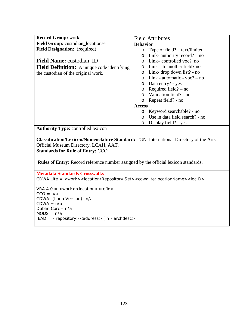| <b>Record Group: work</b>                                                                                                         | <b>Field Attributes</b>                                 |  |
|-----------------------------------------------------------------------------------------------------------------------------------|---------------------------------------------------------|--|
| Field Group: custodian_locationset                                                                                                | <b>Behavior</b>                                         |  |
| <b>Field Designation:</b> (required)                                                                                              | Type of field? text/limited<br>$\circ$                  |  |
|                                                                                                                                   | Link- authority record? $-$ no<br>$\circ$               |  |
| <b>Field Name: custodian ID</b>                                                                                                   | Link-controlled voc? no<br>$\circ$                      |  |
| <b>Field Definition:</b> A unique code identifying                                                                                | $\circ$ Link – to another field? no                     |  |
| the custodian of the original work.                                                                                               | Link- drop down list? - no<br>$\circ$                   |  |
|                                                                                                                                   | Link - automatic - $\text{voc?} - \text{no}$<br>$\circ$ |  |
|                                                                                                                                   | Data entry? - yes<br>$\circ$                            |  |
|                                                                                                                                   | Required field? $-$ no<br>O                             |  |
|                                                                                                                                   | o Validation field? - no                                |  |
|                                                                                                                                   | Repeat field? - no<br>$\circ$                           |  |
|                                                                                                                                   | <b>Access</b>                                           |  |
|                                                                                                                                   | Keyword searchable? - no<br>O                           |  |
|                                                                                                                                   | Use in data field search? - no<br>$\circ$               |  |
|                                                                                                                                   | Display field? - yes<br>$\circ$                         |  |
| <b>Authority Type: controlled lexicon</b>                                                                                         |                                                         |  |
|                                                                                                                                   |                                                         |  |
| Classification/Lexicon/Nomenclature Standard: TGN, International Directory of the Arts,                                           |                                                         |  |
| Official Museum Directory, LCAH, AAT.                                                                                             |                                                         |  |
| <b>Standards for Rule of Entry: CCO</b>                                                                                           |                                                         |  |
|                                                                                                                                   |                                                         |  |
| <b>Rules of Entry:</b> Record reference number assigned by the official lexicon standards.                                        |                                                         |  |
|                                                                                                                                   |                                                         |  |
| <b>Metadata Standards Crosswalks</b>                                                                                              |                                                         |  |
| CDWA Lite = <work><location repository="" set=""><cdwalite:locationname><locid></locid></cdwalite:locationname></location></work> |                                                         |  |
|                                                                                                                                   |                                                         |  |
| VRA $4.0 =$ <work> &lt; location &gt; &lt; refid &gt;</work>                                                                      |                                                         |  |
| $CCO = n/a$                                                                                                                       |                                                         |  |
| CDWA: (Luna Version): n/a                                                                                                         |                                                         |  |
| $CDWA = n/a$                                                                                                                      |                                                         |  |
| Dublin Core= n/a                                                                                                                  |                                                         |  |
| $MODS = n/a$<br>$EAD = <$ repository> < address > (in < archdesc >                                                                |                                                         |  |
|                                                                                                                                   |                                                         |  |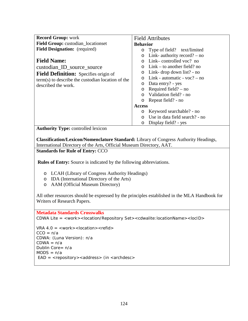| <b>Record Group: work</b>                                                                                                         | <b>Field Attributes</b>                  |  |
|-----------------------------------------------------------------------------------------------------------------------------------|------------------------------------------|--|
| Field Group: custodian_locationset                                                                                                | <b>Behavior</b>                          |  |
| Field Designation: (required)                                                                                                     | Type of field? text/limited<br>O         |  |
|                                                                                                                                   | Link-authority record? $-$ no<br>$\circ$ |  |
| <b>Field Name:</b>                                                                                                                | o Link-controlled voc? no                |  |
| custodian_ID_source_source                                                                                                        | Link – to another field? no<br>$\circ$   |  |
| Field Definition: Specifies origin of                                                                                             | Link-drop down list? - no<br>O           |  |
| $term(s)$ to describe the custodian location of the                                                                               | $\circ$ Link - automatic - voc? – no     |  |
| described the work.                                                                                                               | o Data entry? - yes                      |  |
|                                                                                                                                   | Required field? $-$ no<br>O              |  |
|                                                                                                                                   | Validation field? - no<br>$\circ$        |  |
|                                                                                                                                   | Repeat field? - no<br>$\circ$            |  |
|                                                                                                                                   | <b>Access</b>                            |  |
|                                                                                                                                   | Keyword searchable? - no<br>O            |  |
|                                                                                                                                   | Use in data field search? - no<br>O      |  |
|                                                                                                                                   | Display field? - yes<br>O                |  |
| <b>Authority Type: controlled lexicon</b>                                                                                         |                                          |  |
|                                                                                                                                   |                                          |  |
| Classification/Lexicon/Nomenclature Standard: Library of Congress Authority Headings,                                             |                                          |  |
| International Directory of the Arts, Official Museum Directory, AAT.                                                              |                                          |  |
| <b>Standards for Rule of Entry: CCO</b>                                                                                           |                                          |  |
|                                                                                                                                   |                                          |  |
| <b>Rules of Entry:</b> Source is indicated by the following abbreviations.                                                        |                                          |  |
|                                                                                                                                   |                                          |  |
| LCAH (Library of Congress Authority Headings)<br>$\circ$                                                                          |                                          |  |
| IDA (International Directory of the Arts)<br>O                                                                                    |                                          |  |
| AAM (Official Museum Directory)<br>$\circ$                                                                                        |                                          |  |
|                                                                                                                                   |                                          |  |
| All other resources should be expressed by the principles established in the MLA Handbook for                                     |                                          |  |
| Writers of Research Papers.                                                                                                       |                                          |  |
|                                                                                                                                   |                                          |  |
| <b>Metadata Standards Crosswalks</b>                                                                                              |                                          |  |
|                                                                                                                                   |                                          |  |
| CDWA Lite = <work><location repository="" set=""><cdwalite:locationname><locid></locid></cdwalite:locationname></location></work> |                                          |  |
| VRA $4.0 = <$ work > < location > < refid >                                                                                       |                                          |  |
| $CCO = n/a$                                                                                                                       |                                          |  |
| CDWA: (Luna Version): n/a                                                                                                         |                                          |  |
| $CDWA = n/a$                                                                                                                      |                                          |  |
| Dublin Core= n/a                                                                                                                  |                                          |  |
| $MODS = n/a$                                                                                                                      |                                          |  |
| $EAD = <$ repository> < address > (in < archdesc >                                                                                |                                          |  |
|                                                                                                                                   |                                          |  |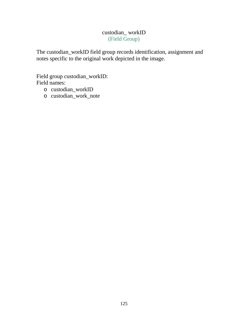# custodian\_ workID (Field Group)

The custodian\_workID field group records identification, assignment and notes specific to the original work depicted in the image.

Field group custodian\_workID: Field names:

- o custodian\_workID
- o custodian\_work\_note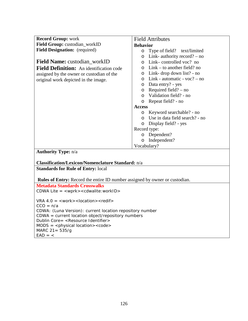| <b>Record Group: work</b>                                                          | <b>Field Attributes</b>                |
|------------------------------------------------------------------------------------|----------------------------------------|
| Field Group: custodian_workID                                                      | <b>Behavior</b>                        |
| <b>Field Designation:</b> (required)                                               | Type of field? text/limited<br>$\circ$ |
|                                                                                    | $\circ$ Link- authority record? – no   |
| Field Name: custodian_workID                                                       | o Link-controlled voc? no              |
| Field Definition: An identification code                                           | $\circ$ Link – to another field? no    |
| assigned by the owner or custodian of the                                          | $\circ$ Link-drop down list? - no      |
| original work depicted in the image.                                               | $\circ$ Link - automatic - voc? – no   |
|                                                                                    | o Data entry? - yes                    |
|                                                                                    | $\circ$ Required field? – no           |
|                                                                                    | o Validation field? - no               |
|                                                                                    | o Repeat field? - no                   |
|                                                                                    | <b>Access</b>                          |
|                                                                                    | o Keyword searchable? - no             |
|                                                                                    | o Use in data field search? - no       |
|                                                                                    | $\circ$ Display field? - yes           |
|                                                                                    | Record type:                           |
|                                                                                    | Dependent?<br>$\circ$                  |
|                                                                                    | Independent?<br>$\circ$                |
|                                                                                    | Vocabulary?                            |
| <b>Authority Type:</b> n/a                                                         |                                        |
|                                                                                    |                                        |
| Classification/Lexicon/Nomenclature Standard: n/a                                  |                                        |
| <b>Standards for Rule of Entry: local</b>                                          |                                        |
|                                                                                    |                                        |
| <b>Rules of Entry:</b> Record the entire ID number assigned by owner or custodian. |                                        |
| <b>Metadata Standards Crosswalks</b>                                               |                                        |
| CDWA Lite = <wprk><cdwalite:workid></cdwalite:workid></wprk>                       |                                        |
|                                                                                    |                                        |
| VRA $4.0 =$ <work> &lt; location &gt; &lt; redif &gt;</work>                       |                                        |
| $CCO = n/a$                                                                        |                                        |
| CDWA: (Luna Version): current location repository number                           |                                        |
| $CDWA = current location object/repository numbers$                                |                                        |
| Dublin Core= <resource identifier=""></resource>                                   |                                        |
| $MODS = physical location < code$                                                  |                                        |
| MARC $21 = 535/g$                                                                  |                                        |
| $EAD = \langle$                                                                    |                                        |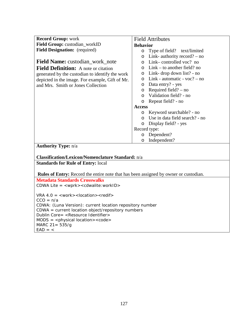| <b>Record Group: work</b>                                                                   | <b>Field Attributes</b>                    |  |
|---------------------------------------------------------------------------------------------|--------------------------------------------|--|
|                                                                                             |                                            |  |
| Field Group: custodian_workID                                                               | <b>Behavior</b>                            |  |
| <b>Field Designation:</b> (required)                                                        | Type of field? text/limited<br>$\circ$     |  |
|                                                                                             | $\circ$ Link- authority record? – no       |  |
| <b>Field Name:</b> custodian_work_note                                                      | o Link-controlled voc? no                  |  |
| <b>Field Definition:</b> A note or citation                                                 | $\circ$ Link – to another field? no        |  |
| generated by the custodian to identify the work                                             | $\circ$ Link-drop down list? - no          |  |
| depicted in the image. For example, Gift of Mr.                                             | $\circ$ Link - automatic - voc? – no       |  |
| and Mrs. Smith or Jones Collection                                                          | Data entry? - yes<br>$\circ$               |  |
|                                                                                             | Required field? $-$ no<br>$\circ$          |  |
|                                                                                             | Validation field? - no<br>$\Omega$         |  |
|                                                                                             | Repeat field? - no<br>$\circ$              |  |
|                                                                                             | <b>Access</b>                              |  |
|                                                                                             | o Keyword searchable? - no                 |  |
|                                                                                             | Use in data field search? - no<br>$\Omega$ |  |
|                                                                                             | $\circ$ Display field? - yes               |  |
|                                                                                             | Record type:                               |  |
|                                                                                             | o Dependent?                               |  |
|                                                                                             | Independent?<br>$\circ$                    |  |
| <b>Authority Type:</b> n/a                                                                  |                                            |  |
|                                                                                             |                                            |  |
| <b>Classification/Lexicon/Nomenclature Standard:</b> n/a                                    |                                            |  |
| <b>Standards for Rule of Entry: local</b>                                                   |                                            |  |
|                                                                                             |                                            |  |
| <b>Rules of Entry:</b> Record the entire note that has been assigned by owner or custodian. |                                            |  |
| <b>Metadata Standards Crosswalks</b>                                                        |                                            |  |

CDWA Lite = <wprk><cdwalite:workID>

VRA  $4.0 =$  <work > < location > < redif >  $CCO = n/a$ CDWA: (Luna Version): current location repository number CDWA = current location object/repository numbers Dublin Core= <Resource Identifier> MODS = <physical location><code></sup> MARC  $21 = 535/g$  $EAD = \langle$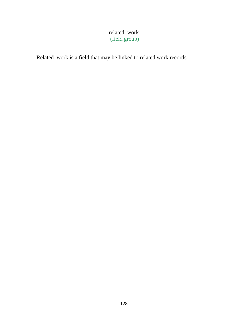# related\_work (field group)

Related\_work is a field that may be linked to related work records.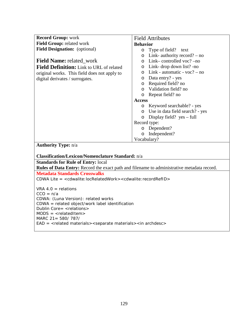| <b>Record Group: work</b>                                | <b>Field Attributes</b>                |
|----------------------------------------------------------|----------------------------------------|
| Field Group: related work                                | <b>Behavior</b>                        |
| <b>Field Designation:</b> (optional)                     | Type of field? text<br>$\circ$         |
|                                                          | $\circ$ Link- authority record? – no   |
| <b>Field Name: related_work</b>                          | $\circ$ Link–controlled voc? –no       |
| <b>Field Definition:</b> Link to URL of related          | $\circ$ Link-drop down list? -no       |
| original works. This field does not apply to             | $\circ$ Link - automatic - voc? – no   |
| digital derivates / surrogates.                          | $\circ$ Data entry? - yes              |
|                                                          | Required field? no<br>$\circ$          |
|                                                          | Validation field? no<br>$\Omega$       |
|                                                          | o Repeat field? no                     |
|                                                          | <b>Access</b>                          |
|                                                          | o Keyword searchable? - yes            |
|                                                          | o Use in data field search? - yes      |
|                                                          | Display field? $yes - full$<br>$\circ$ |
|                                                          | Record type:                           |
|                                                          | o Dependent?                           |
|                                                          | o Independent?                         |
|                                                          | Vocabulary?                            |
| <b>Authority Type:</b> n/a                               |                                        |
|                                                          |                                        |
| <b>Classification/Lexicon/Nomenclature Standard:</b> n/a |                                        |
| <b>Standards for Rule of Entry: local</b>                |                                        |
|                                                          |                                        |

**Rules of Data Entry:** Record the exact path and filename to administrative metadata record.

**Metadata Standards Crosswalks**

CDWA Lite = <cdwalite:locRelatedWork><cdwalite:recordRefID>

VRA  $4.0$  = relations  $CCO = n/a$ CDWA: (Luna Version): related works CDWA = related object/work label identification Dublin Core= <relations>  $MODS =$ MARC 21= 580/ 787/ EAD = <related materials><separate materials><in archdesc>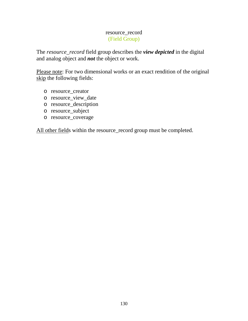## resource\_record (Field Group)

The *resource\_record* field group describes the *view depicted* in the digital and analog object and *not* the object or work.

Please note: For two dimensional works or an exact rendition of the original skip the following fields:

- o resource\_creator
- o resource\_view\_date
- o resource\_description
- o resource\_subject
- o resource\_coverage

All other fields within the resource\_record group must be completed.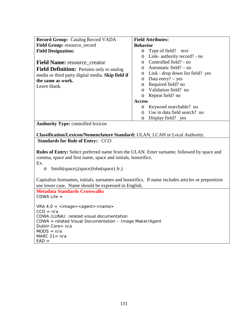| <b>Record Group:</b> Catalog Record VADA                                     | <b>Field Attributes:</b>                    |
|------------------------------------------------------------------------------|---------------------------------------------|
| Field Group: resource_record                                                 | <b>Behavior</b>                             |
| <b>Field Designation:</b>                                                    | $\circ$ Type of field? text                 |
|                                                                              | Link- authority record? - no<br>$\circ$     |
| <b>Field Name: resource creator</b>                                          | Controlled field? - no<br>$\Omega$          |
| <b>Field Definition:</b> Pertains only to analog                             | Automatic field? – no<br>$\Omega$           |
| media or third party digital media. Skip field if                            | Link - drop down list field? yes<br>$\circ$ |
| the same as work.                                                            | Data entry? $-$ yes<br>$\circ$              |
| Leave blank.                                                                 | Required field? no<br>$\circ$               |
|                                                                              | Validation field? no                        |
|                                                                              | Repeat field? no<br>$\circ$                 |
|                                                                              | <b>Access</b>                               |
|                                                                              | o Keyword searchable? no                    |
|                                                                              | Use in data field search? no<br>$\Omega$    |
|                                                                              | Display field? yes<br>$\circ$               |
| <b>Authority Type: controlled lexicon</b>                                    |                                             |
|                                                                              |                                             |
| Classification/Lexicon/Nomenclature Standard: ULAN, LCAH or Local Authority. |                                             |
| <b>Standards for Rule of Entry:: CCO</b>                                     |                                             |

**Rules of Entry:** Select preferred name from the ULAN. Enter surname, followed by space and comma, space and first name, space and initials, honorifics. Ex.

o Smith(space),(space)John(space) Jr.)

Capitalize forenames, initials, surnames and honorifics. If name includes articles or preposition use lower case. Name should be expressed in English.

**Metadata Standards Crosswalks** CDWA Lite  $=$ VRA  $4.0 = \langle \text{image} \rangle \langle \text{agent} \rangle \langle \text{name} \rangle$  $CCO = n/a$ CDWA (LUNA): related visual documentation CDWA = related Visual Documentation – Image Maker/Agent Dublin Core= n/a  $MODS = n/a$ MARC  $21 = n/a$  $EAD =$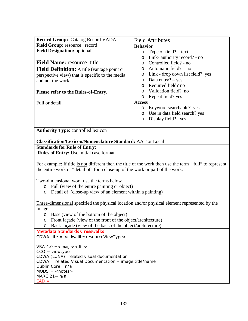| <b>Record Group: Catalog Record VADA</b>                                                                                                                                                                                              | <b>Field Attributes</b>                |  |
|---------------------------------------------------------------------------------------------------------------------------------------------------------------------------------------------------------------------------------------|----------------------------------------|--|
| Field Group: resource_record                                                                                                                                                                                                          | <b>Behavior</b>                        |  |
| <b>Field Designation: optional</b>                                                                                                                                                                                                    | Type of field? text<br>$\circ$         |  |
|                                                                                                                                                                                                                                       | Link-authority record? - no<br>$\circ$ |  |
| Field Name: resource_title                                                                                                                                                                                                            | o Controlled field? - no               |  |
| <b>Field Definition:</b> A title (vantage point or                                                                                                                                                                                    | $\circ$ Automatic field? – no          |  |
| perspective view) that is specific to the media                                                                                                                                                                                       | o Link - drop down list field? yes     |  |
| and not the work.                                                                                                                                                                                                                     | $\circ$ Data entry? – yes              |  |
|                                                                                                                                                                                                                                       | Required field? no<br>$\circ$          |  |
| Please refer to the Rules-of-Entry.                                                                                                                                                                                                   | Validation field? no<br>$\circ$        |  |
|                                                                                                                                                                                                                                       | o Repeat field? yes                    |  |
| Full or detail.                                                                                                                                                                                                                       | <b>Access</b>                          |  |
|                                                                                                                                                                                                                                       | o Keyword searchable? yes              |  |
|                                                                                                                                                                                                                                       | o Use in data field search? yes        |  |
|                                                                                                                                                                                                                                       | Display field? yes<br>$\circ$          |  |
|                                                                                                                                                                                                                                       |                                        |  |
| <b>Authority Type: controlled lexicon</b><br><b>Classification/Lexicon/Nomenclature Standard: AAT or Local</b><br><b>Standards for Rule of Entry:</b><br><b>Rules of Entry:</b> Use initial case format.                              |                                        |  |
| For example: If title is not different then the title of the work then use the term "full" to represent<br>the entire work or "detail of" for a close-up of the work or part of the work.<br>Two-dimensional work use the terms below |                                        |  |
| o Full (view of the entire painting or object)                                                                                                                                                                                        |                                        |  |
| Detail of (close-up view of an element within a painting)<br>O                                                                                                                                                                        |                                        |  |
| Three-dimensional specified the physical location and/or physical element represented by the<br>image.                                                                                                                                |                                        |  |
|                                                                                                                                                                                                                                       |                                        |  |
| o Base (view of the bottom of the object)                                                                                                                                                                                             |                                        |  |

o Front façade (view of the front of the object/architecture)

o Back façade (view of the back of the object/architecture)

**Metadata Standards Crosswalks** CDWA Lite = <cdwalite:resourceViewType>

VRA  $4.0 = \frac{1}{2}$  =  $\frac{1}{2}$  =  $\frac{1}{2}$  =  $\frac{1}{2}$  =  $\frac{1}{2}$  =  $\frac{1}{2}$  =  $\frac{1}{2}$  =  $\frac{1}{2}$  =  $\frac{1}{2}$  =  $\frac{1}{2}$  =  $\frac{1}{2}$  =  $\frac{1}{2}$  =  $\frac{1}{2}$  =  $\frac{1}{2}$  =  $\frac{1}{2}$  =  $\frac{1}{2}$  =  $\frac{1}{2}$  =  $\frac{1}{2}$  $CCO =$  viewtype CDWA (LUNA): related visual documentation

CDWA = related Visual Documentation – image title/name Dublin Core= n/a

 $MODS = <$ notes>

MARC  $21 = n/a$ 

 $EAD =$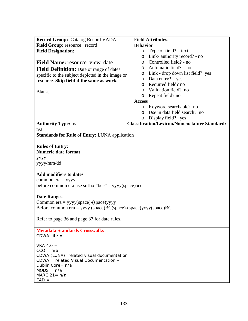| <b>Record Group: Catalog Record VADA</b>                                             | <b>Field Attributes:</b>                                                              |  |
|--------------------------------------------------------------------------------------|---------------------------------------------------------------------------------------|--|
| Field Group: resource_record                                                         | <b>Behavior</b>                                                                       |  |
| <b>Field Designation:</b>                                                            | Type of field? text<br>$\circ$                                                        |  |
|                                                                                      | o Link-authority record? - no                                                         |  |
| <b>Field Name:</b> resource_view_date                                                | o Controlled field? - no                                                              |  |
| <b>Field Definition:</b> Date or range of dates                                      | Automatic field? – no<br>$\circ$                                                      |  |
| specific to the subject depicted in the image or                                     | Link - drop down list field? yes<br>$\circ$                                           |  |
| resource. Skip field if the same as work.                                            | Data entry? $-$ yes<br>$\circ$                                                        |  |
|                                                                                      | Required field? no<br>$\circ$                                                         |  |
| Blank.                                                                               | Validation field? no<br>$\circ$                                                       |  |
|                                                                                      | o Repeat field? no                                                                    |  |
|                                                                                      | <b>Access</b>                                                                         |  |
|                                                                                      | Keyword searchable? no<br>O<br>Use in data field search? no                           |  |
|                                                                                      | $\circ$                                                                               |  |
| <b>Authority Type: n/a</b>                                                           | Display field? yes<br>$\circ$<br><b>Classification/Lexicon/Nomenclature Standard:</b> |  |
| n/a                                                                                  |                                                                                       |  |
| <b>Standards for Rule of Entry: LUNA application</b>                                 |                                                                                       |  |
|                                                                                      |                                                                                       |  |
| <b>Rules of Entry:</b>                                                               |                                                                                       |  |
| <b>Numeric date format</b>                                                           |                                                                                       |  |
| уууу                                                                                 |                                                                                       |  |
| yyyy/mm/dd                                                                           |                                                                                       |  |
|                                                                                      |                                                                                       |  |
| <b>Add modifiers to dates</b>                                                        |                                                                                       |  |
| common $era = yyyy$                                                                  |                                                                                       |  |
| before common era use suffix "bce" = $yyyy$ (space)bce                               |                                                                                       |  |
|                                                                                      |                                                                                       |  |
| <b>Date Ranges</b>                                                                   |                                                                                       |  |
| Common era = $yyyy(space)$ -(space) $yyyy$                                           |                                                                                       |  |
| Before common era = yyyy (space)BC(space)-(space)yyyy(space)BC                       |                                                                                       |  |
| Refer to page 36 and page 37 for date rules.                                         |                                                                                       |  |
|                                                                                      |                                                                                       |  |
| <b>Metadata Standards Crosswalks</b>                                                 |                                                                                       |  |
| $CDWA$ Lite $=$                                                                      |                                                                                       |  |
|                                                                                      |                                                                                       |  |
| $VRA 4.0 =$                                                                          |                                                                                       |  |
| $CCO = n/a$                                                                          |                                                                                       |  |
| CDWA (LUNA): related visual documentation<br>$CDWA = related Visual Documentation -$ |                                                                                       |  |
| Dublin Core= n/a                                                                     |                                                                                       |  |
| $MODS = n/a$                                                                         |                                                                                       |  |
| MARC $21 = n/a$                                                                      |                                                                                       |  |
| $EAD =$                                                                              |                                                                                       |  |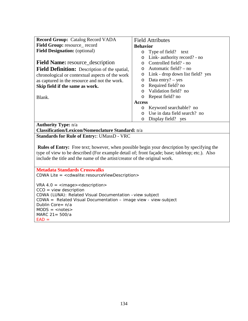| <b>Record Group: Catalog Record VADA</b>                                                                                   | <b>Field Attributes</b>                     |  |
|----------------------------------------------------------------------------------------------------------------------------|---------------------------------------------|--|
| Field Group: resource_record                                                                                               | <b>Behavior</b>                             |  |
| <b>Field Designation:</b> (optional)                                                                                       | Type of field?<br>text<br>$\circ$           |  |
|                                                                                                                            | Link-authority record? - no<br>$\circ$      |  |
| Field Name: resource_description                                                                                           | Controlled field? - no<br>$\circ$           |  |
| Field Definition: Description of the spatial,                                                                              | Automatic field? – no<br>$\circ$            |  |
| chronological or contextual aspects of the work                                                                            | Link - drop down list field? yes<br>$\circ$ |  |
| as captured in the resource and not the work.                                                                              | Data entry? $-$ yes<br>$\circ$              |  |
| Skip field if the same as work.                                                                                            | Required field? no<br>$\circ$               |  |
|                                                                                                                            | Validation field? no<br>$\Omega$            |  |
| Blank.                                                                                                                     | Repeat field? no<br>$\circ$                 |  |
|                                                                                                                            | <b>Access</b>                               |  |
|                                                                                                                            | o Keyword searchable? no                    |  |
|                                                                                                                            | Use in data field search? no<br>$\circ$     |  |
|                                                                                                                            | Display field? yes<br>$\circ$               |  |
| <b>Authority Type: n/a</b>                                                                                                 |                                             |  |
| Classification/Lexicon/Nomenclature Standard: n/a                                                                          |                                             |  |
| <b>Standards for Rule of Entry:: UMassD - VRC</b>                                                                          |                                             |  |
|                                                                                                                            |                                             |  |
| <b>Rules of Entry:</b> Free text; however, when possible begin your description by specifying the                          |                                             |  |
| type of view to be described (For example detail of; front façade; base; tabletop; etc.). Also                             |                                             |  |
| include the title and the name of the artist/creator of the original work.                                                 |                                             |  |
|                                                                                                                            |                                             |  |
| <b>Metadata Standards Crosswalks</b>                                                                                       |                                             |  |
| CDWA Lite = < cdwalite: resourceViewDescription>                                                                           |                                             |  |
|                                                                                                                            |                                             |  |
| VRA $4.0 = \langle \text{image} \rangle \langle \text{description} \rangle$                                                |                                             |  |
| $CCO =$ view description                                                                                                   |                                             |  |
| CDWA (LUNA): Related Visual Documentation -view subject<br>CDWA = Related Visual Documentation - image view - view-subject |                                             |  |
| Dublin Core= n/a                                                                                                           |                                             |  |
| $MODS = $                                                                                                                  |                                             |  |
| MARC $21 = 500/a$                                                                                                          |                                             |  |
| $EAD =$                                                                                                                    |                                             |  |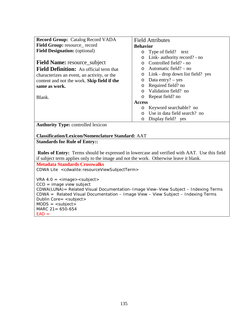| <b>Record Group: Catalog Record VADA</b>                                                                             | <b>Field Attributes</b>                                                                             |  |
|----------------------------------------------------------------------------------------------------------------------|-----------------------------------------------------------------------------------------------------|--|
| Field Group: resource_record                                                                                         | <b>Behavior</b>                                                                                     |  |
| <b>Field Designation:</b> (optional)                                                                                 | Type of field? text<br>$\circ$                                                                      |  |
|                                                                                                                      | Link-authority record? - no<br>$\circ$                                                              |  |
| <b>Field Name:</b> resource_subject                                                                                  | Controlled field? - no<br>$\Omega$                                                                  |  |
| <b>Field Definition:</b> An official term that                                                                       | $\circ$ Automatic field? – no                                                                       |  |
| characterizes an event, an activity, or the                                                                          | o Link - drop down list field? yes                                                                  |  |
| content and not the work. Skip field if the                                                                          | Data entry? $-$ yes<br>$\circ$                                                                      |  |
| same as work.                                                                                                        | Required field? no<br>$\circ$                                                                       |  |
|                                                                                                                      | Validation field? no<br>$\circ$                                                                     |  |
| Blank.                                                                                                               | Repeat field? no<br>$\circ$                                                                         |  |
|                                                                                                                      | <b>Access</b>                                                                                       |  |
|                                                                                                                      | Keyword searchable? no<br>O                                                                         |  |
|                                                                                                                      | Use in data field search? no<br>$\circ$                                                             |  |
|                                                                                                                      | Display field? yes<br>O                                                                             |  |
| <b>Authority Type: controlled lexicon</b>                                                                            |                                                                                                     |  |
|                                                                                                                      |                                                                                                     |  |
| <b>Classification/Lexicon/Nomenclature Standard: AAT</b>                                                             |                                                                                                     |  |
| <b>Standards for Rule of Entry::</b>                                                                                 |                                                                                                     |  |
|                                                                                                                      |                                                                                                     |  |
|                                                                                                                      | <b>Rules of Entry:</b> Terms should be expressed in lowercase and verified with AAT. Use this field |  |
| if subject term applies only to the image and not the work. Otherwise leave it blank.                                |                                                                                                     |  |
| <b>Metadata Standards Crosswalks</b>                                                                                 |                                                                                                     |  |
| CDWA Lite <cdwalite: resourceviewsubjectterm=""></cdwalite:>                                                         |                                                                                                     |  |
|                                                                                                                      |                                                                                                     |  |
| VRA $4.0 = \langle \text{image} \rangle \langle \text{subject} \rangle$                                              |                                                                                                     |  |
| $CCO = image$ view subject                                                                                           |                                                                                                     |  |
| CDWA(LUNA) = Related Visual Documentation-Image View-View Subject - Indexing Terms                                   |                                                                                                     |  |
| CDWA = Related Visual Documentation - Image View - View Subject - Indexing Terms<br>Dublin Core= <subject></subject> |                                                                                                     |  |
| $MODS = \langle subject \rangle$                                                                                     |                                                                                                     |  |
|                                                                                                                      |                                                                                                     |  |

 $EAD =$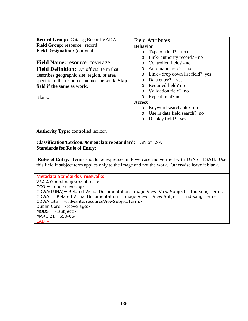| <b>Record Group:</b> Catalog Record VADA |  |
|------------------------------------------|--|
| Field Group: resource_record             |  |
| <b>Field Designation:</b> (optional)     |  |

**Field Name:** resource\_coverage **Field Definition:** An official term that describes geographic site, region, or area specific to the resource and not the work. **Skip field if the same as work.** 

Blank.

## Field Attributes **Behavior**

- o Type of field? text
- o Link- authority record? no
- o Controlled field? no
- o Automatic field? no
- o Link drop down list field? yes
- o Data entry? yes
- o Required field? no
- o Validation field? no
- o Repeat field? no

#### **Access**

- o Keyword searchable? no
- o Use in data field search? no
- o Display field? yes

**Authority Type:** controlled lexicon

#### **Classification/Lexicon/Nomenclature Standard:** TGN or LSAH **Standards for Rule of Entry:**:

**Rules of Entry:** Terms should be expressed in lowercase and verified with TGN or LSAH. Use this field if subject term applies only to the image and not the work. Otherwise leave it blank.

**Metadata Standards Crosswalks** VRA  $4.0 = \langle \text{image} \rangle \langle \text{subject} \rangle$ CCO = image coverage CDWA(LUNA)= Related Visual Documentation–Image View–View Subject – Indexing Terms CDWA = Related Visual Documentation – Image View – View Subject – Indexing Terms CDWA Lite = <cdwalite:resourceViewSubjectTerm> Dublin Core= <coverage>  $MODS = \langle subject \rangle$ MARC  $21 = 650 - 654$  $EAD =$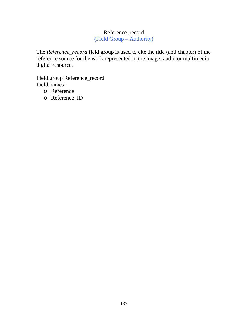# Reference\_record (Field Group – Authority)

The *Reference\_record* field group is used to cite the title (and chapter) of the reference source for the work represented in the image, audio or multimedia digital resource.

Field group Reference\_record Field names:

- o Reference
- o Reference\_ID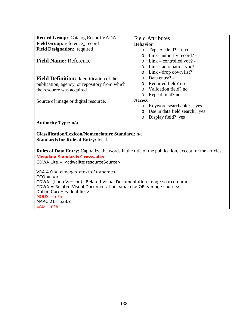| <b>Record Group: Catalog Record VADA</b>                                                                             | <b>Field Attributes</b>            |  |
|----------------------------------------------------------------------------------------------------------------------|------------------------------------|--|
| Field Group: reference_record                                                                                        | <b>Behavior</b>                    |  |
| Field Designation: required                                                                                          | o Type of field? text              |  |
|                                                                                                                      | o Link-authority record? -         |  |
| <b>Field Name: Reference</b>                                                                                         | $\circ$ Link – controlled voc? -   |  |
|                                                                                                                      | $\circ$ Link - automatic - voc? –  |  |
|                                                                                                                      | Link - drop down list?<br>$\circ$  |  |
| <b>Field Definition:</b> Identification of the                                                                       | Data entry? -<br>$\circ$           |  |
|                                                                                                                      | Required field? no<br>O            |  |
| publication, agency, or repository from which                                                                        | Validation field? no<br>$\circ$    |  |
| the resource was acquired.                                                                                           | Repeat field? no                   |  |
|                                                                                                                      | $\circ$<br><b>Access</b>           |  |
| Source of image or digital resource.                                                                                 |                                    |  |
|                                                                                                                      | Keyword searchable? yes<br>$\circ$ |  |
|                                                                                                                      | o Use in data field search? yes    |  |
|                                                                                                                      | Display field? yes<br>$\circ$      |  |
| <b>Authority Type: n/a</b>                                                                                           |                                    |  |
|                                                                                                                      |                                    |  |
| <b>Classification/Lexicon/Nomenclature Standard:</b> n/a                                                             |                                    |  |
| <b>Standards for Rule of Entry: local</b>                                                                            |                                    |  |
|                                                                                                                      |                                    |  |
| <b>Rules of Data Entry:</b> Capitalize the words in the title of the publication, except for the articles.           |                                    |  |
| <b>Metadata Standards Crosswalks</b>                                                                                 |                                    |  |
| CDWA Lite = <cdwalite: resourcesource=""></cdwalite:>                                                                |                                    |  |
|                                                                                                                      |                                    |  |
| VRA $4.0 = \langle \text{image} \rangle \langle \text{textref} \rangle \langle \text{name} \rangle$                  |                                    |  |
| $CCO = n/a$                                                                                                          |                                    |  |
| CDWA: (Luna Version): Related Visual Documentation image source name                                                 |                                    |  |
| CDWA = Related Visual Documentation <maker> OR <image source=""/><br/>Dublin Core= <identifier></identifier></maker> |                                    |  |
| $MODS = n/a$                                                                                                         |                                    |  |
| MARC $21 = 533/c$                                                                                                    |                                    |  |
| $EAD = n/a$                                                                                                          |                                    |  |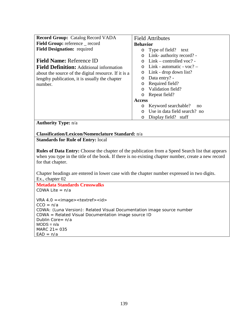| <b>Record Group: Catalog Record VADA</b><br>Field Group: reference _ record<br>Field Designation: required<br><b>Field Name: Reference ID</b><br><b>Field Definition: Additional information</b><br>about the source of the digital resource. If it is a<br>lengthy publication, it is usually the chapter<br>number.                                                                                                                | <b>Field Attributes</b><br><b>Behavior</b><br>Type of field?<br>text<br>$\circ$<br>o Link-authority record? -<br>$\circ$ Link – controlled voc? -<br>$\circ$ Link - automatic - voc? -<br>$\circ$ Link - drop down list?<br>Data entry? -<br>$\circ$<br>Required field?<br>$\circ$<br>Validation field?<br>$\circ$ |  |
|--------------------------------------------------------------------------------------------------------------------------------------------------------------------------------------------------------------------------------------------------------------------------------------------------------------------------------------------------------------------------------------------------------------------------------------|--------------------------------------------------------------------------------------------------------------------------------------------------------------------------------------------------------------------------------------------------------------------------------------------------------------------|--|
|                                                                                                                                                                                                                                                                                                                                                                                                                                      | Repeat field?<br>$\circ$                                                                                                                                                                                                                                                                                           |  |
|                                                                                                                                                                                                                                                                                                                                                                                                                                      | <b>Access</b>                                                                                                                                                                                                                                                                                                      |  |
|                                                                                                                                                                                                                                                                                                                                                                                                                                      | Keyword searchable?<br>no<br>$\circ$<br>Use in data field search? no<br>$\circ$<br>Display field? staff<br>$\circ$                                                                                                                                                                                                 |  |
| <b>Authority Type: n/a</b>                                                                                                                                                                                                                                                                                                                                                                                                           |                                                                                                                                                                                                                                                                                                                    |  |
| <b>Classification/Lexicon/Nomenclature Standard:</b> n/a<br><b>Standards for Rule of Entry: local</b><br>Rules of Data Entry: Choose the chapter of the publication from a Speed Search list that appears<br>when you type in the title of the book. If there is no existing chapter number, create a new record<br>for that chapter.<br>Chapter headings are entered in lower case with the chapter number expressed in two digits. |                                                                                                                                                                                                                                                                                                                    |  |
| Ex., chapter 02                                                                                                                                                                                                                                                                                                                                                                                                                      |                                                                                                                                                                                                                                                                                                                    |  |
| <b>Metadata Standards Crosswalks</b><br>CDWA Lite = $n/a$<br>VRA $4.0 = \frac{1}{2}$ < image > < textref > < id ><br>$CCO = n/a$<br>CDWA: (Luna Version): Related Visual Documentation image source number<br>CDWA = Related Visual Documentation image source ID<br>Dublin Core= n/a<br>$MODS = n/a$<br>MARC $21 = 035$<br>$EAD = n/a$                                                                                              |                                                                                                                                                                                                                                                                                                                    |  |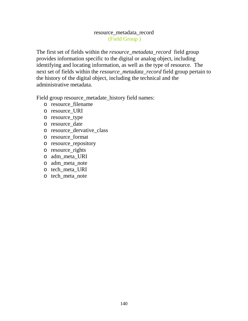## resource\_metadata\_record (Field Group )

The first set of fields within the *resource\_metadata\_record* field group provides information specific to the digital or analog object, including identifying and locating information, as well as the type of resource. The next set of fields within the *resource\_metadata\_record* field group pertain to the history of the digital object, including the technical and the administrative metadata.

Field group resource\_metadate\_history field names:

- o resource\_filename
- o resource\_URI
- o resource\_type
- o resource\_date
- o resource\_dervative\_class
- o resource\_format
- o resource\_repository
- o resource\_rights
- o adm\_meta\_URI
- o adm\_meta\_note
- o tech\_meta\_URI
- o tech\_meta\_note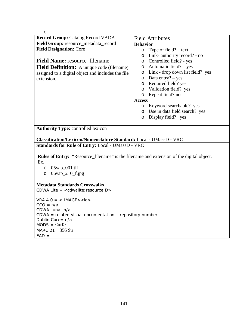| $\circ$                                                                                         |                                             |  |
|-------------------------------------------------------------------------------------------------|---------------------------------------------|--|
| <b>Record Group: Catalog Record VADA</b>                                                        | <b>Field Attributes</b>                     |  |
| Field Group: resource_metadata_record                                                           | <b>Behavior</b>                             |  |
| <b>Field Designation: Core</b>                                                                  | Type of field? text<br>$\circ$              |  |
|                                                                                                 | Link-authority record? - no<br>$\circ$      |  |
| <b>Field Name:</b> resource filename                                                            | o Controlled field? - yes                   |  |
| <b>Field Definition:</b> A unique code (filename)                                               | Automatic field? $-$ yes<br>$\circ$         |  |
| assigned to a digital object and includes the file                                              | Link - drop down list field? yes<br>$\circ$ |  |
| extension.                                                                                      | Data entry? $-$ yes<br>$\circ$              |  |
|                                                                                                 | Required field? yes<br>$\circ$              |  |
|                                                                                                 | o Validation field? yes                     |  |
|                                                                                                 | o Repeat field? no                          |  |
|                                                                                                 | <b>Access</b>                               |  |
|                                                                                                 | o Keyword searchable? yes                   |  |
|                                                                                                 | o Use in data field search? yes             |  |
|                                                                                                 | o Display field? yes                        |  |
|                                                                                                 |                                             |  |
| <b>Authority Type: controlled lexicon</b>                                                       |                                             |  |
|                                                                                                 |                                             |  |
| Classification/Lexicon/Nomenclature Standard: Local - UMassD - VRC                              |                                             |  |
| <b>Standards for Rule of Entry: Local - UMassD - VRC</b>                                        |                                             |  |
| <b>Rules of Entry:</b> "Resource_filename" is the filename and extension of the digital object. |                                             |  |
| Ex.                                                                                             |                                             |  |
|                                                                                                 |                                             |  |
| $05$ vap $_001$ .tif<br>$\circ$<br>06vap_210_f.jpg                                              |                                             |  |
| O                                                                                               |                                             |  |
| <b>Metadata Standards Crosswalks</b>                                                            |                                             |  |
| CDWA Lite = < cdwalite: resourceID>                                                             |                                             |  |
|                                                                                                 |                                             |  |
| VRA $4.0 = \langle$ IMAGE > $\langle$ id >                                                      |                                             |  |
| $CCO = n/a$                                                                                     |                                             |  |
| CDWA Luna: n/a                                                                                  |                                             |  |
| $CDWA = related visual documentation - repository number$                                       |                                             |  |
| Dublin Core= n/a<br>$MODS = \langle url \rangle$                                                |                                             |  |
| MARC $21 = 856$ \$u                                                                             |                                             |  |
| $EAD =$                                                                                         |                                             |  |
|                                                                                                 |                                             |  |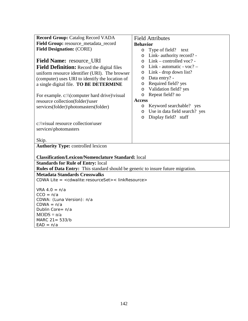| <b>Record Group: Catalog Record VADA</b>                                         | <b>Field Attributes</b>                  |  |
|----------------------------------------------------------------------------------|------------------------------------------|--|
| Field Group: resource_metadata_record                                            | <b>Behavior</b>                          |  |
| <b>Field Designation: (CORE)</b>                                                 | Type of field?<br>text<br>$\circ$        |  |
|                                                                                  | o Link-authority record? -               |  |
| Field Name: resource_URI                                                         | $\circ$ Link – controlled voc? -         |  |
| <b>Field Definition:</b> Record the digital files                                | $\circ$ Link - automatic - voc? -        |  |
| uniform resource identifier (URI). The browser                                   | $\circ$ Link - drop down list?           |  |
| (computer) uses URI to identify the location of                                  | Data entry? -<br>O                       |  |
| a single digital file. TO BE DETERMINE                                           | Required field? yes<br>$\circ$           |  |
|                                                                                  | Validation field? yes<br>$\circ$         |  |
| For example. c:\\(computer hard drive)\visual                                    | Repeat field? no<br>$\circ$              |  |
| resource collection(folder)\user                                                 | <b>Access</b>                            |  |
| services(folder)\photomasters(folder)                                            | Keyword searchable? yes<br>O             |  |
|                                                                                  | Use in data field search? yes<br>$\circ$ |  |
|                                                                                  | Display field? staff<br>$\circ$          |  |
|                                                                                  |                                          |  |
| c:\\visual resource collection\user                                              |                                          |  |
| services\photomasters                                                            |                                          |  |
|                                                                                  |                                          |  |
| Skip.                                                                            |                                          |  |
| <b>Authority Type: controlled lexicon</b>                                        |                                          |  |
|                                                                                  |                                          |  |
| <b>Classification/Lexicon/Nomenclature Standard: local</b>                       |                                          |  |
| <b>Standards for Rule of Entry: local</b>                                        |                                          |  |
| Rules of Data Entry: This standard should be generic to insure future migration. |                                          |  |
| <b>Metadata Standards Crosswalks</b>                                             |                                          |  |
| CDWA Lite = < cdwalite: resourceSet>< linkResource>                              |                                          |  |
|                                                                                  |                                          |  |
| $VRA 4.0 = n/a$                                                                  |                                          |  |
| $CCO = n/a$                                                                      |                                          |  |
| CDWA: (Luna Version): n/a                                                        |                                          |  |
| $CDWA = n/a$                                                                     |                                          |  |
| Dublin Core= n/a                                                                 |                                          |  |
| $MODS = n/a$                                                                     |                                          |  |
| MARC $21 = 533/b$                                                                |                                          |  |
| $EAD = n/a$                                                                      |                                          |  |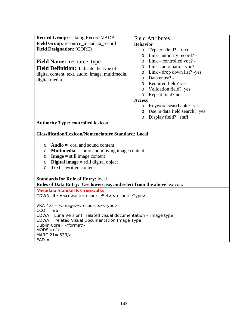| <b>Record Group: Catalog Record VADA</b>                                                                                                                                                                                                                                                                           | <b>Field Attributes</b>             |  |
|--------------------------------------------------------------------------------------------------------------------------------------------------------------------------------------------------------------------------------------------------------------------------------------------------------------------|-------------------------------------|--|
| Field Group: resource_metadata_record                                                                                                                                                                                                                                                                              | <b>Behavior</b>                     |  |
| <b>Field Designation: (CORE)</b>                                                                                                                                                                                                                                                                                   | Type of field? text<br>$\circ$      |  |
|                                                                                                                                                                                                                                                                                                                    | o Link-authority record? -          |  |
| Field Name: resource_type                                                                                                                                                                                                                                                                                          | $\circ$ Link – controlled voc? -    |  |
| Field Definition: Indicate the type of                                                                                                                                                                                                                                                                             | $\circ$ Link - automatic - voc? -   |  |
| digital content, text, audio, image, multimedia,                                                                                                                                                                                                                                                                   | $\circ$ Link - drop down list? -yes |  |
| digital media.                                                                                                                                                                                                                                                                                                     | o Data entry? -                     |  |
|                                                                                                                                                                                                                                                                                                                    | o Required field? yes               |  |
|                                                                                                                                                                                                                                                                                                                    | o Validation field? yes             |  |
|                                                                                                                                                                                                                                                                                                                    | o Repeat field? no                  |  |
|                                                                                                                                                                                                                                                                                                                    | <b>Access</b>                       |  |
|                                                                                                                                                                                                                                                                                                                    | o Keyword searchable? yes           |  |
|                                                                                                                                                                                                                                                                                                                    | o Use in data field search? yes     |  |
|                                                                                                                                                                                                                                                                                                                    | Display field? staff<br>$\circ$     |  |
| <b>Authority Type: controlled lexicon</b>                                                                                                                                                                                                                                                                          |                                     |  |
| <b>Classification/Lexicon/Nomenclature Standard: Local</b><br>$\mathbf{Audio} = \text{ oral}$ and sound content<br>O<br><b>Multimedia</b> = audio and moving image content<br>O<br>$Image = still image content$<br>O<br><b>Digital image</b> $=$ still digital object<br>O<br>$Text = written content$<br>$\circ$ |                                     |  |
| <b>Standards for Rule of Entry: local</b>                                                                                                                                                                                                                                                                          |                                     |  |
| Rules of Data Entry: Use lowercase, and select from the above lexicon.                                                                                                                                                                                                                                             |                                     |  |
| <b>Metadata Standards Crosswalks</b>                                                                                                                                                                                                                                                                               |                                     |  |
| CDWA Lite =< cdwalite: resourceSet> <resourcetype></resourcetype>                                                                                                                                                                                                                                                  |                                     |  |
| VRA $4.0 = \langle \text{image} \rangle \langle \text{resource} \rangle \langle \text{type} \rangle$                                                                                                                                                                                                               |                                     |  |
| $CCO = n/a$                                                                                                                                                                                                                                                                                                        |                                     |  |
| CDWA: (Luna Version): related visual documentation - image type                                                                                                                                                                                                                                                    |                                     |  |
| CDWA = related Visual Documentation Image Type                                                                                                                                                                                                                                                                     |                                     |  |
| Dublin Core= <format></format>                                                                                                                                                                                                                                                                                     |                                     |  |
| $MODS = n/a$                                                                                                                                                                                                                                                                                                       |                                     |  |
| MARC $21 = 533/a$<br>$EAD =$                                                                                                                                                                                                                                                                                       |                                     |  |
|                                                                                                                                                                                                                                                                                                                    |                                     |  |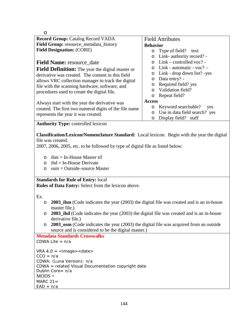| $\circ$                                                                                                                                                                                                    |                                          |  |
|------------------------------------------------------------------------------------------------------------------------------------------------------------------------------------------------------------|------------------------------------------|--|
| <b>Record Group: Catalog Record VADA</b>                                                                                                                                                                   | <b>Field Attributes</b>                  |  |
| Field Group: resource_metadata_history                                                                                                                                                                     | <b>Behavior</b>                          |  |
| <b>Field Designation: (CORE)</b>                                                                                                                                                                           | Type of field? text<br>$\circ$           |  |
|                                                                                                                                                                                                            | o Link-authority record? -               |  |
| <b>Field Name:</b> resource date                                                                                                                                                                           | $\circ$ Link – controlled voc? -         |  |
| Field Definition: The year the digital master or                                                                                                                                                           | $\circ$ Link - automatic - voc? -        |  |
| derivative was created. The content in this field                                                                                                                                                          | $\circ$ Link - drop down list? -yes      |  |
| allows VRC collection manager to track the digital                                                                                                                                                         | Data entry? -<br>$\circ$                 |  |
|                                                                                                                                                                                                            | Required field? yes<br>O                 |  |
| file with the scanning hardware, software, and                                                                                                                                                             | Validation field?<br>$\circ$             |  |
| procedures used to create the digital file.                                                                                                                                                                | Repeat field?<br>$\circ$                 |  |
|                                                                                                                                                                                                            | <b>Access</b>                            |  |
| Always start with the year the derivative was                                                                                                                                                              | Keyword searchable?<br>yes<br>$\circ$    |  |
| created. The first two numeral digits of the file name                                                                                                                                                     | Use in data field search? yes<br>$\circ$ |  |
| represents the year it was created.                                                                                                                                                                        | Display field? staff<br>O                |  |
| <b>Authority Type: controlled lexicon</b>                                                                                                                                                                  |                                          |  |
|                                                                                                                                                                                                            |                                          |  |
| <b>Classification/Lexicon/Nomenclature Standard:</b> Local lexicon. Begin with the year the digital<br>file was created.<br>2007, 2006, 2005, etc. to be followed by type of digital file as listed below: |                                          |  |
| $ihm = In-House Master tif$                                                                                                                                                                                |                                          |  |
| $\circ$<br>$ihd = In$ -House Derivate                                                                                                                                                                      |                                          |  |
| $\circ$<br>$osm = Outside - source Master$                                                                                                                                                                 |                                          |  |
| $\circ$                                                                                                                                                                                                    |                                          |  |
| <b>Standards for Rule of Entry: local</b><br>Rules of Data Entry: Select from the lexicon above.                                                                                                           |                                          |  |
| Ex.                                                                                                                                                                                                        |                                          |  |
| <b>2003_ihm</b> (Code indicates the year (2003) the digital file was created and is an in-house<br>$\circ$                                                                                                 |                                          |  |
| master file.)                                                                                                                                                                                              |                                          |  |
| <b>2003_ihd</b> (Code indicates the year (2003) the digital file was created and is an in-house<br>O                                                                                                       |                                          |  |
| derivative file.)                                                                                                                                                                                          |                                          |  |
| 2003_osm (Code indicates the year (2003) the digital file was acquired from an outside<br>O                                                                                                                |                                          |  |
| source and is considered to be the digital master.)                                                                                                                                                        |                                          |  |
| <b>Metadata Standards Crosswalks</b>                                                                                                                                                                       |                                          |  |
| CDWA Lite = $n/a$                                                                                                                                                                                          |                                          |  |
| VRA $4.0 = \langle \text{image} \rangle \langle \text{date} \rangle$                                                                                                                                       |                                          |  |
| $CCO = n/a$                                                                                                                                                                                                |                                          |  |
| CDWA: (Luna Version): n/a                                                                                                                                                                                  |                                          |  |
| CDWA = related Visual Documentation copyright date                                                                                                                                                         |                                          |  |
| Dublin Core= n/a                                                                                                                                                                                           |                                          |  |
| $MODS =$                                                                                                                                                                                                   |                                          |  |
| MARC $21 =$                                                                                                                                                                                                |                                          |  |

 $EAD = n/a$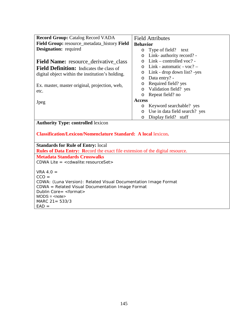| <b>Record Group: Catalog Record VADA</b>                                      | <b>Field Attributes</b>              |
|-------------------------------------------------------------------------------|--------------------------------------|
| Field Group: resource_metadata_history Field                                  | <b>Behavior</b>                      |
| <b>Designation:</b> required                                                  | Type of field? text<br>$\circ$       |
|                                                                               | Link- authority record? -<br>$\circ$ |
| Field Name: resource_derivative_class                                         | $\circ$ Link – controlled voc? -     |
| <b>Field Definition:</b> Indicates the class of                               | $\circ$ Link - automatic - voc? –    |
| digital object within the institution's holding.                              | Link - drop down list? -yes<br>O     |
|                                                                               | Data entry? -<br>$\circ$             |
| Ex. master, master original, projection, web,                                 | Required field? yes<br>O             |
| etc.                                                                          | Validation field? yes<br>$\circ$     |
|                                                                               | Repeat field? no<br>$\circ$          |
| <b>J</b> peg                                                                  | <b>Access</b>                        |
|                                                                               | Keyword searchable? yes<br>$\circ$   |
|                                                                               | Use in data field search? yes<br>O   |
|                                                                               | Display field? staff<br>$\circ$      |
| <b>Authority Type: controlled lexicon</b>                                     |                                      |
|                                                                               |                                      |
| <b>Classification/Lexicon/Nomenclature Standard: A local lexicon.</b>         |                                      |
|                                                                               |                                      |
| <b>Standards for Rule of Entry: local</b>                                     |                                      |
| Rules of Data Entry: Record the exact file extension of the digital resource. |                                      |
| <b>Metadata Standards Crosswalks</b>                                          |                                      |
| CDWA Lite = $<$ cdwalite: resourceSet >                                       |                                      |
|                                                                               |                                      |
| $VRA 4.0 =$<br>$CCO =$                                                        |                                      |
| CDWA: (Luna Version): Related Visual Documentation Image Format               |                                      |
| CDWA = Related Visual Documentation Image Format                              |                                      |
| Dublin Core= $\le$ format >                                                   |                                      |
| $MODS = note$                                                                 |                                      |
| MARC $21 = 533/3$                                                             |                                      |
| $EAD =$                                                                       |                                      |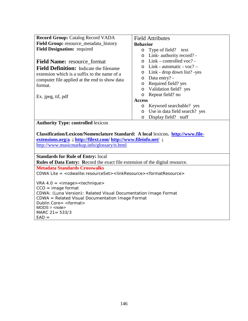| <b>Record Group: Catalog Record VADA</b>                                                                                                                                                                                                      |                                        |
|-----------------------------------------------------------------------------------------------------------------------------------------------------------------------------------------------------------------------------------------------|----------------------------------------|
|                                                                                                                                                                                                                                               | <b>Field Attributes</b>                |
| Field Group: resource_metadata_history                                                                                                                                                                                                        | <b>Behavior</b>                        |
| <b>Field Designation: required</b>                                                                                                                                                                                                            | Type of field? text<br>$\circ$         |
|                                                                                                                                                                                                                                               | o Link-authority record? -             |
| <b>Field Name:</b> resource format                                                                                                                                                                                                            | $\circ$ Link – controlled voc? -       |
| Field Definition: Indicate the filename                                                                                                                                                                                                       | $\circ$ Link - automatic - voc? -      |
|                                                                                                                                                                                                                                               | Link - drop down list? -yes<br>$\circ$ |
| extension which is a suffix to the name of a                                                                                                                                                                                                  | Data entry? -<br>$\circ$               |
| computer file applied at the end to show data                                                                                                                                                                                                 | o Required field? yes                  |
| format.                                                                                                                                                                                                                                       | o Validation field? yes                |
|                                                                                                                                                                                                                                               | o Repeat field? no                     |
| Ex. jpeg, tif, pdf                                                                                                                                                                                                                            | <b>Access</b>                          |
|                                                                                                                                                                                                                                               | o Keyword searchable? yes              |
|                                                                                                                                                                                                                                               | o Use in data field search? yes        |
|                                                                                                                                                                                                                                               |                                        |
|                                                                                                                                                                                                                                               | Display field? staff<br>$\circ$        |
| <b>Authority Type: controlled lexicon</b><br>Classification/Lexicon/Nomenclature Standard: A local lexicon. http://www.file-<br>extensions.org/a; http://filext.com/ http://www.fileinfo.net/;<br>http://www.musicmarkup.info/glossary/n.html |                                        |
|                                                                                                                                                                                                                                               |                                        |
| <b>Standards for Rule of Entry: local</b>                                                                                                                                                                                                     |                                        |
| Rules of Data Entry: Record the exact file extension of the digital resource.                                                                                                                                                                 |                                        |
| <b>Metadata Standards Crosswalks</b>                                                                                                                                                                                                          |                                        |
| CDWA Lite = <cdwalite: resourceset=""> <linkresource> <formatresource></formatresource></linkresource></cdwalite:>                                                                                                                            |                                        |
|                                                                                                                                                                                                                                               |                                        |
| VRA $4.0 = \langle \text{image} \rangle \langle \text{technique} \rangle$                                                                                                                                                                     |                                        |
| $CCO = image format$                                                                                                                                                                                                                          |                                        |
| CDWA: (Luna Version): Related Visual Documentation Image Format                                                                                                                                                                               |                                        |
| CDWA = Related Visual Documentation Image Format                                                                                                                                                                                              |                                        |
| Dublin Core= <format></format>                                                                                                                                                                                                                |                                        |
| $MODS = note$<br>MARC $21 = 533/3$                                                                                                                                                                                                            |                                        |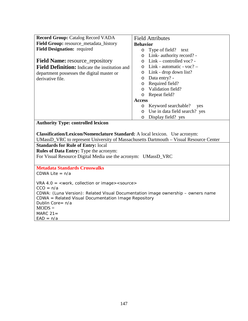| <b>Record Group: Catalog Record VADA</b>                                               | <b>Field Attributes</b>            |
|----------------------------------------------------------------------------------------|------------------------------------|
| Field Group: resource_metadata_history                                                 | <b>Behavior</b>                    |
| <b>Field Designation:</b> required                                                     | Type of field? text<br>$\circ$     |
|                                                                                        | o Link-authority record? -         |
| Field Name: resource_repository                                                        | $\circ$ Link – controlled voc? -   |
| Field Definition: Indicate the institution and                                         | $\circ$ Link - automatic - voc? -  |
| department possesses the digital master or                                             | Link - drop down list?<br>$\circ$  |
| derivative file.                                                                       | Data entry? -<br>$\circ$           |
|                                                                                        | Required field?<br>$\circ$         |
|                                                                                        | Validation field?<br>$\circ$       |
|                                                                                        | Repeat field?<br>$\circ$           |
|                                                                                        | <b>Access</b>                      |
|                                                                                        | Keyword searchable? yes<br>$\circ$ |
|                                                                                        | Use in data field search? yes<br>O |
|                                                                                        | Display field? yes<br>$\circ$      |
| <b>Authority Type: controlled lexicon</b>                                              |                                    |
|                                                                                        |                                    |
| Classification/Lexicon/Nomenclature Standard: A local lexicon. Use acronym:            |                                    |
| UMassD_VRC to represent University of Massachusetts Dartmouth - Visual Resource Center |                                    |
| <b>Standards for Rule of Entry: local</b>                                              |                                    |
| <b>Rules of Data Entry:</b> Type the acronym:                                          |                                    |
| For Visual Resource Digital Media use the acronym: UMassD_VRC                          |                                    |
|                                                                                        |                                    |
| <b>Metadata Standards Crosswalks</b>                                                   |                                    |
| CDWA Lite = $n/a$                                                                      |                                    |
|                                                                                        |                                    |
| VRA $4.0 =$ <work, collection="" image="" or=""> <source/></work,>                     |                                    |
| $CCO = n/a$                                                                            |                                    |
| CDWA: (Luna Version): Related Visual Documentation image ownership - owners name       |                                    |
| CDWA = Related Visual Documentation Image Repository<br>Dublin Core= n/a               |                                    |
| $MODS =$                                                                               |                                    |
| MARC $21 =$                                                                            |                                    |
| $EAD = n/a$                                                                            |                                    |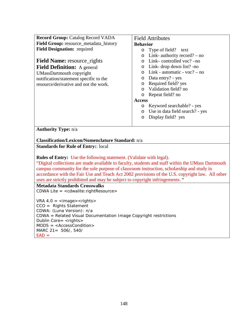| <b>Record Group: Catalog Record VADA</b><br>Field Group: resource_metadata_history                                    |                                                                                                   |
|-----------------------------------------------------------------------------------------------------------------------|---------------------------------------------------------------------------------------------------|
|                                                                                                                       | <b>Field Attributes</b>                                                                           |
|                                                                                                                       | <b>Behavior</b>                                                                                   |
| Field Designation: required                                                                                           | Type of field?<br>text<br>$\circ$                                                                 |
|                                                                                                                       | $\circ$ Link- authority record? – no                                                              |
| <b>Field Name:</b> resource_rights                                                                                    | o Link-controlled voc? - no                                                                       |
| <b>Field Definition:</b> A general                                                                                    | o Link- drop down list? -no                                                                       |
| <b>UMassDartmouth copyright</b>                                                                                       | $\circ$ Link - automatic - voc? – no                                                              |
| notification/statement specific to the                                                                                | Data entry? - yes<br>$\circ$                                                                      |
| resource/derivative and not the work.                                                                                 | Required field? yes<br>$\circ$                                                                    |
|                                                                                                                       | o Validation field? no                                                                            |
|                                                                                                                       | o Repeat field? no                                                                                |
|                                                                                                                       | <b>Access</b>                                                                                     |
|                                                                                                                       | o Keyword searchable? - yes                                                                       |
|                                                                                                                       | Use in data field search? - yes<br>$\circ$                                                        |
|                                                                                                                       | Display field? yes<br>$\circ$                                                                     |
|                                                                                                                       |                                                                                                   |
| <b>Authority Type: n/a</b>                                                                                            |                                                                                                   |
| <b>Classification/Lexicon/Nomenclature Standard:</b> n/a                                                              |                                                                                                   |
| <b>Standards for Rule of Entry:: local</b>                                                                            |                                                                                                   |
|                                                                                                                       |                                                                                                   |
|                                                                                                                       |                                                                                                   |
| <b>Rules of Entry:</b> Use the following statement. (Validate with legal).                                            |                                                                                                   |
|                                                                                                                       | "Digital collections are made available to faculty, students and staff within the UMass Dartmouth |
| campus community for the sole purpose of classroom instruction, scholarship and study in                              |                                                                                                   |
|                                                                                                                       | accordance with the Fair Use and Teach Act 2002 provisions of the U.S. copyright law. All other   |
|                                                                                                                       |                                                                                                   |
| uses are strictly prohibited and may be subject to copyright infringements. "<br><b>Metadata Standards Crosswalks</b> |                                                                                                   |
| CDWA Lite = < cdwalite: rightResource>                                                                                |                                                                                                   |
|                                                                                                                       |                                                                                                   |
| VRA $4.0 = \langle \text{image} \rangle \langle \text{rights} \rangle$                                                |                                                                                                   |
| $CCO =$ Rights Statement                                                                                              |                                                                                                   |
| CDWA: (Luna Version): n/a                                                                                             |                                                                                                   |
| CDWA = Related Visual Documentation Image Copyright restrictions                                                      |                                                                                                   |
| Dublin Core= <rights></rights>                                                                                        |                                                                                                   |
| $MODS = <$ AccessCondition><br>MARC $21 = 506/$ , 540/                                                                |                                                                                                   |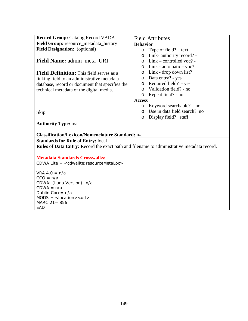| <b>Record Group: Catalog Record VADA</b>                                                   | <b>Field Attributes</b>                 |
|--------------------------------------------------------------------------------------------|-----------------------------------------|
| Field Group: resource_metadata_history                                                     |                                         |
| <b>Field Designation:</b> (optional)                                                       | <b>Behavior</b>                         |
|                                                                                            | Type of field? text<br>$\circ$          |
|                                                                                            | o Link-authority record? -              |
| Field Name: admin_meta_URI                                                                 | $\circ$ Link – controlled voc? -        |
|                                                                                            | $\circ$ Link - automatic - voc? –       |
| <b>Field Definition:</b> This field serves as a                                            | $\circ$ Link - drop down list?          |
| linking field to an administrative metadata                                                | Data entry? - yes<br>O                  |
| database, record or document that specifies the                                            | Required field? - yes<br>$\circ$        |
| technical metadata of the digital media.                                                   | Validation field? - no<br>$\circ$       |
|                                                                                            | Repeat field? - no<br>O                 |
|                                                                                            | <b>Access</b>                           |
|                                                                                            | Keyword searchable? no<br>$\circ$       |
| Skip                                                                                       | Use in data field search? no<br>$\circ$ |
|                                                                                            | Display field? staff<br>$\circ$         |
| <b>Authority Type:</b> n/a                                                                 |                                         |
| <b>Classification/Lexicon/Nomenclature Standard:</b> n/a                                   |                                         |
| <b>Standards for Rule of Entry: local</b>                                                  |                                         |
| Rules of Data Entry: Record the exact path and filename to administrative metadata record. |                                         |
|                                                                                            |                                         |
| <b>Metadata Standards Crosswalks:</b>                                                      |                                         |
| CDWA Lite = $<$ cdwalite: resourceMetaLoc>                                                 |                                         |
|                                                                                            |                                         |
| $VRA 4.0 = n/a$                                                                            |                                         |
| $CCO = n/a$                                                                                |                                         |
| CDWA: (Luna Version): n/a<br>$CDWA = n/a$                                                  |                                         |
| Dublin Core= n/a                                                                           |                                         |
| $MODS = <$ location > $<$ url >                                                            |                                         |
| MARC $21 = 856$                                                                            |                                         |
| $EAD =$                                                                                    |                                         |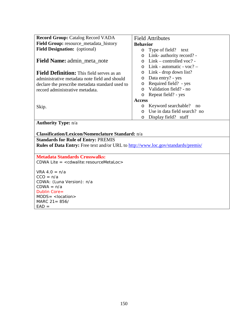| <b>Record Group: Catalog Record VADA</b>                                                 | <b>Field Attributes</b>                  |
|------------------------------------------------------------------------------------------|------------------------------------------|
| Field Group: resource_metadata_history                                                   | <b>Behavior</b>                          |
| <b>Field Designation:</b> (optional)                                                     | o Type of field? text                    |
|                                                                                          | Link- authority record? -<br>$\circ$     |
| <b>Field Name:</b> admin meta note                                                       | $\circ$ Link – controlled voc? -         |
|                                                                                          | $\circ$ Link - automatic - voc? –        |
| <b>Field Definition:</b> This field serves as an                                         | Link - drop down list?<br>$\circ$        |
| administrative metadata note field and should                                            | Data entry? - yes<br>$\circ$             |
|                                                                                          | Required field? - yes<br>$\circ$         |
| declare the prescribe metadata standard used to                                          | Validation field? - no<br>$\Omega$       |
| record administrative metadata.                                                          |                                          |
|                                                                                          | Repeat field? - yes<br>$\circ$           |
|                                                                                          | <b>Access</b>                            |
| Skip.                                                                                    | o Keyword searchable? no                 |
|                                                                                          | Use in data field search? no<br>$\Omega$ |
|                                                                                          | Display field? staff<br>$\circ$          |
| <b>Authority Type:</b> n/a                                                               |                                          |
|                                                                                          |                                          |
| <b>Classification/Lexicon/Nomenclature Standard:</b> n/a                                 |                                          |
| <b>Standards for Rule of Entry: PREMIS</b>                                               |                                          |
| <b>Rules of Data Entry:</b> Free text and/or URL to http://www.loc.gov/standards/premis/ |                                          |
|                                                                                          |                                          |
| <b>Metadata Standards Crosswalks:</b>                                                    |                                          |
| CDWA Lite = <cdwalite:resourcemetaloc></cdwalite:resourcemetaloc>                        |                                          |
|                                                                                          |                                          |
| $VRA 4.0 = n/a$                                                                          |                                          |
| $CCO = n/a$                                                                              |                                          |
| CDWA: (Luna Version): n/a                                                                |                                          |
| $CDWA = n/a$                                                                             |                                          |
| Dublin Core=                                                                             |                                          |
| $MODS = <$ location>                                                                     |                                          |
| MARC $21 = 856/$                                                                         |                                          |
| $EAD =$                                                                                  |                                          |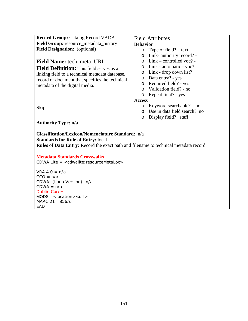| <b>Record Group: Catalog Record VADA</b><br>Field Group: resource_metadata_history<br><b>Field Designation:</b> (optional)<br>Field Name: tech_meta_URI<br><b>Field Definition:</b> This field serves as a<br>linking field to a technical metadata database,<br>record or document that specifies the technical<br>metadata of the digital media. | <b>Field Attributes</b><br><b>Behavior</b><br>Type of field? text<br>$\circ$<br>Link- authority record? -<br>$\circ$<br>$\circ$ Link – controlled voc? -<br>$\circ$ Link - automatic - voc? -<br>Link - drop down list?<br>$\circ$<br>Data entry? - yes<br>$\circ$<br>Required field? - yes<br>$\circ$<br>Validation field? - no<br>$\Omega$<br>Repeat field? - yes |
|----------------------------------------------------------------------------------------------------------------------------------------------------------------------------------------------------------------------------------------------------------------------------------------------------------------------------------------------------|---------------------------------------------------------------------------------------------------------------------------------------------------------------------------------------------------------------------------------------------------------------------------------------------------------------------------------------------------------------------|
| Skip.                                                                                                                                                                                                                                                                                                                                              | O<br><b>Access</b><br>Keyword searchable?<br>no<br>O<br>Use in data field search? no<br>$\circ$<br>Display field? staff<br>$\circ$                                                                                                                                                                                                                                  |
| <b>Authority Type: n/a</b><br><b>Classification/Lexicon/Nomenclature Standard:</b> n/a<br><b>Standards for Rule of Entry: local</b><br>Rules of Data Entry: Record the exact path and filename to technical metadata record.                                                                                                                       |                                                                                                                                                                                                                                                                                                                                                                     |
| <b>Metadata Standards Crosswalks</b><br>CDWA Lite = <cdwalite: resourcemetaloc=""><br/><math>VRA 4.0 = n/a</math><br/><math>CCO = n/a</math><br/>CDWA: (Luna Version): n/a<br/><math>CDWA = n/a</math><br/>Dublin Core=<br/><math>MODS = &lt;</math>location &gt; <math>&lt;</math>url &gt;<br/>MARC 21= 856/u<br/><math>EAD =</math></cdwalite:>  |                                                                                                                                                                                                                                                                                                                                                                     |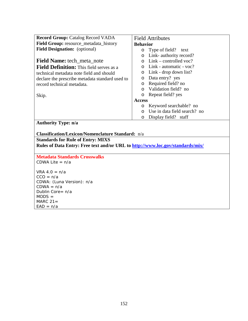| <b>Record Group: Catalog Record VADA</b>                                       | <b>Field Attributes</b>                  |
|--------------------------------------------------------------------------------|------------------------------------------|
| Field Group: resource_metadata_history                                         | <b>Behavior</b>                          |
| Field Designation: (optional)                                                  | Type of field? text<br>$\circ$           |
|                                                                                | Link- authority record?<br>$\circ$       |
| Field Name: tech_meta_note                                                     | $\circ$ Link – controlled voc?           |
| <b>Field Definition:</b> This field serves as a                                | o Link - automatic - voc?                |
| technical metadata note field and should                                       | Link - drop down list?<br>O              |
| declare the prescribe metadata standard used to                                | Data entry? yes<br>$\circ$               |
| record technical metadata.                                                     | Required field? no<br>O                  |
|                                                                                | Validation field? no<br>$\circ$          |
| Skip.                                                                          | Repeat field? yes<br>$\circ$             |
|                                                                                | <b>Access</b>                            |
|                                                                                | Keyword searchable? no<br>$\Omega$       |
|                                                                                | Use in data field search? no<br>$\Omega$ |
|                                                                                | o Display field? staff                   |
| <b>Authority Type: n/a</b>                                                     |                                          |
|                                                                                |                                          |
| Classification/Lexicon/Nomenclature Standard: n/a                              |                                          |
| <b>Standards for Rule of Entry: MIXS</b>                                       |                                          |
| Rules of Data Entry: Free text and/or URL to http://www.loc.gov/standards/mix/ |                                          |
|                                                                                |                                          |
| <b>Metadata Standards Crosswalks</b>                                           |                                          |
| CDWA Lite = $n/a$                                                              |                                          |
|                                                                                |                                          |
| $VRA 4.0 = n/a$                                                                |                                          |
| $CCO = n/a$                                                                    |                                          |
| CDWA: (Luna Version): n/a<br>$CDWA = n/a$                                      |                                          |
| Dublin Core= n/a                                                               |                                          |
| $MODS =$                                                                       |                                          |
| MARC $21 =$                                                                    |                                          |
| $EAD = n/a$                                                                    |                                          |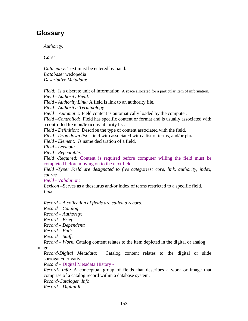## **Glossary**

*Authority:* 

*Core:*

*Data entry:* Text must be entered by hand. *Database:* wedopedia *Descriptive Metadata*:

*Field:* Is a discrete unit of information. A space allocated for a particular item of information. *Field - Authority Field:*

*Field - Authority Link:* A field is link to an authority file.

*Field - Authority: Terminology* 

*Field – Automatic:* Field content is automatically loaded by the computer.

*Field –Controlled:* Field has specific content or format and is usually associated with a controlled lexicon/lexicon/authority list.

*Field - Definition:* Describe the type of content associated with the field.

*Field - Drop down list:* field with associated with a list of terms, and/or phrases.

*Field - Element: I*s name declaration of a field.

*Field - Lexicon:*

*Field - Repeatable:* 

*Field -Required:* Content is required before computer willing the field must be completed before moving on to the next field.

*Field -Type: Field are designated to five categories: core, link, authority, index, source* 

*Field - Validation:* 

*Lexicon –*Serves as a thesaurus and/or index of terms restricted to a specific field. *Link* 

*Record – A collection of fields are called a record.* 

*Record – Catalog* 

*Record – Authority:*

*Record – Brief:* 

*Record – Dependent:* 

*Record – Full:*

*Record – Staff:* 

*Record – Work:* Catalog content relates to the item depicted in the digital or analog image.

*Record-Digital Metadata:* Catalog content relates to the digital or slide surrogate/derivative

*Record –* Digital Metadata History -

*Record- Info:* A conceptual group of fields that describes a work or image that comprise of a catalog record within a database system.

*Record-Cataloger\_Info Record – Digital R*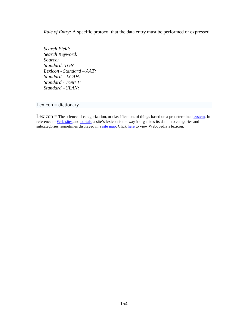*Rule of Entry:* A specific protocol that the data entry must be performed or expressed.

*Search Field: Search Keyword: Source: Standard: TGN Lexicon - Standard – AAT: Standard – LCAH: Standard - TGM 1: Standard –ULAN:*

Lexicon = dictionary

Lexicon  $=$  The science of categorization, or classification, of things based on a predetermined [system.](http://www.webopedia.com/TERM/t/taxonomy.html##) In reference to [Web sites](http://www.webopedia.com/TERM/t/Web_site.html) and [portals,](http://www.webopedia.com/TERM/t/Web_portal.html) a site's lexicon is the way it organizes its data into categories and subcategories, sometimes displayed in a <u>site map</u>. Click [here](http://www.webopedia.com/Top_Category.asp) to view Webopedia's lexicon.